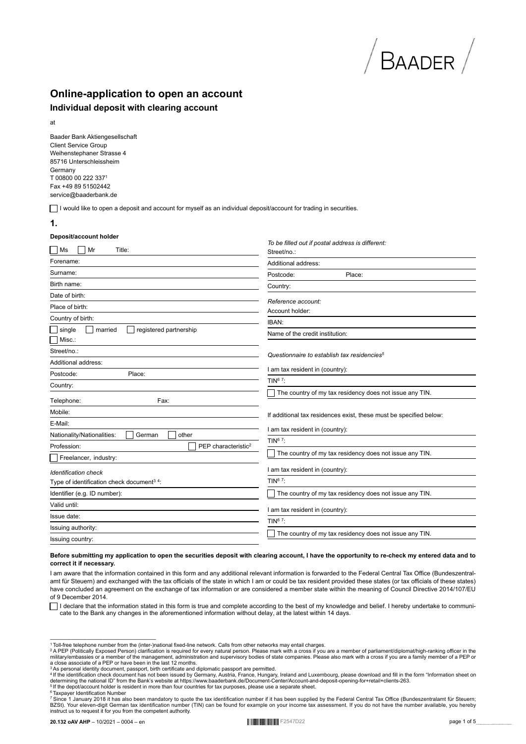# **Online-application to open an account**

## **Individual deposit with clearing account**

at

Baader Bank Aktiengesellschaft Client Service Group Weihenstephaner Strasse 4 85716 Unterschleissheim Germany T 00800 00 222 337<sup>1</sup> Fax +49 89 51502442 service@baaderbank.de

I would like to open a deposit and account for myself as an individual deposit/account for trading in securities.

**1.**

#### **Deposit/account holder**

| Ms<br>Mr<br>Title:                                                      | mod odt <i>it pootal</i> daarooo io amorom.<br>Street/no.:         |
|-------------------------------------------------------------------------|--------------------------------------------------------------------|
| Forename:                                                               | Additional address:                                                |
| Surname:                                                                | Place:<br>Postcode:                                                |
| Birth name:                                                             | Country:                                                           |
| Date of birth:                                                          | Reference account:                                                 |
| Place of birth:                                                         | Account holder:                                                    |
| Country of birth:                                                       | IBAN:                                                              |
| registered partnership<br>single<br>married<br>Misc.:                   | Name of the credit institution:                                    |
| Street/no.:                                                             | Questionnaire to establish tax residencies <sup>5</sup>            |
| Additional address:                                                     | I am tax resident in (country):                                    |
| Postcode:<br>Place:                                                     | TIN $67$ :                                                         |
| Country:                                                                | The country of my tax residency does not issue any TIN.            |
| Fax:<br>Telephone:                                                      |                                                                    |
| Mobile:                                                                 | If additional tax residences exist, these must be specified below: |
| E-Mail:                                                                 | I am tax resident in (country):                                    |
| Nationality/Nationalities:<br>German<br>other                           | TIN <sup>67</sup> :                                                |
| PEP characteristic <sup>2</sup><br>Profession:<br>Freelancer, industry: | The country of my tax residency does not issue any TIN.            |
| <b>Identification check</b>                                             | I am tax resident in (country):                                    |
| Type of identification check document <sup>34</sup> :                   | TIN $67$ :                                                         |
| Identifier (e.g. ID number):                                            | The country of my tax residency does not issue any TIN.            |
| Valid until:                                                            | I am tax resident in (country):                                    |
| Issue date:                                                             | TIN $67$ :                                                         |
| Issuing authority:                                                      | The country of my tax residency does not issue any TIN.            |
| Issuing country:                                                        |                                                                    |

*To be filled out if postal address is different:*

#### **Before submitting my application to open the securities deposit with clearing account, I have the opportunity to re-check my entered data and to correct it if necessary.**

I am aware that the information contained in this form and any additional relevant information is forwarded to the Federal Central Tax Office (Bundeszentralamt für Steuern) and exchanged with the tax officials of the state in which I am or could be tax resident provided these states (or tax officials of these states) have concluded an agreement on the exchange of tax information or are considered a member state within the meaning of Council Directive 2014/107/EU of 9 December 2014.

I declare that the information stated in this form is true and complete according to the best of my knowledge and belief. I hereby undertake to communicate to the Bank any changes in the aforementioned information without delay, at the latest within 14 days.

<sup>1</sup> Toll-free telephone number from the (inter-)national fixed-line network. Calls from other networks may entail charges.<br><sup>2</sup> A PEP (Politically Exposed Person) clarification is required for every natural person. Please m

Toll-free telephone number from the (inter-)national fixed-line network. Calls from other networks may entail charges.

<sup>&</sup>lt;sup>7</sup> Since 1 January 2018 it has also been mandatory to quote the tax identification number if it has been supplied by the Federal Central Tax Office (Bundeszentralamt für Steuern;<br>BZSt). Your eleven-digit German tax identi instruct us to request it for you from the competent authority.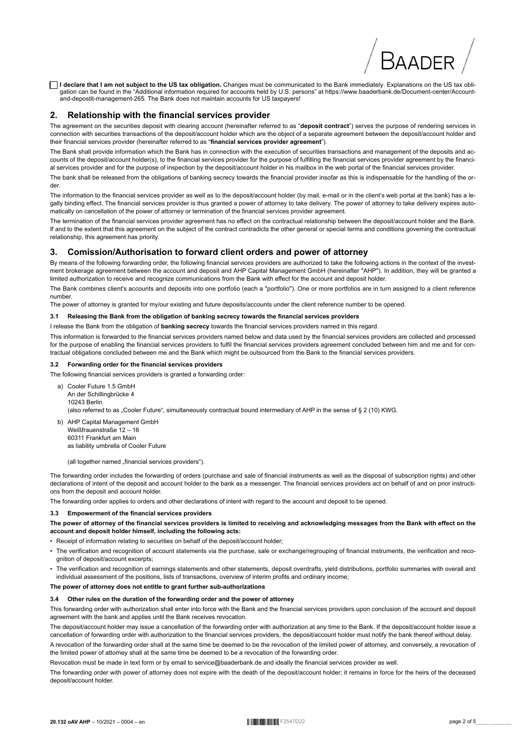□ I declare that I am not subject to the US tax obligation. Changes must be communicated to the Bank immediately. Explanations on the US tax obligation can be found in the "Additional information required for accounts held by U.S. persons" at https://www.baaderbank.de/Document-center/Accountand-depostit-management-265. The Bank does not maintain accounts for US taxpayers!

#### $\mathbf{z}$ Relationship with the financial services provider

The agreement on the securities deposit with clearing account (hereinafter referred to as "deposit contract") serves the purpose of rendering services in connection with securities transactions of the deposit/account holder which are the object of a separate agreement between the deposit/account holder and their financial services provider (hereinafter referred to as "financial services provider agreement").

The Bank shall provide information which the Bank has in connection with the execution of securities transactions and management of the deposits and accounts of the deposit/account holder(s), to the financial services provider for the purpose of fulfilling the financial services provider agreement by the financial services provider and for the purpose of inspection by the deposit/account holder in his mailbox in the web portal of the financial services provider.

The bank shall be released from the obligations of banking secrecy towards the financial provider insofar as this is indispensable for the handling of the or $der$ 

The information to the financial services provider as well as to the deposit/account holder (by mail, e-mail or in the client's web portal at the bank) has a legally binding effect. The financial services provider is thus granted a power of attorney to take delivery. The power of attorney to take delivery expires automatically on cancellation of the power of attorney or termination of the financial services provider agreement.

The termination of the financial services provider agreement has no effect on the contractual relationship between the deposit/account holder and the Bank. If and to the extent that this agreement on the subject of the contract contradicts the other general or special terms and conditions governing the contractual relationship, this agreement has priority.

#### Comission/Authorisation to forward client orders and power of attorney  $\mathbf{3}$

By means of the following forwarding order, the following financial services providers are authorized to take the following actions in the context of the investment brokerage agreement between the account and deposit and AHP Capital Management GmbH (hereinafter "AHP"). In addition, they will be granted a limited authorization to receive and recognize communications from the Bank with effect for the account and deposit holder.

The Bank combines client's accounts and deposits into one portfolio (each a "portfolio"). One or more portfolios are in turn assigned to a client reference number

The power of attorney is granted for my/our existing and future deposits/accounts under the client reference number to be opened.

#### 3.1 Releasing the Bank from the obligation of banking secrecy towards the financial services providers

I release the Bank from the obligation of banking secrecy towards the financial services providers named in this regard.

This information is forwarded to the financial services providers named below and data used by the financial services providers are collected and processed for the purpose of enabling the financial services providers to fulfil the financial services providers agreement concluded between him and me and for contractual obligations concluded between me and the Bank which might be outsourced from the Bank to the financial services providers.

#### 3.2 Forwarding order for the financial services providers

The following financial services providers is granted a forwarding order:

- a) Cooler Future 1.5 GmbH An der Schillingbrücke 4 10243 Berlin (also referred to as .Cooler Future", simultaneously contractual bound intermediary of AHP in the sense of § 2 (10) KWG.
- b) AHP Capital Management GmbH Weißfrauenstraße  $12 - 16$ 60311 Frankfurt am Main as liability umbrella of Cooler Future

(all together named "financial services providers").

The forwarding order includes the forwarding of orders (purchase and sale of financial instruments as well as the disposal of subscription rights) and other declarations of intent of the deposit and account holder to the bank as a messenger. The financial services providers act on behalf of and on prior instructions from the deposit and account holder

The forwarding order applies to orders and other declarations of intent with regard to the account and deposit to be opened.

#### Empowerment of the financial services providers  $3.3$

The power of attorney of the financial services providers is limited to receiving and acknowledging messages from the Bank with effect on the account and deposit holder himself, including the following acts:

- Receipt of information relating to securities on behalf of the deposit/account holder:
- The verification and recognition of account statements via the purchase, sale or exchange/regrouping of financial instruments, the verification and recoonition of deposit/account excerpts:
- The verification and recognition of earnings statements and other statements, deposit overdrafts, yield distributions, portfolio summaries with overall and individual assessment of the positions, lists of transactions, overview of interim profits and ordinary income;

#### The power of attorney does not entitle to grant further sub-authorizations

#### 3.4 Other rules on the duration of the forwarding order and the power of attorney

This forwarding order with authorization shall enter into force with the Bank and the financial services providers upon conclusion of the account and deposit agreement with the bank and applies until the Bank receives revocation.

The deposit/account holder may issue a cancellation of the forwarding order with authorization at any time to the Bank. If the deposit/account holder issue a cancellation of forwarding order with authorization to the financial services providers, the deposit/account holder must notify the bank thereof without delay. A revocation of the forwarding order shall at the same time be deemed to be the revocation of the limited power of attorney, and conversely, a revocation of

the limited power of attorney shall at the same time be deemed to be a revocation of the forwarding order.

Revocation must be made in text form or by email to service@baaderbank.de and ideally the financial services provider as well.

The forwarding order with power of attorney does not expire with the death of the deposit/account holder; it remains in force for the heirs of the deceased deposit/account holder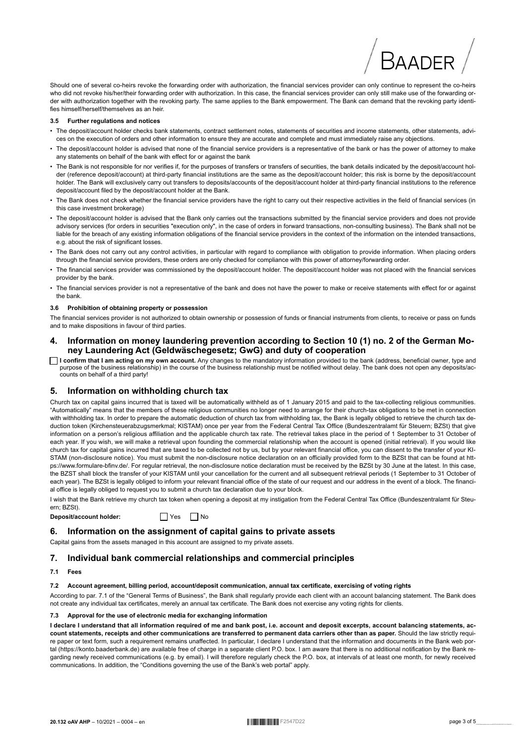

Should one of several co-heirs revoke the forwarding order with authorization, the financial services provider can only continue to represent the co-heirs who did not revoke his/her/their forwarding order with authorization. In this case, the financial services provider can only still make use of the forwarding order with authorization together with the revoking party. The same applies to the Bank empowerment. The Bank can demand that the revoking party identifies himself/herself/themselves as an heir.

#### 3.5 Further regulations and notices

- · The deposit/account holder checks bank statements, contract settlement notes, statements of securities and income statements, other statements, advices on the execution of orders and other information to ensure they are accurate and complete and must immediately raise any objections.
- The deposit/account holder is advised that none of the financial service providers is a representative of the bank or has the power of attorney to make any statements on behalf of the bank with effect for or against the bank
- The Bank is not responsible for nor verifies if, for the purposes of transfers or transfers of securities, the bank details indicated by the deposit/account holder (reference deposit/account) at third-party financial institutions are the same as the deposit/account holder; this risk is borne by the deposit/account holder. The Bank will exclusively carry out transfers to deposits/accounts of the deposit/account holder at third-party financial institutions to the reference deposit/account filed by the deposit/account holder at the Bank.
- . The Bank does not check whether the financial service providers have the right to carry out their respective activities in the field of financial services (in this case investment brokerage)
- The deposit/account holder is advised that the Bank only carries out the transactions submitted by the financial service providers and does not provide advisory services (for orders in securities "execution only", in the case of orders in forward transactions, non-consulting business). The Bank shall not be liable for the breach of any existing information obligations of the financial service providers in the context of the information on the intended transactions, e.g. about the risk of significant losses.
- · The Bank does not carry out any control activities, in particular with regard to compliance with obligation to provide information. When placing orders through the financial service providers, these orders are only checked for compliance with this power of attorney/forwarding order.
- The financial services provider was commissioned by the deposit/account holder. The deposit/account holder was not placed with the financial services provider by the bank.
- The financial services provider is not a representative of the bank and does not have the power to make or receive statements with effect for or against the bank.

#### $36$ Prohibition of obtaining property or possession

The financial services provider is not authorized to obtain ownership or possession of funds or financial instruments from clients, to receive or pass on funds and to make dispositions in favour of third parties.

#### Information on money laundering prevention according to Section 10 (1) no. 2 of the German Mo- $4.$ ney Laundering Act (Geldwäschegesetz; GwG) and duty of cooperation

□ **I confirm that I am acting on my own account**. Any changes to the mandatory information provided to the bank (address, beneficial owner, type and purpose of the business relationship) in the course of the business rela counts on behalf of a third party!

#### Information on withholding church tax 5.

Church tax on capital gains incurred that is taxed will be automatically withheld as of 1 January 2015 and paid to the tax-collecting religious communities. "Automatically" means that the members of these religious communities no longer need to arrange for their church-tax obligations to be met in connection with withholding tax. In order to prepare the automatic deduction of church tax from withholding tax, the Bank is legally obliged to retrieve the church tax deduction token (Kirchensteuerabzugsmerkmal; KISTAM) once per year from the Federal Central Tax Office (Bundeszentralamt für Steuern; BZSt) that give information on a person's religious affiliation and the applicable church tax rate. The retrieval takes place in the period of 1 September to 31 October of each year. If you wish, we will make a retrieval upon founding the commercial relationship when the account is opened (initial retrieval). If you would like church tax for capital gains incurred that are taxed to be collected not by us, but by your relevant financial office, you can dissent to the transfer of your KI-STAM (non-disclosure notice). You must submit the non-disclosure notice declaration on an officially provided form to the BZSt that can be found at https://www.formulare-bfinv.de/. For regular retrieval, the non-disclosure notice declaration must be received by the BZSt by 30 June at the latest. In this case, the BZST shall block the transfer of your KISTAM until your cancellation for the current and all subsequent retrieval periods (1 September to 31 October of each year). The BZSt is legally obliged to inform your relevant financial office of the state of our request and our address in the event of a block. The financial office is legally obliged to request you to submit a church tax declaration due to your block.

I wish that the Bank retrieve my church tax token when opening a deposit at my instigation from the Federal Central Tax Office (Bundeszentralamt für Steuern: BZSt).

Deposit/account holder:

 $\Box$  Yes  $\Box$  No

## 6. Information on the assignment of capital gains to private assets

Capital gains from the assets managed in this account are assigned to my private assets.

#### Individual bank commercial relationships and commercial principles  $7.$

#### $71$  Foos

#### 7.2 Account agreement, billing period, account/deposit communication, annual tax certificate, exercising of voting rights

According to par. 7.1 of the "General Terms of Business", the Bank shall regularly provide each client with an account balancing statement. The Bank does not create any individual tax certificates, merely an annual tax certificate. The Bank does not exercise any voting rights for clients.

#### 7.3 Approval for the use of electronic media for exchanging information

I declare I understand that all information required of me and bank post, i.e. account and deposit excerpts, account balancing statements, account statements, receipts and other communications are transferred to permanent data carriers other than as paper. Should the law strictly require paper or text form, such a requirement remains unaffected. In particular, I declare I understand that the information and documents in the Bank web portal (https://konto.baaderbank.de) are available free of charge in a separate client P.O. box. I am aware that there is no additional notification by the Bank regarding newly received communications (e.g. by email). I will therefore regularly check the P.O. box, at intervals of at least one month, for newly received communications. In addition, the "Conditions governing the use of the Bank's web portal" apply.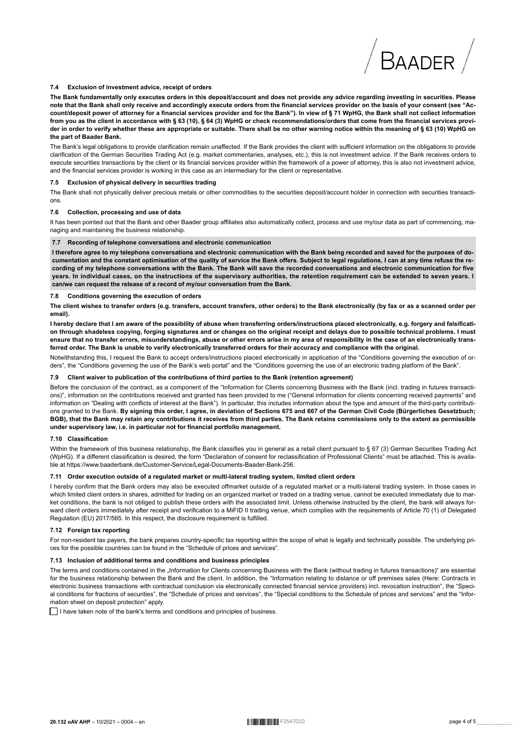#### 7.4 Exclusion of investment advice, receipt of orders

The Bank fundamentally only executes orders in this deposit/account and does not provide any advice regarding investing in securities. Please note that the Bank shall only receive and accordingly execute orders from the financial services provider on the basis of your consent (see "Account/deposit power of attorney for a financial services provider and for the Bank"). In view of § 71 WpHG, the Bank shall not collect information from you as the client in accordance with § 63 (10), § 64 (3) WpHG or check recommendations/orders that come from the financial services provider in order to verify whether these are appropriate or suitable. There shall be no other warning notice within the meaning of § 63 (10) WpHG on the part of Baader Bank.

The Bank's legal obligations to provide clarification remain unaffected. If the Bank provides the client with sufficient information on the obligations to provide clarification of the German Securities Trading Act (e.g. market commentaries, analyses, etc.), this is not investment advice. If the Bank receives orders to execute securities transactions by the client or its financial services provider within the framework of a power of attorney, this is also not investment advice, and the financial services provider is working in this case as an intermediary for the client or representative.

#### 7.5 Exclusion of physical delivery in securities trading

The Bank shall not physically deliver precious metals or other commodities to the securities deposit/account holder in connection with securities transactions.

#### 7.6 Collection, processing and use of data

It has been pointed out that the Bank and other Baader group affiliates also automatically collect, process and use my/our data as part of commencing, managing and maintaining the business relationship.

#### 7.7 Recording of telephone conversations and electronic communication

I therefore agree to my telephone conversations and electronic communication with the Bank being recorded and saved for the purposes of documentation and the constant optimisation of the quality of service the Bank offers. Subject to legal regulations, I can at any time refuse the recording of my telephone conversations with the Bank. The Bank will save the recorded conversations and electronic communication for five years. In individual cases, on the instructions of the supervisory authorities, the retention requirement can be extended to seven years. I can/we can request the release of a record of my/our conversation from the Bank.

#### $7.8$ Conditions governing the execution of orders

The client wishes to transfer orders (e.g. transfers, account transfers, other orders) to the Bank electronically (by fax or as a scanned order per email).

I hereby declare that I am aware of the possibility of abuse when transferring orders/instructions placed electronically, e.g. forgery and falsification through shadeless copying, forging signatures and or changes on the original receipt and delays due to possible technical problems. I must ensure that no transfer errors, misunderstandings, abuse or other errors arise in my area of responsibility in the case of an electronically transferred order. The Bank is unable to verify electronically transferred orders for their accuracy and compliance with the original.

Notwithstanding this, I request the Bank to accept orders/instructions placed electronically in application of the "Conditions governing the execution of orders", the "Conditions governing the use of the Bank's web portal" and the "Conditions governing the use of an electronic trading platform of the Bank".

#### Client waiver to publication of the contributions of third parties to the Bank (retention agreement) 7.9

Before the conclusion of the contract, as a component of the "Information for Clients concerning Business with the Bank (incl. trading in futures transactions)", information on the contributions received and granted has been provided to me ("General information for clients concerning received payments" and information on "Dealing with conflicts of interest at the Bank"). In particular, this includes information about the type and amount of the third-party contributions granted to the Bank. By signing this order, I agree, in deviation of Sections 675 and 667 of the German Civil Code (Bürgerliches Gesetzbuch; BGB), that the Bank may retain any contributions it receives from third parties. The Bank retains commissions only to the extent as permissible under supervisory law, i.e. in particular not for financial portfolio management.

#### 7.10 Classification

Within the framework of this business relationship, the Bank classifies you in general as a retail client pursuant to § 67 (3) German Securities Trading Act (WoHG). If a different classification is desired, the form "Declaration of consent for reclassification of Professional Clients" must be attached. This is available at https://www.baaderbank.de/Customer-Service/Legal-Documents-Baader-Bank-256.

#### 7.11 Order execution outside of a regulated market or multi-lateral trading system, limited client orders

I hereby confirm that the Bank orders may also be executed offmarket outside of a regulated market or a multi-lateral trading system. In those cases in which limited client orders in shares, admitted for trading on an organized market or traded on a trading venue, cannot be executed immediately due to market conditions, the bank is not obliged to publish these orders with the associated limit. Unless otherwise instructed by the client, the bank will always forward client orders immediately after receipt and verification to a MiFID II trading venue, which complies with the requirements of Article 70 (1) of Delegated Regulation (EU) 2017/565. In this respect, the disclosure requirement is fulfilled.

#### 7.12 Foreign tax reporting

For non-resident tax payers, the bank prepares country-specific tax reporting within the scope of what is legally and technically possible. The underlying prices for the possible countries can be found in the "Schedule of prices and services".

#### .13 Inclusion of additional terms and conditions and business principles

The terms and conditions contained in the "Information for Clients concerning Business with the Bank (without trading in futures transactions)" are essential for the business relationship between the Bank and the client. In addition, the "Information relating to distance or off premises sales (Here: Contracts in electronic business transactions with contractual conclusion via electronically connected financial service providers) incl. revocation instruction", the "Special conditions for fractions of securities", the "Schedule of prices and services", the "Special conditions to the Schedule of prices and services" and the "Information sheet on deposit protection" apply.

□ I have taken note of the bank's terms and conditions and principles of business.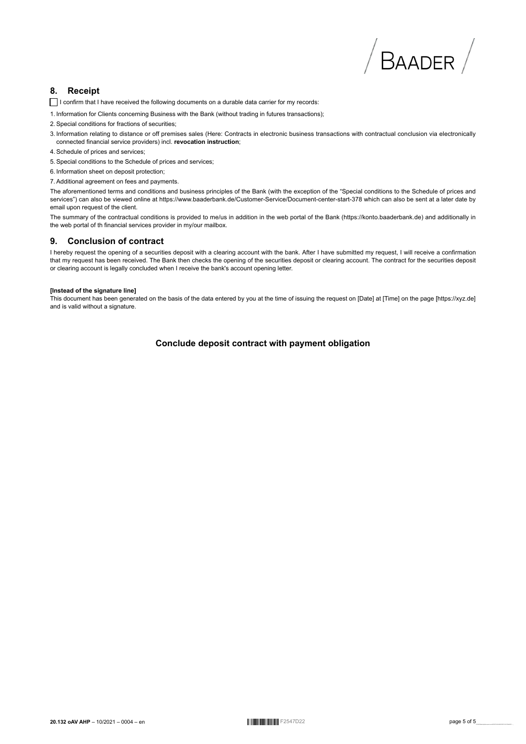# $/$  Baader  $/$

#### **Receipt** 8.

- I confirm that I have received the following documents on a durable data carrier for my records:
- 1. Information for Clients concerning Business with the Bank (without trading in futures transactions);
- 2. Special conditions for fractions of securities:
- 3. Information relating to distance or off premises sales (Here: Contracts in electronic business transactions with contractual conclusion via electronically connected financial service providers) incl. revocation instruction;
- 4. Schedule of prices and services:
- 5. Special conditions to the Schedule of prices and services:
- 6. Information sheet on deposit protection;
- 7. Additional agreement on fees and payments.

The aforementioned terms and conditions and business principles of the Bank (with the exception of the "Special conditions to the Schedule of prices and services") can also be viewed online at https://www.baaderbank.de/Customer-Service/Document-center-start-378 which can also be sent at a later date by email upon request of the client.

The summary of the contractual conditions is provided to me/us in addition in the web portal of the Bank (https://konto.baaderbank.de) and additionally in the web portal of th financial services provider in my/our mailbox.

#### $\mathbf{a}$ **Conclusion of contract**

I hereby request the opening of a securities deposit with a clearing account with the bank. After I have submitted my request, I will receive a confirmation that my request has been received. The Bank then checks the opening of the securities deposit or clearing account. The contract for the securities deposit or clearing account is legally concluded when I receive the bank's account opening letter.

#### **Instead of the signature linel**

This document has been generated on the basis of the data entered by you at the time of issuing the request on [Date] at [Time] on the page [https://xvz.de] and is valid without a signature.

Conclude deposit contract with payment obligation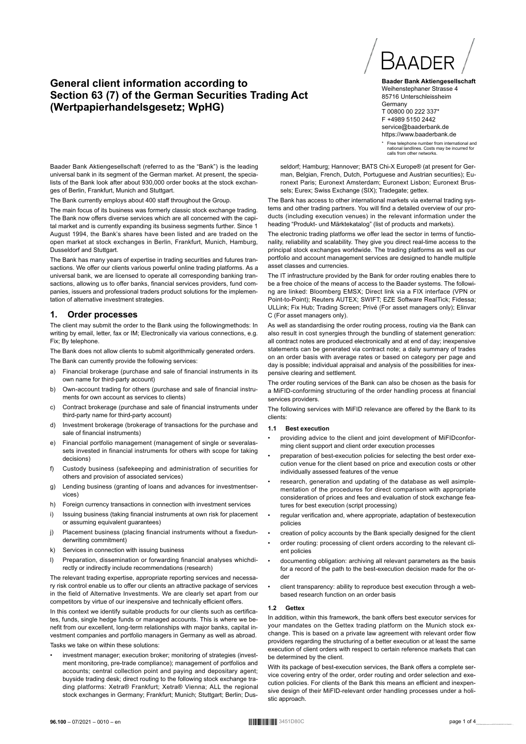# **General client information according to Section 63 (7) of the German Securities Trading Act (Wertpapierhandelsgesetz; WpHG)**



**Baader Bank Aktiengesellschaft** Weihenstephaner Strasse 4 85716 Unterschleissheim **Germany** T 00800 00 222 337\* F +4989 5150 2442 service@baaderbank.de https://www.baaderbank.de

\* Free telephone number from international and national landlines. Costs may be incurred for calls from other networks.

Baader Bank Aktiengesellschaft (referred to as the "Bank") is the leading universal bank in its segment of the German market. At present, the specialists of the Bank look after about 930,000 order books at the stock exchanges of Berlin, Frankfurt, Munich and Stuttgart.

The Bank currently employs about 400 staff throughout the Group.

The main focus of its business was formerly classic stock exchange trading. The Bank now offers diverse services which are all concerned with the capital market and is currently expanding its business segments further. Since 1 August 1994, the Bank's shares have been listed and are traded on the open market at stock exchanges in Berlin, Frankfurt, Munich, Hamburg, Dusseldorf and Stuttgart.

The Bank has many years of expertise in trading securities and futures transactions. We offer our clients various powerful online trading platforms. As a universal bank, we are licensed to operate all corresponding banking transactions, allowing us to offer banks, financial services providers, fund companies, issuers and professional traders product solutions for the implementation of alternative investment strategies.

#### **1. Order processes**

The client may submit the order to the Bank using the followingmethods: In writing by email, letter, fax or IM; Electronically via various connections, e.g. Fix; By telephone.

The Bank does not allow clients to submit algorithmically generated orders.

The Bank can currently provide the following services:

- Financial brokerage (purchase and sale of financial instruments in its own name for third-party account)
- b) Own-account trading for others (purchase and sale of financial instruments for own account as services to clients)
- c) Contract brokerage (purchase and sale of financial instruments under third-party name for third-party account)
- d) Investment brokerage (brokerage of transactions for the purchase and sale of financial instruments)
- e) Financial portfolio management (management of single or severalassets invested in financial instruments for others with scope for taking decisions)
- f) Custody business (safekeeping and administration of securities for others and provision of associated services)
- g) Lending business (granting of loans and advances for investmentservices)
- h) Foreign currency transactions in connection with investment services
- i) Issuing business (taking financial instruments at own risk for placement or assuming equivalent guarantees)
- j) Placement business (placing financial instruments without a fixedunderwriting commitment)
- k) Services in connection with issuing business
- l) Preparation, dissemination or forwarding financial analyses whichdirectly or indirectly include recommendations (research)

The relevant trading expertise, appropriate reporting services and necessary risk control enable us to offer our clients an attractive package of services in the field of Alternative Investments. We are clearly set apart from our competitors by virtue of our inexpensive and technically efficient offers.

In this context we identify suitable products for our clients such as certificates, funds, single hedge funds or managed accounts. This is where we benefit from our excellent, long-term relationships with major banks, capital investment companies and portfolio managers in Germany as well as abroad. Tasks we take on within these solutions:

investment manager; execution broker; monitoring of strategies (investment monitoring, pre-trade compliance); management of portfolios and accounts; central collection point and paying and depositary agent; buyside trading desk; direct routing to the following stock exchange trading platforms: Xetra® Frankfurt; Xetra® Vienna; ALL the regional stock exchanges in Germany; Frankfurt; Munich; Stuttgart; Berlin; Dus- •

seldorf; Hamburg; Hannover; BATS Chi-X Europe® (at present for German, Belgian, French, Dutch, Portuguese and Austrian securities); Euronext Paris; Euronext Amsterdam; Euronext Lisbon; Euronext Brussels; Eurex; Swiss Exchange (SIX); Tradegate; gettex.

The Bank has access to other international markets via external trading systems and other trading partners. You will find a detailed overview of our products (including execution venues) in the relevant information under the heading "Produkt- und Märktekatalog" (list of products and markets).

The electronic trading platforms we offer lead the sector in terms of functionality, reliability and scalability. They give you direct real-time access to the principal stock exchanges worldwide. The trading platforms as well as our portfolio and account management services are designed to handle multiple asset classes and currencies.

The IT infrastructure provided by the Bank for order routing enables there to be a free choice of the means of access to the Baader systems. The following are linked: Bloomberg EMSX; Direct link via a FIX interface (VPN or Point-to-Point); Reuters AUTEX; SWIFT; EZE Software RealTick; Fidessa; ULLink; Fix Hub; Trading Screen; Privé (For asset managers only); Elinvar C (For asset managers only).

As well as standardising the order routing process, routing via the Bank can also result in cost synergies through the bundling of statement generation: all contract notes are produced electronically and at end of day; inexpensive statements can be generated via contract note; a daily summary of trades on an order basis with average rates or based on category per page and day is possible; individual appraisal and analysis of the possibilities for inexpensive clearing and settlement.

The order routing services of the Bank can also be chosen as the basis for a MiFID-conforming structuring of the order handling process at financial services providers.

The following services with MiFID relevance are offered by the Bank to its clients:

#### **1.1 Best execution**

- providing advice to the client and joint development of MiFIDconforming client support and client order execution processes
- preparation of best-execution policies for selecting the best order execution venue for the client based on price and execution costs or other individually assessed features of the venue
- research, generation and updating of the database as well asimplementation of the procedures for direct comparison with appropriate consideration of prices and fees and evaluation of stock exchange features for best execution (script processing)
- regular verification and, where appropriate, adaptation of bestexecution policies
- creation of policy accounts by the Bank specially designed for the client
- order routing: processing of client orders according to the relevant client policies
- documenting obligation: archiving all relevant parameters as the basis for a record of the path to the best-execution decision made for the order
- client transparency: ability to reproduce best execution through a webbased research function on an order basis

#### **1.2 Gettex**

In addition, within this framework, the bank offers best executor services for your mandates on the Gettex trading platform on the Munich stock exchange. This is based on a private law agreement with relevant order flow providers regarding the structuring of a better execution or at least the same execution of client orders with respect to certain reference markets that can be determined by the client.

With its package of best-execution services, the Bank offers a complete service covering entry of the order, order routing and order selection and execution policies. For clients of the Bank this means an efficient and inexpensive design of their MiFID-relevant order handling processes under a holistic approach.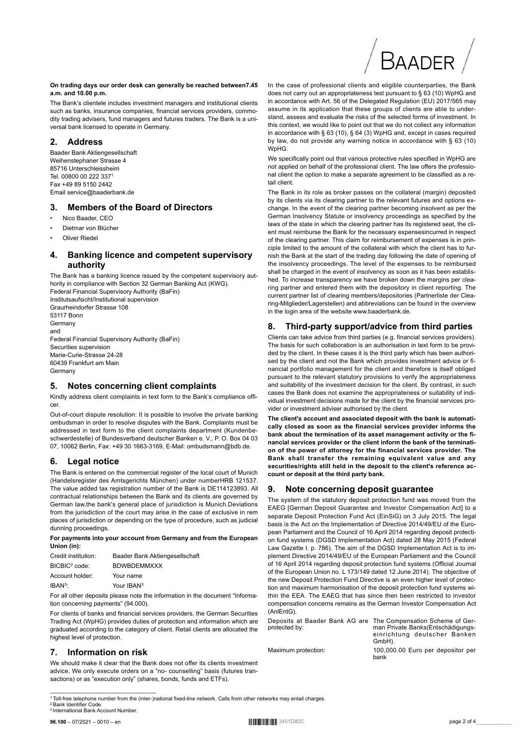# **On trading days our order desk can generally be reached between7.45**

**a.m. and 10.00 p.m.** The Bank's clientele includes investment managers and institutional clients such as banks, insurance companies, financial services providers, commodity trading advisers, fund managers and futures traders. The Bank is a uni-

## **2. Address**

Baader Bank Aktiengesellschaft Weihenstephaner Strasse 4 85716 Unterschleissheim Tel. 00800 00 222 337<sup>1</sup> Fax +49 89 5150 2442 Email service@baaderbank.de

versal bank licensed to operate in Germany.

## **3. Members of the Board of Directors**

- Nico Baader, CEO
- Dietmar von Blücher
- **Oliver Riedel**

## **4. Banking licence and competent supervisory authority**

The Bank has a banking licence issued by the competent supervisory authority in compliance with Section 32 German Banking Act (KWG). Federal Financial Supervisory Authority (BaFin) Institutsaufsicht/Institutional supervision Graurheindorfer Strasse 108 53117 Bonn **Germany** and Federal Financial Supervisory Authority (BaFin)

Securities supervision Marie-Curie-Strasse 24-28 60439 Frankfurt am Main **Germany** 

## **5. Notes concerning client complaints**

Kindly address client complaints in text form to the Bank's compliance officer.

Out-of-court dispute resolution: It is possible to involve the private banking ombudsman in order to resolve disputes with the Bank. Complaints must be addressed in text form to the client complaints department (Kundenbeschwerdestelle) of Bundesverband deutscher Banken e. V., P. O. Box 04 03 07, 10062 Berlin, Fax: +49 30 1663-3169, E-Mail: ombudsmann@bdb.de.

## **6. Legal notice**

The Bank is entered on the commercial register of the local court of Munich (Handelsregister des Amtsgerichts München) under numberHRB 121537. The value added tax registration number of the Bank is DE114123893. All contractual relationships between the Bank and its clients are governed by German law,the bank's general place of jurisdiction is Munich.Deviations from the jurisdiction of the court may arise in the case of exclusive in rem places of jurisdiction or depending on the type of procedure, such as judicial dunning proceedings.

**For payments into your account from Germany and from the European Union (in):**

| Credit institution:       | Baader Bank Aktiengesellschaft |
|---------------------------|--------------------------------|
| BICBIC <sup>2</sup> code: | <b>BDWBDEMMXXX</b>             |
| Account holder:           | Your name                      |
| $IBAN3$ :                 | Your IBAN <sup>3</sup>         |

For all other deposits please note the information in the document "Information concerning payments" (94.000).

For clients of banks and financial services providers, the German Securities Trading Act (WpHG) provides duties of protection and information which are graduated according to the category of client. Retail clients are allocated the highest level of protection.

## **7. Information on risk**

We should make it clear that the Bank does not offer its clients investment advice. We only execute orders on a "no- counselling" basis (futures transactions) or as "execution only" (shares, bonds, funds and ETFs).

In the case of professional clients and eligible counterparties, the Bank does not carry out an appropriateness test pursuant to § 63 (10) WpHG and in accordance with Art. 56 of the Delegated Regulation (EU) 2017/565 may assume in its application that these groups of clients are able to understand, assess and evaluate the risks of the selected forms of investment. In this context, we would like to point out that we do not collect any information in accordance with § 63 (10), § 64 (3) WpHG and, except in cases required by law, do not provide any warning notice in accordance with § 63 (10) WpHG.

Baader

We specifically point out that various protective rules specified in WpHG are not applied on behalf of the professional client. The law offers the professional client the option to make a separate agreement to be classified as a retail client.

The Bank in its role as broker passes on the collateral (margin) deposited by its clients via its clearing partner to the relevant futures and options exchange. In the event of the clearing partner becoming insolvent as per the German Insolvency Statute or insolvency proceedings as specified by the laws of the state in which the clearing partner has its registered seat, the client must reimburse the Bank for the necessary expensesincurred in respect of the clearing partner. This claim for reimbursement of expenses is in principle limited to the amount of the collateral with which the client has to furnish the Bank at the start of the trading day following the date of opening of the insolvency proceedings. The level of the expenses to be reimbursed shall be charged in the event of insolvency as soon as it has been established. To increase transparency we have broken down the margins per clearing partner and entered them with the depository in client reporting. The current partner list of clearing members/depositories (Partnerliste der Clearing-Mitglieder/Lagerstellen) and abbreviations can be found in the overview in the login area of the website www.baaderbank.de.

## **8. Third-party support/advice from third parties**

Clients can take advice from third parties (e.g. financial services providers). The basis for such collaboration is an authorisation in text form to be provided by the client. In these cases it is the third party which has been authorised by the client and not the Bank which provides investment advice or financial portfolio management for the client and therefore is itself obliged pursuant to the relevant statutory provisions to verify the appropriateness and suitability of the investment decision for the client. By contrast, in such cases the Bank does not examine the appropriateness or suitability of individual investment decisions made for the client by the financial services provider or investment adviser authorised by the client.

**The client's account and associated deposit with the bank is automatically closed as soon as the financial services provider informs the bank about the termination of its asset management activity or the financial services provider or the client inform the bank of the termination of the power of attorney for the financial services provider. The Bank shall transfer the remaining equivalent value and any securities/rights still held in the deposit to the client's reference account or deposit at the third party bank.**

## **9. Note concerning deposit guarantee**

The system of the statutory deposit protection fund was moved from the EAEG [German Deposit Guarantee and Investor Compensation Act] to a separate Deposit Protection Fund Act (EinSiG) on 3 July 2015. The legal basis is the Act on the Implementation of Directive 2014/49/EU of the European Parliament and the Council of 16 April 2014 regarding deposit protection fund systems (DGSD Implementation Act) dated 28 May 2015 (Federal Law Gazette I. p. 786). The aim of the DGSD Implementation Act is to implement Directive 2014/49/EU of the European Parliament and the Council of 16 April 2014 regarding deposit protection fund systems (Official Journal of the European Union no. L 173/149 dated 12 June 2014). The objective of the new Deposit Protection Fund Directive is an even higher level of protection and maximum harmonisation of the deposit protection fund systems within the EEA. The EAEG that has since then been restricted to investor compensation concerns remains as the German Investor Compensation Act (AnlEntG).

Deposits at Baader Bank AG are The Compensation Scheme of Gerprotected by: man Private Banks(Entschädigungseinrichtung deutscher Banken GmbH).

Maximum protection: 100,000.00 Euro per depositor per bank

<sup>————————————————————</sup> <sup>1</sup>Toll-free telephone number from the (inter-)national fixed-line network. Calls from other networks may entail charges.

<sup>&</sup>lt;sup>!</sup> Bank Identifier Code <sup>3</sup> International Bank Account Number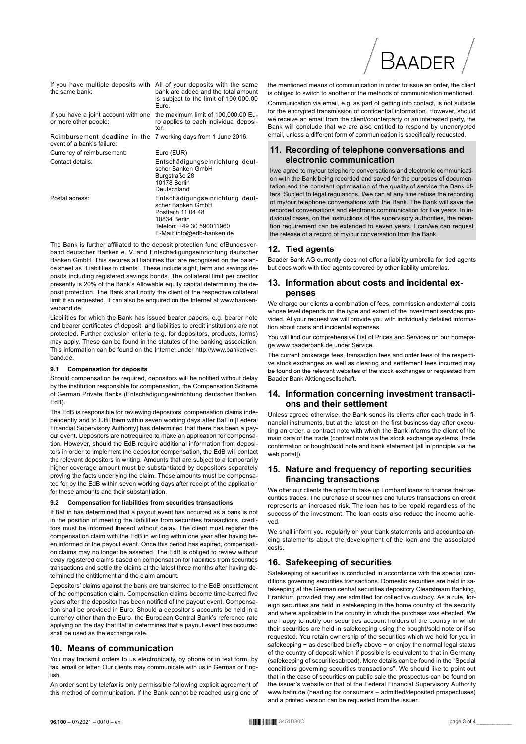| the same bank:                                                                               | If you have multiple deposits with All of your deposits with the same<br>bank are added and the total amount<br>is subject to the limit of 100,000.00<br>Euro. |
|----------------------------------------------------------------------------------------------|----------------------------------------------------------------------------------------------------------------------------------------------------------------|
| or more other people:                                                                        | If you have a joint account with one the maximum limit of 100,000.00 Eu-<br>ro applies to each individual deposi-<br>tor.                                      |
| Reimbursement deadline in the 7 working days from 1 June 2016.<br>event of a bank's failure: |                                                                                                                                                                |
| Currency of reimbursement:                                                                   | Euro (EUR)                                                                                                                                                     |
| Contact details:                                                                             | Entschädigungseinrichtung deut-<br>scher Banken GmbH<br>Burgstraße 28<br>10178 Berlin<br>Deutschland                                                           |
| Postal adress:                                                                               | Entschädigungseinrichtung deut-<br>scher Banken GmbH<br>Postfach 11 04 48<br>10834 Berlin                                                                      |

The Bank is further affiliated to the deposit protection fund ofBundesverband deutscher Banken e. V. and Entschädigungseinrichtung deutscher Banken GmbH. This secures all liabilities that are recognised on the balance sheet as "Liabilities to clients". These include sight, term and savings deposits including registered savings bonds. The collateral limit per creditor presently is 20% of the Bank's Allowable equity capital determining the deposit protection. The Bank shall notify the client of the respective collateral limit if so requested. It can also be enquired on the Internet at www.bankenverband.de.

Telefon: +49 30 590011960 E-Mail: info@edb-banken.de

Liabilities for which the Bank has issued bearer papers, e.g. bearer note and bearer certificates of deposit, and liabilities to credit institutions are not protected. Further exclusion criteria (e.g. for depositors, products, terms) may apply. These can be found in the statutes of the banking association. This information can be found on the Internet under http://www.bankenverband.de.

#### **9.1 Compensation for deposits**

Should compensation be required, depositors will be notified without delay by the institution responsible for compensation, the Compensation Scheme of German Private Banks (Entschädigungseinrichtung deutscher Banken, EdB).

The EdB is responsible for reviewing depositors' compensation claims independently and to fulfil them within seven working days after BaFin [Federal Financial Supervisory Authority] has determined that there has been a payout event. Depositors are notrequired to make an application for compensation. However, should the EdB require additional information from depositors in order to implement the depositor compensation, the EdB will contact the relevant depositors in writing. Amounts that are subject to a temporarily higher coverage amount must be substantiated by depositors separately proving the facts underlying the claim. These amounts must be compensated for by the EdB within seven working days after receipt of the application for these amounts and their substantiation.

#### **9.2 Compensation for liabilities from securities transactions**

If BaFin has determined that a payout event has occurred as a bank is not in the position of meeting the liabilities from securities transactions, creditors must be informed thereof without delay. The client must register the compensation claim with the EdB in writing within one year after having been informed of the payout event. Once this period has expired, compensation claims may no longer be asserted. The EdB is obliged to review without delay registered claims based on compensation for liabilities from securities transactions and settle the claims at the latest three months after having determined the entitlement and the claim amount.

Depositors' claims against the bank are transferred to the EdB onsettlement of the compensation claim. Compensation claims become time-barred five years after the depositor has been notified of the payout event. Compensation shall be provided in Euro. Should a depositor's accounts be held in a currency other than the Euro, the European Central Bank's reference rate applying on the day that BaFin determines that a payout event has occurred shall be used as the exchange rate.

#### **10. Means of communication**

You may transmit orders to us electronically, by phone or in text form, by fax, email or letter. Our clients may communicate with us in German or English.

An order sent by telefax is only permissible following explicit agreement of this method of communication. If the Bank cannot be reached using one of

the mentioned means of communication in order to issue an order, the client is obliged to switch to another of the methods of communication mentioned.

Baader

Communication via email, e.g. as part of getting into contact, is not suitable for the encrypted transmission of confidential information. However, should we receive an email from the client/counterparty or an interested party, the Bank will conclude that we are also entitled to respond by unencrypted email, unless a different form of communication is specifically requested.

## **11. Recording of telephone conversations and electronic communication**

I/we agree to my/our telephone conversations and electronic communication with the Bank being recorded and saved for the purposes of documentation and the constant optimisation of the quality of service the Bank offers. Subject to legal regulations, I/we can at any time refuse the recording of my/our telephone conversations with the Bank. The Bank will save the recorded conversations and electronic communication for five years. In individual cases, on the instructions of the supervisory authorities, the retention requirement can be extended to seven years. I can/we can request the release of a record of my/our conversation from the Bank.

#### **12. Tied agents**

Baader Bank AG currently does not offer a liability umbrella for tied agents but does work with tied agents covered by other liability umbrellas.

## **13. Information about costs and incidental expenses**

We charge our clients a combination of fees, commission andexternal costs whose level depends on the type and extent of the investment services provided. At your request we will provide you with individually detailed information about costs and incidental expenses.

You will find our comprehensive List of Prices and Services on our homepage www.baaderbank.de under Service.

The current brokerage fees, transaction fees and order fees of the respective stock exchanges as well as clearing and settlement fees incurred may be found on the relevant websites of the stock exchanges or requested from Baader Bank Aktiengesellschaft.

#### **14. Information concerning investment transactions and their settlement**

Unless agreed otherwise, the Bank sends its clients after each trade in financial instruments, but at the latest on the first business day after executing an order, a contract note with which the Bank informs the client of the main data of the trade (contract note via the stock exchange systems, trade confirmation or bought/sold note and bank statement [all in principle via the web portall).

## **15. Nature and frequency of reporting securities financing transactions**

We offer our clients the option to take up Lombard loans to finance their securities trades. The purchase of securities and futures transactions on credit represents an increased risk. The loan has to be repaid regardless of the success of the investment. The loan costs also reduce the income achieved.

We shall inform you regularly on your bank statements and accountbalancing statements about the development of the loan and the associated costs.

## **16. Safekeeping of securities**

Safekeeping of securities is conducted in accordance with the special conditions governing securities transactions. Domestic securities are held in safekeeping at the German central securities depository Clearstream Banking, Frankfurt, provided they are admitted for collective custody. As a rule, foreign securities are held in safekeeping in the home country of the security and where applicable in the country in which the purchase was effected. We are happy to notify our securities account holders of the country in which their securities are held in safekeeping using the bought/sold note or if so requested. You retain ownership of the securities which we hold for you in safekeeping − as described briefly above − or enjoy the normal legal status of the country of deposit which if possible is equivalent to that in Germany (safekeeping of securitiesabroad). More details can be found in the "Special conditions governing securities transactions". We should like to point out that in the case of securities on public sale the prospectus can be found on the issuer's website or that of the Federal Financial Supervisory Authority www.bafin.de (heading for consumers – admitted/deposited prospectuses) and a printed version can be requested from the issuer.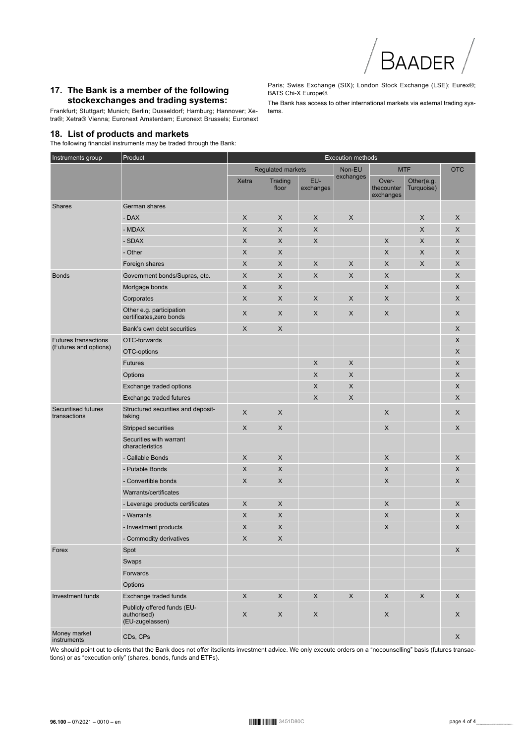## 17. The Bank is a member of the following stockexchanges and trading systems:

Frankfurt; Stuttgart; Munich; Berlin; Dusseldorf; Hamburg; Hannover; Xetra®; Xetra® Vienna; Euronext Amsterdam; Euronext Brussels; Euronext

## 18. List of products and markets

The following financial instruments may be traded through the Bank:

Paris; Swiss Exchange (SIX); London Stock Exchange (LSE); Eurex®; BATS Chi-X Europe®.

The Bank has access to other international markets via external trading systems.

| Instruments group                          | Product                                                       | Execution methods        |                  |                  |                           |                                  |                          |             |
|--------------------------------------------|---------------------------------------------------------------|--------------------------|------------------|------------------|---------------------------|----------------------------------|--------------------------|-------------|
|                                            |                                                               | <b>Regulated markets</b> |                  |                  | Non-EU<br><b>MTF</b>      |                                  | <b>OTC</b>               |             |
|                                            |                                                               | Xetra                    | Trading<br>floor | EU-<br>exchanges | exchanges                 | Over-<br>thecounter<br>exchanges | Other(e.g.<br>Turquoise) |             |
| <b>Shares</b>                              | German shares                                                 |                          |                  |                  |                           |                                  |                          |             |
|                                            | - DAX                                                         | X                        | X                | X                | X                         |                                  | X                        | X           |
|                                            | - MDAX                                                        | X                        | X                | $\times$         |                           |                                  | X                        | X           |
|                                            | - SDAX                                                        | X                        | X                | X                |                           | X                                | X                        | X           |
|                                            | - Other                                                       | X                        | X                |                  |                           | X                                | X                        | X           |
|                                            | Foreign shares                                                | X                        | X                | X                | X                         | X                                | X                        | X           |
| <b>Bonds</b>                               | Government bonds/Supras, etc.                                 | X                        | X                | X                | X                         | X                                |                          | X           |
|                                            | Mortgage bonds                                                | X                        | X                |                  |                           | X                                |                          | X           |
|                                            | Corporates                                                    | X                        | X                | X                | X                         | X                                |                          | X           |
|                                            | Other e.g. participation<br>certificates, zero bonds          | X                        | X                | X                | X                         | X                                |                          | X           |
|                                            | Bank's own debt securities                                    | X                        | X                |                  |                           |                                  |                          | X           |
| <b>Futures transactions</b>                | OTC-forwards                                                  |                          |                  |                  |                           |                                  |                          | X           |
| (Futures and options)                      | OTC-options                                                   |                          |                  |                  |                           |                                  |                          | X           |
|                                            | <b>Futures</b>                                                |                          |                  | X                | $\boldsymbol{\mathsf{X}}$ |                                  |                          | X           |
|                                            | Options                                                       |                          |                  | X                | $\boldsymbol{\mathsf{X}}$ |                                  |                          | X           |
|                                            | Exchange traded options                                       |                          |                  | X                | X                         |                                  |                          | X           |
|                                            | Exchange traded futures                                       |                          |                  | X                | X                         |                                  |                          | X           |
| <b>Securitised futures</b><br>transactions | Structured securities and deposit-<br>taking                  | X                        | X                |                  |                           | $\boldsymbol{\mathsf{X}}$        |                          | X           |
|                                            | Stripped securities                                           | X                        | X                |                  |                           | X                                |                          | X           |
|                                            | Securities with warrant<br>characteristics                    |                          |                  |                  |                           |                                  |                          |             |
|                                            | - Callable Bonds                                              | X                        | X                |                  |                           | $\boldsymbol{\mathsf{X}}$        |                          | X           |
|                                            | - Putable Bonds                                               | X                        | X                |                  |                           | $\boldsymbol{\mathsf{X}}$        |                          | X           |
|                                            | - Convertible bonds                                           | X                        | X                |                  |                           | $\boldsymbol{\mathsf{X}}$        |                          | X           |
|                                            | Warrants/certificates                                         |                          |                  |                  |                           |                                  |                          |             |
|                                            | - Leverage products certificates                              | X                        | X                |                  |                           | X                                |                          | X           |
|                                            | - Warrants                                                    | X                        | X                |                  |                           | X                                |                          | X           |
|                                            | - Investment products                                         | X                        | X                |                  |                           | X                                |                          | X           |
|                                            | - Commodity derivatives                                       | X                        | X                |                  |                           |                                  |                          |             |
| Forex                                      | Spot                                                          |                          |                  |                  |                           |                                  |                          | X           |
|                                            | Swaps                                                         |                          |                  |                  |                           |                                  |                          |             |
|                                            | Forwards                                                      |                          |                  |                  |                           |                                  |                          |             |
|                                            | Options                                                       |                          |                  |                  |                           |                                  |                          |             |
| Investment funds                           | Exchange traded funds                                         | $\mathsf X$              | $\mathsf X$      | $\mathsf X$      | $\mathsf X$               | $\mathsf X$                      | $\mathsf X$              | $\mathsf X$ |
|                                            | Publicly offered funds (EU-<br>authorised)<br>(EU-zugelassen) | $\mathsf X$              | $\mathsf X$      | $\mathsf X$      |                           | $\mathsf X$                      |                          | X           |
| Money market<br>instruments                | CDs, CPs                                                      |                          |                  |                  |                           |                                  |                          | $\mathsf X$ |

We should point out to clients that the Bank does not offer itsclients investment advice. We only execute orders on a "nocounselling" basis (futures transactions) or as "execution only" (shares, bonds, funds and ETFs).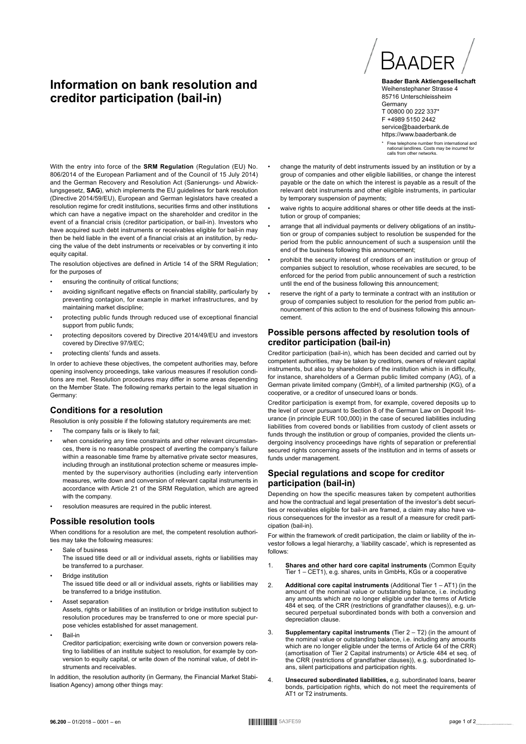# **Information on bank resolution and creditor participation (bail-in)**



**Baader Bank Aktiengesellschaft** Weihenstephaner Strasse 4 85716 Unterschleissheim **Germany** T 00800 00 222 337\* F +4989 5150 2442 service@baaderbank.de https://www.baaderbank.de

\* Free telephone number from international and national landlines. Costs may be incurred for calls from other networks.

With the entry into force of the **SRM Regulation** (Regulation (EU) No. 806/2014 of the European Parliament and of the Council of 15 July 2014) and the German Recovery and Resolution Act (Sanierungs- und Abwicklungsgesetz, **SAG**), which implements the EU guidelines for bank resolution (Directive 2014/59/EU), European and German legislators have created a resolution regime for credit institutions, securities firms and other institutions which can have a negative impact on the shareholder and creditor in the event of a financial crisis (creditor participation, or bail-in). Investors who have acquired such debt instruments or receivables eligible for bail-in may then be held liable in the event of a financial crisis at an institution, by reducing the value of the debt instruments or receivables or by converting it into equity capital.

The resolution objectives are defined in Article 14 of the SRM Regulation; for the purposes of

- ensuring the continuity of critical functions;
- avoiding significant negative effects on financial stability, particularly by preventing contagion, for example in market infrastructures, and by maintaining market discipline;
- protecting public funds through reduced use of exceptional financial support from public funds;
- protecting depositors covered by Directive 2014/49/EU and investors covered by Directive 97/9/EC;
- protecting clients' funds and assets.

In order to achieve these objectives, the competent authorities may, before opening insolvency proceedings, take various measures if resolution conditions are met. Resolution procedures may differ in some areas depending on the Member State. The following remarks pertain to the legal situation in Germany:

## **Conditions for a resolution**

Resolution is only possible if the following statutory requirements are met:

- The company fails or is likely to fail;
- when considering any time constraints and other relevant circumstances, there is no reasonable prospect of averting the company's failure within a reasonable time frame by alternative private sector measures, including through an institutional protection scheme or measures implemented by the supervisory authorities (including early intervention measures, write down and conversion of relevant capital instruments in accordance with Article 21 of the SRM Regulation, which are agreed with the company.
- resolution measures are required in the public interest.

## **Possible resolution tools**

When conditions for a resolution are met, the competent resolution authorities may take the following measures:

- Sale of business The issued title deed or all or individual assets, rights or liabilities may be transferred to a purchaser.
- **Bridge institution** The issued title deed or all or individual assets, rights or liabilities may be transferred to a bridge institution.
- Asset separation Assets, rights or liabilities of an institution or bridge institution subject to resolution procedures may be transferred to one or more special purpose vehicles established for asset management.
- Bail-in
	- Creditor participation; exercising write down or conversion powers relating to liabilities of an institute subject to resolution, for example by conversion to equity capital, or write down of the nominal value, of debt instruments and receivables.

In addition, the resolution authority (in Germany, the Financial Market Stabilisation Agency) among other things may:

- change the maturity of debt instruments issued by an institution or by a group of companies and other eligible liabilities, or change the interest payable or the date on which the interest is payable as a result of the relevant debt instruments and other eligible instruments, in particular by temporary suspension of payments;
- waive rights to acquire additional shares or other title deeds at the institution or group of companies:
- arrange that all individual payments or delivery obligations of an institution or group of companies subject to resolution be suspended for the period from the public announcement of such a suspension until the end of the business following this announcement;
- prohibit the security interest of creditors of an institution or group of companies subject to resolution, whose receivables are secured, to be enforced for the period from public announcement of such a restriction until the end of the business following this announcement;
- reserve the right of a party to terminate a contract with an institution or group of companies subject to resolution for the period from public announcement of this action to the end of business following this announcement.

## **Possible persons affected by resolution tools of creditor participation (bail-in)**

Creditor participation (bail-in), which has been decided and carried out by competent authorities, may be taken by creditors, owners of relevant capital instruments, but also by shareholders of the institution which is in difficulty, for instance, shareholders of a German public limited company (AG), of a German private limited company (GmbH), of a limited partnership (KG), of a cooperative, or a creditor of unsecured loans or bonds.

Creditor participation is exempt from, for example, covered deposits up to the level of cover pursuant to Section 8 of the German Law on Deposit Insurance (in principle EUR 100,000) in the case of secured liabilities including liabilities from covered bonds or liabilities from custody of client assets or funds through the institution or group of companies, provided the clients undergoing insolvency proceedings have rights of separation or preferential secured rights concerning assets of the institution and in terms of assets or funds under management.

## **Special regulations and scope for creditor participation (bail-in)**

Depending on how the specific measures taken by competent authorities and how the contractual and legal presentation of the investor's debt securities or receivables eligible for bail-in are framed, a claim may also have various consequences for the investor as a result of a measure for credit participation (bail-in).

For within the framework of credit participation, the claim or liability of the investor follows a legal hierarchy, a 'liability cascade', which is represented as follows:

- 1. **Shares and other hard core capital instruments** (Common Equity Tier 1 – CET1), e.g. shares, units in GmbHs, KGs or a cooperative
- 2. **Additional core capital instruments** (Additional Tier 1 AT1) (in the amount of the nominal value or outstanding balance, i.e. including any amounts which are no longer eligible under the terms of Article 484 et seq. of the CRR (restrictions of grandfather clauses)), e.g. un-secured perpetual subordinated bonds with both a conversion and depreciation clause.
- 3. **Supplementary capital instruments** (Tier 2 T2) (in the amount of the nominal value or outstanding balance, i.e. including any amounts which are no longer eligible under the terms of Article 64 of the CRR) (amortisation of Tier 2 Capital instruments) or Article 484 et seq. of the CRR (restrictions of grandfather clauses)), e.g. subordinated loans, silent participations and participation rights.
- 4. **Unsecured subordinated liabilities,** e.g. subordinated loans, bearer bonds, participation rights, which do not meet the requirements of AT1 or T2 instruments.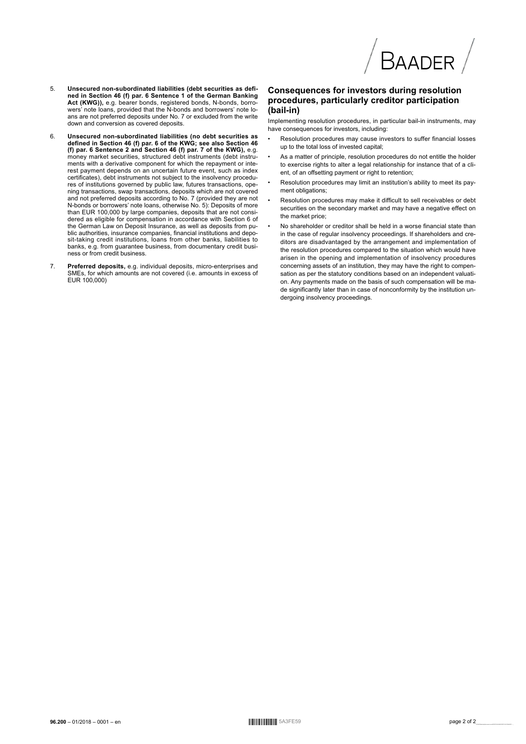

- $\overline{5}$ Unsecured non-subordinated liabilities (debt securities as defined in Section 46 (f) par. 6 Sentence 1 of the German Banking<br>Act (KWG)), e.g. bearer bonds, registered bonds, N-bonds, borrovers' note loans, provided that the N-bonds and borrowers' note lo-<br>ans are not preferred deposits under No. 7 or excluded from the write down and conversion as covered deposits
- Unsecured non-subordinated liabilities (no debt securities as<br>defined in Section 46 (f) par. 6 of the KWG; see also Section 46  $6.$ (f) par. 6 Sentence 2 and Section 46 (f) par. 7 of the KWG), e.g.<br>money market securities, structured debt instruments (debt instruments with a derivative component for which the repayment or interest payment depends on an uncertain future event, such as index certificates), debt instruments not subject to the insolvency procedures of institutions governed by public law, futures transactions, ope-<br>ning transactions, swap transactions, deposits which are not covered and not preferred deposits according to No. 7 (provided they are not N-bonds or borrowers' note loans, otherwise No. 5): Deposits of more than EUR 100,000 by large companies, deposits that are not considered as eligible for compensation in accordance with Section 6 of<br>the German Law on Deposit Insurance, as well as deposits from public authorities, insurance companies, financial institutions and deposit-taking credit institutions, loans from other banks, liabilities to banks, e.g. from guarantee business, from documentary credit business or from credit business.
- **Preferred deposits,** e.g. individual deposits, micro-enterprises and SMEs, for which amounts are not covered (i.e. amounts in excess of EUR 100,000)  $\overline{7}$

## **Consequences for investors during resolution** procedures, particularly creditor participation (bail-in)

Implementing resolution procedures, in particular bail-in instruments, may have consequences for investors, including:

- Resolution procedures may cause investors to suffer financial losses up to the total loss of invested capital;
- As a matter of principle, resolution procedures do not entitle the holder to exercise rights to alter a legal relationship for instance that of a client, of an offsetting payment or right to retention;
- Resolution procedures may limit an institution's ability to meet its payment obligations:
- Resolution procedures may make it difficult to sell receivables or debt securities on the secondary market and may have a negative effect on the market price:
- No shareholder or creditor shall be held in a worse financial state than in the case of regular insolvency proceedings. If shareholders and creditors are disadvantaged by the arrangement and implementation of the resolution procedures compared to the situation which would have arisen in the opening and implementation of insolvency procedures concerning assets of an institution, they may have the right to compensation as per the statutory conditions based on an independent valuation. Any payments made on the basis of such compensation will be made significantly later than in case of nonconformity by the institution undergoing insolvency proceedings.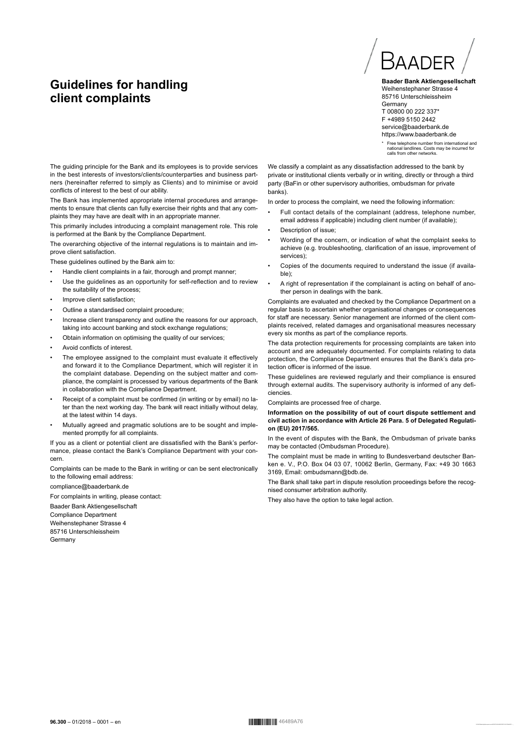# **Guidelines for handling client complaints**



**Baader Bank Aktiengesellschaft** Weihenstephaner Strasse 4 85716 Unterschleissheim **Germany** T 00800 00 222 337\* F +4989 5150 2442 service@baaderbank.de https://www.baaderbank.de

\* Free telephone number from international and national landlines. Costs may be incurred for nauonal landlines. Costs<br>calls from other networks

The guiding principle for the Bank and its employees is to provide services in the best interests of investors/clients/counterparties and business partners (hereinafter referred to simply as Clients) and to minimise or avoid conflicts of interest to the best of our ability.

The Bank has implemented appropriate internal procedures and arrangements to ensure that clients can fully exercise their rights and that any complaints they may have are dealt with in an appropriate manner.

This primarily includes introducing a complaint management role. This role is performed at the Bank by the Compliance Department.

The overarching objective of the internal regulations is to maintain and improve client satisfaction.

These guidelines outlined by the Bank aim to:

- Handle client complaints in a fair, thorough and prompt manner;
- Use the guidelines as an opportunity for self-reflection and to review the suitability of the process;
- Improve client satisfaction:
- Outline a standardised complaint procedure;
- Increase client transparency and outline the reasons for our approach, taking into account banking and stock exchange regulations;
- Obtain information on optimising the quality of our services;
- Avoid conflicts of interest.
- The employee assigned to the complaint must evaluate it effectively and forward it to the Compliance Department, which will register it in the complaint database. Depending on the subject matter and compliance, the complaint is processed by various departments of the Bank in collaboration with the Compliance Department.
- Receipt of a complaint must be confirmed (in writing or by email) no later than the next working day. The bank will react initially without delay, at the latest within 14 days.
- Mutually agreed and pragmatic solutions are to be sought and implemented promptly for all complaints.

If you as a client or potential client are dissatisfied with the Bank's performance, please contact the Bank's Compliance Department with your concern.

Complaints can be made to the Bank in writing or can be sent electronically to the following email address:

#### compliance@baaderbank.de

For complaints in writing, please contact:

Baader Bank Aktiengesellschaft Compliance Department Weihenstephaner Strasse 4 85716 Unterschleissheim Germany

We classify a complaint as any dissatisfaction addressed to the bank by private or institutional clients verbally or in writing, directly or through a third party (BaFin or other supervisory authorities, ombudsman for private banks).

In order to process the complaint, we need the following information:

- Full contact details of the complainant (address, telephone number, email address if applicable) including client number (if available);
- Description of issue:
- Wording of the concern, or indication of what the complaint seeks to achieve (e.g. troubleshooting, clarification of an issue, improvement of services);
- Copies of the documents required to understand the issue (if available);
- A right of representation if the complainant is acting on behalf of another person in dealings with the bank.

Complaints are evaluated and checked by the Compliance Department on a regular basis to ascertain whether organisational changes or consequences for staff are necessary. Senior management are informed of the client complaints received, related damages and organisational measures necessary every six months as part of the compliance reports.

The data protection requirements for processing complaints are taken into account and are adequately documented. For complaints relating to data protection, the Compliance Department ensures that the Bank's data protection officer is informed of the issue.

These guidelines are reviewed regularly and their compliance is ensured through external audits. The supervisory authority is informed of any deficiencies.

Complaints are processed free of charge.

**Information on the possibility of out of court dispute settlement and civil action in accordance with Article 26 Para. 5 of Delegated Regulation (EU) 2017/565.**

In the event of disputes with the Bank, the Ombudsman of private banks may be contacted (Ombudsman Procedure).

The complaint must be made in writing to Bundesverband deutscher Banken e. V., P.O. Box 04 03 07, 10062 Berlin, Germany, Fax: +49 30 1663 3169, Email: ombudsmann@bdb.de.

The Bank shall take part in dispute resolution proceedings before the recognised consumer arbitration authority.

They also have the option to take legal action.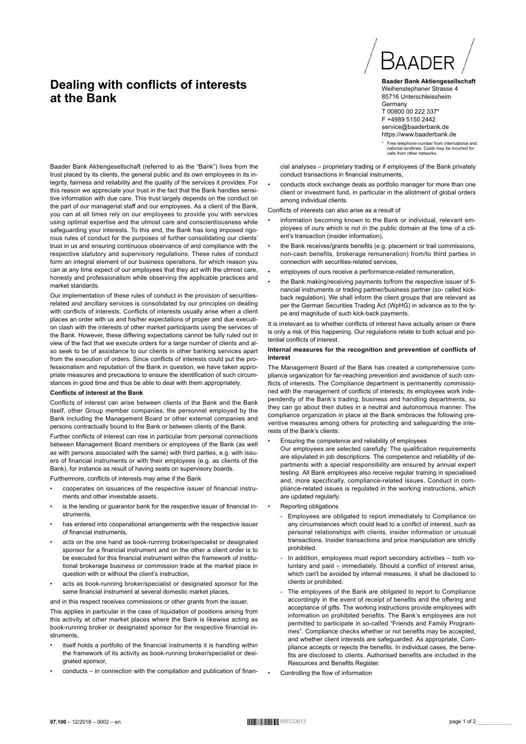# **Dealing with conflicts of interests at the Bank**



**Baader Bank Aktiengesellschaft** Weihenstephaner Strasse 4 85716 Unterschleissheim **Germany** T 00800 00 222 337\* F +4989 5150 2442 service@baaderbank.de https://www.baaderbank.de

\* Free telephone number from international and national landlines. Costs may be incurred for nauonal landlines. Costs is

cial analyses – proprietary trading or if employees of the Bank privately conduct transactions in financial instruments,

• conducts stock exchange deals as portfolio manager for more than one client or investment fund, in particular in the allotment of global orders among individual clients.

Conflicts of interests can also arise as a result of

- information becoming known to the Bank or individual, relevant employees of ours which is not in the public domain at the time of a client's transaction (insider information),
- the Bank receives/grants benefits (e.g. placement or trail commissions, non-cash benefits, brokerage remuneration) from/to third parties in connection with securities-related services,
- employees of ours receive a performance-related remuneration,
- the Bank making/receiving payments to/from the respective issuer of financial instruments or trading partner/business partner (so- called kickback regulation). We shall inform the client groups that are relevant as per the German Securities Trading Act (WpHG) in advance as to the type and magnitude of such kick-back payments.

It is irrelevant as to whether conflicts of interest have actually arisen or there is only a risk of this happening. Our regulations relate to both actual and potential conflicts of interest.

#### **Internal measures for the recognition and prevention of conflicts of interest**

The Management Board of the Bank has created a comprehensive compliance organization for far-reaching prevention and avoidance of such conflicts of interests. The Compliance department is permanently commissioned with the management of conflicts of interests; its employees work independently of the Bank's trading, business and handling departments, so they can go about their duties in a neutral and autonomous manner. The compliance organization in place at the Bank embraces the following preventive measures among others for protecting and safeguarding the interests of the Bank's clients:

#### • Ensuring the competence and reliability of employees

Our employees are selected carefully. The qualification requirements are stipulated in job descriptions. The competence and reliability of departments with a special responsibility are ensured by annual expert testing. All Bank employees also receive regular training in specialised and, more specifically, compliance-related issues. Conduct in compliance-related issues is regulated in the working instructions, which are updated regularly.

#### • Reporting obligations

- Employees are obligated to report immediately to Compliance on any circumstances which could lead to a conflict of interest, such as personal relationships with clients, insider information or unusual transactions. Insider transactions and price manipulation are strictly prohibited.
- In addition, employees must report secondary activities both voluntary and paid – immediately. Should a conflict of interest arise, which can't be avoided by internal measures, it shall be disclosed to clients or prohibited.
- The employees of the Bank are obligated to report to Compliance accordingly in the event of receipt of benefits and the offering and acceptance of gifts. The working instructions provide employees with information on prohibited benefits. The Bank's employees are not permitted to participate in so-called "Friends and Family Programmes". Compliance checks whether or not benefits may be accepted, and whether client interests are safeguarded. As appropriate, Compliance accepts or rejects the benefits. In individual cases, the benefits are disclosed to clients. Authorised benefits are included in the Resources and Benefits Register.
- Controlling the flow of information

Baader Bank Aktiengesellschaft (referred to as the "Bank") lives from the trust placed by its clients, the general public and its own employees in its integrity, fairness and reliability and the quality of the services it provides. For this reason we appreciate your trust in the fact that the Bank handles sensitive information with due care. This trust largely depends on the conduct on the part of our managerial staff and our employees. As a client of the Bank, you can at all times rely on our employees to provide you with services using optimal expertise and the utmost care and conscientiousness while safeguarding your interests. To this end, the Bank has long imposed rigorous rules of conduct for the purposes of further consolidating our clients' trust in us and ensuring continuous observance of and compliance with the respective statutory and supervisory regulations. These rules of conduct form an integral element of our business operations, for which reason you can at any time expect of our employees that they act with the utmost care, honesty and professionalism while observing the applicable practices and market standards.

Our implementation of these rules of conduct in the provision of securitiesrelated and ancillary services is consolidated by our principles on dealing with conflicts of interests. Conflicts of interests usually arise when a client places an order with us and his/her expectations of proper and due execution clash with the interests of other market participants using the services of the Bank. However, these differing expectations cannot be fully ruled out in view of the fact that we execute orders for a large number of clients and also seek to be of assistance to our clients in other banking services apart from the execution of orders. Since conflicts of interests could put the professionalism and reputation of the Bank in question, we have taken appropriate measures and precautions to ensure the identification of such circumstances in good time and thus be able to deal with them appropriately.

#### **Conflicts of interest at the Bank**

Conflicts of interest can arise between clients of the Bank and the Bank itself, other Group member companies, the personnel employed by the Bank including the Management Board or other external companies and persons contractually bound to the Bank or between clients of the Bank.

Further conflicts of interest can rise in particular from personal connections between Management Board members or employees of the Bank (as well as with persons associated with the same) with third parties, e.g. with issuers of financial instruments or with their employees (e.g. as clients of the Bank), for instance as result of having seats on supervisory boards.

Furthermore, conflicts of interests may arise if the Bank

- cooperates on issuances of the respective issuer of financial instruments and other investable assets,
- is the lending or guarantor bank for the respective issuer of financial instruments,
- has entered into cooperational arrangements with the respective issuer of financial instruments,
- acts on the one hand as book-running broker/specialist or designated sponsor for a financial instrument and on the other a client order is to be executed for this financial instrument within the framework of institutional brokerage business or commission trade at the market place in question with or without the client's instruction,
- acts as book-running broker/specialist or designated sponsor for the same financial instrument at several domestic market places,

and in this respect receives commissions or other grants from the issuer.

This applies in particular in the case of liquidation of positions arising from this activity at other market places where the Bank is likewise acting as book-running broker or designated sponsor for the respective financial instruments,

- itself holds a portfolio of the financial instruments it is handling within the framework of its activity as book-running broker/specialist or designated sponsor,
- conducts in connection with the compilation and publication of finan-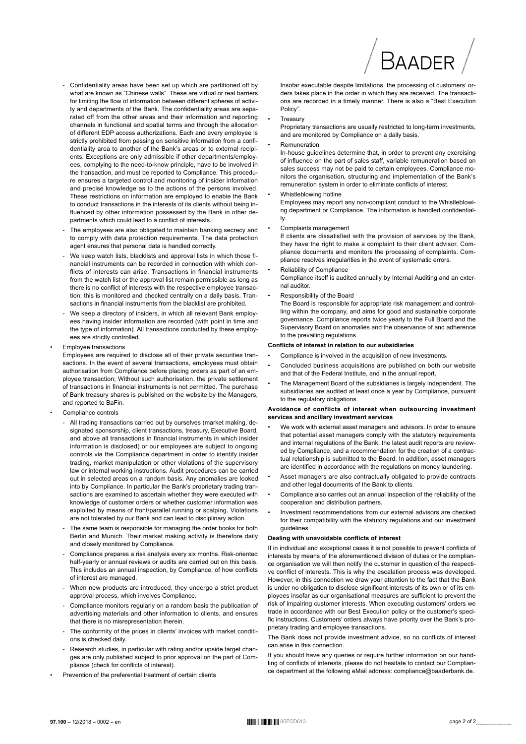- Confidentiality areas have been set up which are partitioned off by what are known as "Chinese walls". These are virtual or real barriers for limiting the flow of information between different spheres of activity and departments of the Bank. The confidentiality areas are separated off from the other areas and their information and reporting channels in functional and spatial terms and through the allocation of different EDP access authorizations. Each and every employee is strictly prohibited from passing on sensitive information from a confidentiality area to another of the Bank's areas or to external recipients. Exceptions are only admissible if other departments/employees, complying to the need-to-know principle, have to be involved in the transaction, and must be reported to Compliance. This procedure ensures a targeted control and monitoring of insider information and precise knowledge as to the actions of the persons involved. These restrictions on information are employed to enable the Bank to conduct transactions in the interests of its clients without being influenced by other information possessed by the Bank in other departments which could lead to a conflict of interests
- The employees are also obligated to maintain banking secrecy and to comply with data protection requirements. The data protection agent ensures that personal data is handled correctly.
- We keep watch lists, blacklists and approval lists in which those financial instruments can be recorded in connection with which conflicts of interests can arise. Transactions in financial instruments from the watch list or the approval list remain permissible as long as there is no conflict of interests with the respective employee transaction; this is monitored and checked centrally on a daily basis. Transactions in financial instruments from the blacklist are prohibited.
- We keep a directory of insiders, in which all relevant Bank employees having insider information are recorded (with point in time and the type of information). All transactions conducted by these employees are strictly controlled.
- **Employee transactions**

Employees are required to disclose all of their private securities transactions. In the event of several transactions, employees must obtain authorisation from Compliance before placing orders as part of an employee transaction; Without such authorisation, the private settlement of transactions in financial instruments is not permitted. The purchase of Bank treasury shares is published on the website by the Managers, and reported to BaFin.

- Compliance controls
	- All trading transactions carried out by ourselves (market making, designated sponsorship, client transactions, treasury, Executive Board, and above all transactions in financial instruments in which insider information is disclosed) or our employees are subject to ongoing controls via the Compliance department in order to identify insider trading, market manipulation or other violations of the supervisory law or internal working instructions. Audit procedures can be carried out in selected areas on a random basis. Any anomalies are looked into by Compliance. In particular the Bank's proprietary trading transactions are examined to ascertain whether they were executed with knowledge of customer orders or whether customer information was exploited by means of front/parallel running or scalping. Violations are not tolerated by our Bank and can lead to disciplinary action.
	- The same team is responsible for managing the order books for both Berlin and Munich. Their market making activity is therefore daily and closely monitored by Compliance
	- Compliance prepares a risk analysis every six months Risk-oriented half-yearly or annual reviews or audits are carried out on this basis. This includes an annual inspection, by Compliance, of how conflicts of interest are managed
	- When new products are introduced, they undergo a strict product approval process, which involves Compliance.
	- Compliance monitors regularly on a random basis the publication of advertising materials and other information to clients, and ensures that there is no misrepresentation therein.
	- The conformity of the prices in clients' invoices with market conditions is checked daily
	- Research studies, in particular with rating and/or upside target changes are only published subject to prior approval on the part of Compliance (check for conflicts of interest)
- Prevention of the preferential treatment of certain clients

Insofar executable despite limitations, the processing of customers' orders takes place in the order in which they are received. The transactions are recorded in a timely manner. There is also a "Best Execution Policy".

#### Treasury

Proprietary transactions are usually restricted to long-term investments, and are monitored by Compliance on a daily basis.

#### Remuneration

In-house guidelines determine that, in order to prevent any exercising of influence on the part of sales staff, variable remuneration based on sales success may not be paid to certain employees. Compliance monitors the organisation, structuring and implementation of the Bank's remuneration system in order to eliminate conflicts of interest.

Whistleblowing hotline

Employees may report any non-compliant conduct to the Whistleblowing department or Compliance. The information is handled confidentially.

Complaints management

If clients are dissatisfied with the provision of services by the Bank, they have the right to make a complaint to their client advisor. Compliance documents and monitors the processing of complaints. Compliance resolves irregularities in the event of systematic errors.

Reliability of Compliance

Compliance itself is audited annually by Internal Auditing and an external auditor.

Responsibility of the Board

The Board is responsible for appropriate risk management and controlling within the company, and aims for good and sustainable corporate governance. Compliance reports twice yearly to the Full Board and the Supervisory Board on anomalies and the observance of and adherence to the prevailing regulations.

#### Conflicts of interest in relation to our subsidiaries

- Compliance is involved in the acquisition of new investments
- Concluded business acquisitions are published on both our website and that of the Federal Institute, and in the annual report.
- The Management Board of the subsidiaries is largely independent. The subsidiaries are audited at least once a year by Compliance, pursuant to the regulatory obligations.

#### Avoidance of conflicts of interest when outsourcing investment services and ancillary investment services

- We work with external asset managers and advisors. In order to ensure that potential asset managers comply with the statutory requirements and internal regulations of the Bank, the latest audit reports are reviewed by Compliance, and a recommendation for the creation of a contractual relationship is submitted to the Board. In addition, asset managers are identified in accordance with the regulations on money laundering.
- Asset managers are also contractually obligated to provide contracts and other legal documents of the Bank to clients
- Compliance also carries out an annual inspection of the reliability of the cooperation and distribution partners.
- Investment recommendations from our external advisors are checked for their compatibility with the statutory regulations and our investment guidelines.

#### Dealing with unavoidable conflicts of interest

If in individual and exceptional cases it is not possible to prevent conflicts of interests by means of the aforementioned division of duties or the compliance organisation we will then notify the customer in question of the respective conflict of interests. This is why the escalation process was developed. However, in this connection we draw your attention to the fact that the Bank is under no obligation to disclose significant interests of its own or of its employees insofar as our organisational measures are sufficient to prevent the risk of impairing customer interests. When executing customers' orders we trade in accordance with our Best Execution policy or the customer's specific instructions. Customers' orders always have priority over the Bank's proprietary trading and employee transactions.

The Bank does not provide investment advice, so no conflicts of interest can arise in this connection

If you should have any queries or require further information on our handling of conflicts of interests, please do not hesitate to contact our Compliance department at the following eMail address: compliance@baaderbank.de.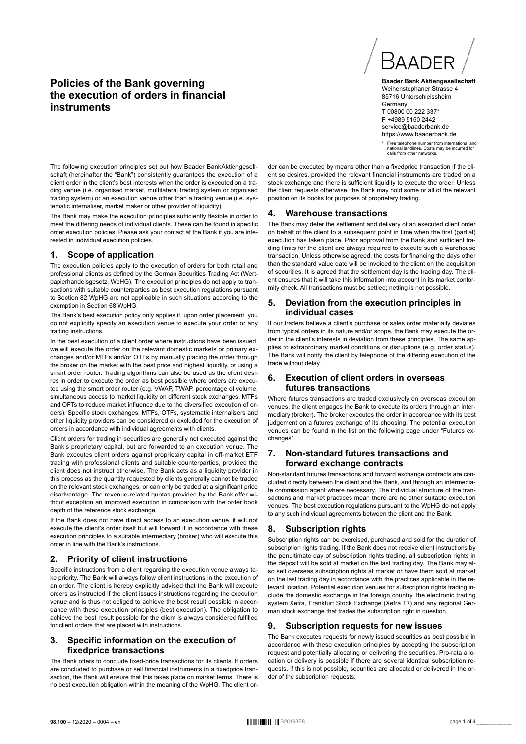# **Policies of the Bank governing the execution of orders in financial instruments**



**Baader Bank Aktiengesellschaft** Weihenstephaner Strasse 4 85716 Unterschleissheim **Germany** T 00800 00 222 337\* F +4989 5150 2442 service@baaderbank.de https://www.baaderbank.de

\* Free telephone number from international and national landlines. Costs may be incurred for national landlines. Costs i<br>calls from other networks.

The following execution principles set out how Baader BankAktiengesellschaft (hereinafter the "Bank") consistently guarantees the execution of a client order in the client's best interests when the order is executed on a trading venue (i.e. organised market, multilateral trading system or organised trading system) or an execution venue other than a trading venue (i.e. systematic internaliser, market maker or other provider of liquidity).

The Bank may make the execution principles sufficiently flexible in order to meet the differing needs of individual clients. These can be found in specific order execution policies. Please ask your contact at the Bank if you are interested in individual execution policies.

## **1. Scope of application**

The execution policies apply to the execution of orders for both retail and professional clients as defined by the German Securities Trading Act (Wertpapierhandelsgesetz, WpHG). The execution principles do not apply to transactions with suitable counterparties as best execution regulations pursuant to Section 82 WpHG are not applicable in such situations according to the exemption in Section 68 WpHG.

The Bank's best execution policy only applies if, upon order placement, you do not explicitly specify an execution venue to execute your order or any trading instructions.

In the best execution of a client order where instructions have been issued, we will execute the order on the relevant domestic markets or primary exchanges and/or MTFs and/or OTFs by manually placing the order through the broker on the market with the best price and highest liquidity, or using a smart order router. Trading algorithms can also be used as the client desires in order to execute the order as best possible where orders are executed using the smart order router (e.g. VWAP, TWAP, percentage of volume, simultaneous access to market liquidity on different stock exchanges, MTFs and OFTs to reduce market influence due to the diversified execution of orders). Specific stock exchanges, MTFs, OTFs, systematic internalisers and other liquidity providers can be considered or excluded for the execution of orders in accordance with individual agreements with clients.

Client orders for trading in securities are generally not executed against the Bank's proprietary capital, but are forwarded to an execution venue. The Bank executes client orders against proprietary capital in off-market ETF trading with professional clients and suitable counterparties, provided the client does not instruct otherwise. The Bank acts as a liquidity provider in this process as the quantity requested by clients generally cannot be traded on the relevant stock exchanges, or can only be traded at a significant price disadvantage. The revenue-related quotas provided by the Bank offer without exception an improved execution in comparison with the order book depth of the reference stock exchange.

If the Bank does not have direct access to an execution venue, it will not execute the client's order itself but will forward it in accordance with these execution principles to a suitable intermediary (broker) who will execute this order in line with the Bank's instructions.

## **2. Priority of client instructions**

Specific instructions from a client regarding the execution venue always take priority. The Bank will always follow client instructions in the execution of an order. The client is hereby explicitly advised that the Bank will execute orders as instructed if the client issues instructions regarding the execution venue and is thus not obliged to achieve the best result possible in accordance with these execution principles (best execution). The obligation to achieve the best result possible for the client is always considered fulfilled for client orders that are placed with instructions.

## **3. Specific information on the execution of fixedprice transactions**

The Bank offers to conclude fixed-price transactions for its clients. If orders are concluded to purchase or sell financial instruments in a fixedprice transaction, the Bank will ensure that this takes place on market terms. There is no best execution obligation within the meaning of the WpHG. The client order can be executed by means other than a fixedprice transaction if the client so desires, provided the relevant financial instruments are traded on a stock exchange and there is sufficient liquidity to execute the order. Unless the client requests otherwise, the Bank may hold some or all of the relevant position on its books for purposes of proprietary trading.

#### **4. Warehouse transactions**

The Bank may defer the settlement and delivery of an executed client order on behalf of the client to a subsequent point in time when the first (partial) execution has taken place. Prior approval from the Bank and sufficient trading limits for the client are always required to execute such a warehouse transaction. Unless otherwise agreed, the costs for financing the days other than the standard value date will be invoiced to the client on the acquisition of securities. It is agreed that the settlement day is the trading day. The client ensures that it will take this information into account in its market conformity check. All transactions must be settled; netting is not possible.

## **5. Deviation from the execution principles in individual cases**

If our traders believe a client's purchase or sales order materially deviates from typical orders in its nature and/or scope, the Bank may execute the order in the client's interests in deviation from these principles. The same applies to extraordinary market conditions or disruptions (e.g. order status). The Bank will notify the client by telephone of the differing execution of the trade without delay.

## **6. Execution of client orders in overseas futures transactions**

Where futures transactions are traded exclusively on overseas execution venues, the client engages the Bank to execute its orders through an intermediary (broker). The broker executes the order in accordance with its best judgement on a futures exchange of its choosing. The potential execution venues can be found in the list on the following page under "Futures exchanges".

## **7. Non-standard futures transactions and forward exchange contracts**

Non-standard futures transactions and forward exchange contracts are concluded directly between the client and the Bank, and through an intermediate commission agent where necessary. The individual structure of the transactions and market practices mean there are no other suitable execution venues. The best execution regulations pursuant to the WpHG do not apply to any such individual agreements between the client and the Bank.

## **8. Subscription rights**

Subscription rights can be exercised, purchased and sold for the duration of subscription rights trading. If the Bank does not receive client instructions by the penultimate day of subscription rights trading, all subscription rights in the deposit will be sold at market on the last trading day. The Bank may also sell overseas subscription rights at market or have them sold at market on the last trading day in accordance with the practices applicable in the relevant location. Potential execution venues for subscription rights trading include the domestic exchange in the foreign country, the electronic trading system Xetra, Frankfurt Stock Exchange (Xetra T7) and any regional German stock exchange that trades the subscription right in question.

## **9. Subscription requests for new issues**

The Bank executes requests for newly issued securities as best possible in accordance with these execution principles by accepting the subscription request and potentially allocating or delivering the securities. Pro-rata allocation or delivery is possible if there are several identical subscription requests. If this is not possible, securities are allocated or delivered in the order of the subscription requests.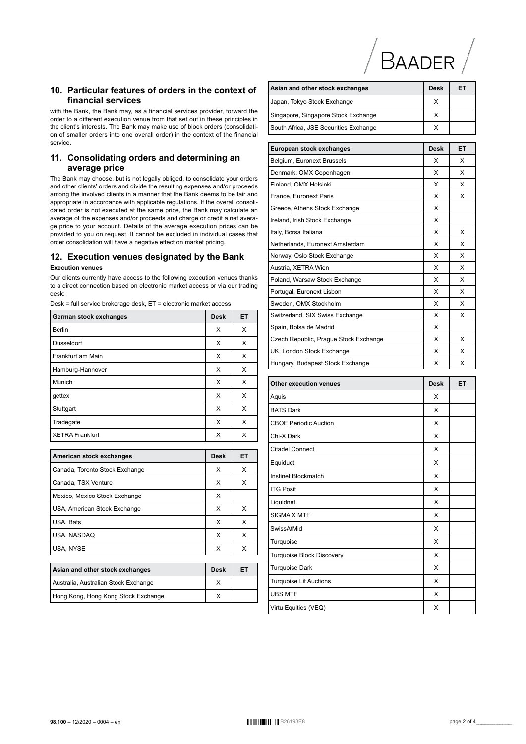

## 10. Particular features of orders in the context of financial services

with the Bank, the Bank may, as a financial services provider, forward the order to a different execution venue from that set out in these principles in the client's interests. The Bank may make use of block orders (consolidation of smaller orders into one overall order) in the context of the financial service

## 11. Consolidating orders and determining an average price

The Bank may choose, but is not legally obliged, to consolidate your orders and other clients' orders and divide the resulting expenses and/or proceeds among the involved clients in a manner that the Bank deems to be fair and appropriate in accordance with applicable regulations. If the overall consolidated order is not executed at the same price, the Bank may calculate an average of the expenses and/or proceeds and charge or credit a net average price to your account. Details of the average execution prices can be provided to you on request. It cannot be excluded in individual cases that order consolidation will have a negative effect on market pricing.

## 12. Execution venues designated by the Bank

## **Execution venues**

Our clients currently have access to the following execution venues thanks to a direct connection based on electronic market access or via our trading desk:

Desk = full service brokerage desk, ET = electronic market access

| German stock exchanges | <b>Desk</b> | ET |
|------------------------|-------------|----|
| <b>Berlin</b>          | Х           | X  |
| Düsseldorf             | X           | X  |
| Frankfurt am Main      | X           | X  |
| Hamburg-Hannover       | X           | X  |
| Munich                 | х           | Х  |
| gettex                 | X           | X  |
| Stuttgart              | X           | X  |
| Tradegate              | X           | X  |
| l XETRA Frankfurt      | X           | x  |

| American stock exchanges       | Desk | ET |
|--------------------------------|------|----|
| Canada, Toronto Stock Exchange | х    | х  |
| Canada, TSX Venture            | х    | x  |
| Mexico, Mexico Stock Exchange  | х    |    |
| USA, American Stock Exchange   | х    | х  |
| USA, Bats                      | x    | x  |
| USA, NASDAQ                    | x    | х  |
| USA, NYSE                      | х    |    |

| Asian and other stock exchanges      | <b>Desk</b> | ET |
|--------------------------------------|-------------|----|
| Australia, Australian Stock Exchange |             |    |
| Hong Kong, Hong Kong Stock Exchange  |             |    |

| Asian and other stock exchanges       | Desk        | ET |
|---------------------------------------|-------------|----|
| Japan, Tokyo Stock Exchange           | х           |    |
| Singapore, Singapore Stock Exchange   | х           |    |
| South Africa, JSE Securities Exchange | х           |    |
|                                       |             |    |
| European stock exchanges              | <b>Desk</b> | ET |
| Belgium, Euronext Brussels            | х           | х  |
| Denmark, OMX Copenhagen               | х           | х  |
| Finland, OMX Helsinki                 | Х           | х  |
| France, Euronext Paris                | х           | х  |
| Greece, Athens Stock Exchange         | Х           |    |
| Ireland, Irish Stock Exchange         | х           |    |
| Italy, Borsa Italiana                 | X           | X  |
| Netherlands, Euronext Amsterdam       | х           | х  |
| Norway, Oslo Stock Exchange           | X           | х  |
| Austria, XETRA Wien                   | х           | х  |
| Poland, Warsaw Stock Exchange         | X           | х  |
| Portugal, Euronext Lisbon             | х           | х  |
| Sweden, OMX Stockholm                 | Х           | х  |
| Switzerland, SIX Swiss Exchange       | X           | х  |
| Spain, Bolsa de Madrid                | X           |    |
| Czech Republic, Prague Stock Exchange | х           | х  |
| UK, London Stock Exchange             | х           | х  |
| Hungary, Budapest Stock Exchange      | х           | х  |
| <b>Other execution venues</b>         | Desk        | ET |
| Aquis                                 | х           |    |
| <b>BATS Dark</b>                      | Х           |    |
| <b>CBOE Periodic Auction</b>          | х           |    |
| Chi-X Dark                            | х           |    |
| <b>Citadel Connect</b>                | х           |    |
| Equiduct                              | х           |    |
| Instinet Blockmatch                   | Χ           |    |
| <b>ITG Posit</b>                      | х           |    |
| Liquidnet                             | X           |    |
| <b>SIGMA X MTF</b>                    | X           |    |
| SwissAtMid                            | X           |    |
| Turquoise                             | X           |    |
| <b>Turquoise Block Discovery</b>      | X           |    |
| <b>Turquoise Dark</b>                 | X           |    |
| <b>Turquoise Lit Auctions</b>         | х           |    |
| <b>UBS MTF</b>                        | х           |    |
| Virtu Equities (VEQ)                  | X           |    |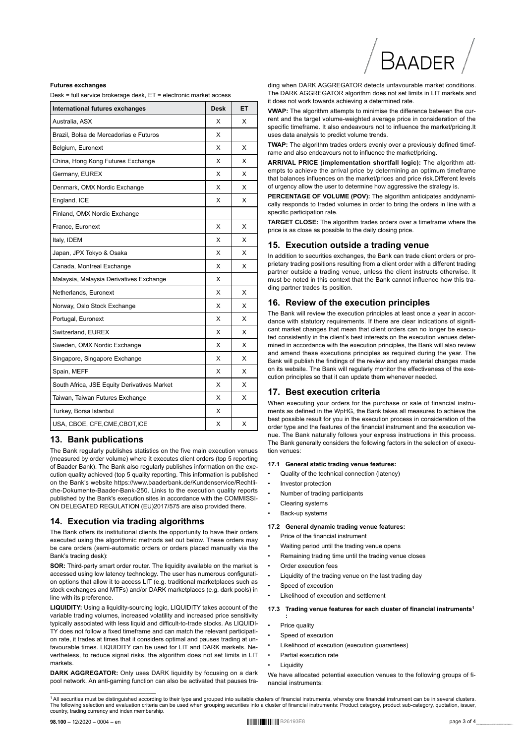#### **Futures exchanges**

Desk = full service brokerage desk FT = electronic market access

| International futures exchanges             | <b>Desk</b> | ET |
|---------------------------------------------|-------------|----|
| Australia. ASX                              | x           | x  |
| Brazil, Bolsa de Mercadorias e Futuros      | X           |    |
| Belgium, Euronext                           | X           | X  |
| China, Hong Kong Futures Exchange           | X           | X  |
| Germany, EUREX                              | X           | x  |
| Denmark, OMX Nordic Exchange                | X           | x  |
| England, ICE                                | X           | x  |
| Finland, OMX Nordic Exchange                |             |    |
| France, Euronext                            | X           | X  |
| Italy, IDEM                                 | x           | x  |
| Japan, JPX Tokyo & Osaka                    | X           | x  |
| Canada, Montreal Exchange                   | X           | x  |
| Malaysia, Malaysia Derivatives Exchange     | x           |    |
| Netherlands, Euronext                       | X           | X  |
| Norway, Oslo Stock Exchange                 | x           | x  |
| Portugal, Euronext                          | X           | x  |
| Switzerland, EUREX                          | x           | X  |
| Sweden, OMX Nordic Exchange                 | x           | X  |
| Singapore, Singapore Exchange               | x           | X  |
| Spain, MEFF                                 | x           | X  |
| South Africa, JSE Equity Derivatives Market | x           | x  |
| Taiwan, Taiwan Futures Exchange             | X           | x  |
| Turkey, Borsa Istanbul                      | X           |    |
| USA, CBOE, CFE, CME, CBOT, ICE              | x           | X  |

## 13. Bank publications

The Bank regularly publishes statistics on the five main execution venues (measured by order volume) where it executes client orders (top 5 reporting of Baader Bank). The Bank also regularly publishes information on the execution quality achieved (top 5 quality reporting. This information is published on the Bank's website https://www.baaderbank.de/Kundenservice/Rechtliche-Dokumente-Baader-Bank-250 Links to the execution quality reports published by the Bank's execution sites in accordance with the COMMISSI-ON DELEGATED REGULATION (EU)2017/575 are also provided there.

#### 14. Execution via trading algorithms

The Bank offers its institutional clients the opportunity to have their orders executed using the algorithmic methods set out below. These orders may be care orders (semi-automatic orders or orders placed manually via the Bank's trading desk):

SOR: Third-party smart order router. The liquidity available on the market is accessed using low latency technology. The user has numerous configuration options that allow it to access LIT (e.g. traditional marketplaces such as stock exchanges and MTFs) and/or DARK marketplaces (e.g. dark pools) in line with its preference.

LIQUIDITY: Using a liquidity-sourcing logic, LIQUIDITY takes account of the variable trading volumes, increased volatility and increased price sensitivity typically associated with less liquid and difficult-to-trade stocks. As LIQUIDI-TY does not follow a fixed timeframe and can match the relevant participation rate, it trades at times that it considers optimal and pauses trading at unfavourable times. LIQUIDITY can be used for LIT and DARK markets. Nevertheless, to reduce signal risks, the algorithm does not set limits in LIT markets

#### DARK AGGREGATOR: Only uses DARK liquidity by focusing on a dark pool network. An anti-gaming function can also be activated that pauses tra-

ding when DARK AGGREGATOR detects unfavourable market conditions The DARK AGGREGATOR algorithm does not set limits in LIT markets and it does not work towards achieving a determined rate.

VWAP: The algorithm attempts to minimise the difference between the current and the target volume-weighted average price in consideration of the specific timeframe. It also endeavours not to influence the market/pricing.It uses data analysis to predict volume trends.

**TWAP:** The algorithm trades orders evenly over a previously defined timeframe and also endeavours not to influence the market/pricing

ARRIVAL PRICE (implementation shortfall logic): The algorithm attempts to achieve the arrival price by determining an optimum timeframe that balances influences on the market/prices and price risk.Different levels of urgency allow the user to determine how aggressive the strategy is.

PERCENTAGE OF VOLUME (POV): The algorithm anticipates anddynamically responds to traded volumes in order to bring the orders in line with a specific participation rate

TARGET CLOSE: The algorithm trades orders over a timeframe where the price is as close as possible to the daily closing price.

#### 15. Execution outside a trading venue

In addition to securities exchanges, the Bank can trade client orders or proprietary trading positions resulting from a client order with a different trading partner outside a trading venue, unless the client instructs otherwise. It must be noted in this context that the Bank cannot influence how this trading partner trades its position.

#### 16. Review of the execution principles

The Bank will review the execution principles at least once a year in accordance with statutory requirements. If there are clear indications of significant market changes that mean that client orders can no longer be executed consistently in the client's best interests on the execution venues determined in accordance with the execution principles, the Bank will also review and amend these executions principles as required during the year. The Bank will publish the findings of the review and any material changes made on its website. The Bank will regularly monitor the effectiveness of the execution principles so that it can update them whenever needed.

#### 17. Best execution criteria

When executing your orders for the purchase or sale of financial instruments as defined in the WpHG, the Bank takes all measures to achieve the best possible result for you in the execution process in consideration of the order type and the features of the financial instrument and the execution venue. The Bank naturally follows your express instructions in this process. The Bank generally considers the following factors in the selection of execution venues

#### 17.1 General static trading venue features:

- Quality of the technical connection (latency)
- Investor protection
- Number of trading participants
- Clearing systems
- Back-up systems

#### 17.2 General dynamic trading yenue features:

- Price of the financial instrument
- Waiting period until the trading venue opens
- Remaining trading time until the trading venue closes
- Order execution fees
- Liquidity of the trading venue on the last trading day
- Speed of execution
- Likelihood of execution and settlement

#### 17.3 Trading venue features for each cluster of financial instruments<sup>1</sup>

- Price quality
- Speed of execution
- Likelihood of execution (execution guarantees)
- Partial execution rate
- **Liquidity**

We have allocated potential execution venues to the following groups of financial instruments

<sup>1</sup> All securities must be distinguished according to their type and grouped into suitable clusters of financial instruments, whereby one financial instrument can be in several clusters. The following selection and evaluation criteria can be used when grouping securities into a cluster of financial instruments: Product category, product sub-category, quotation, issuer, country, trading currency and index membership.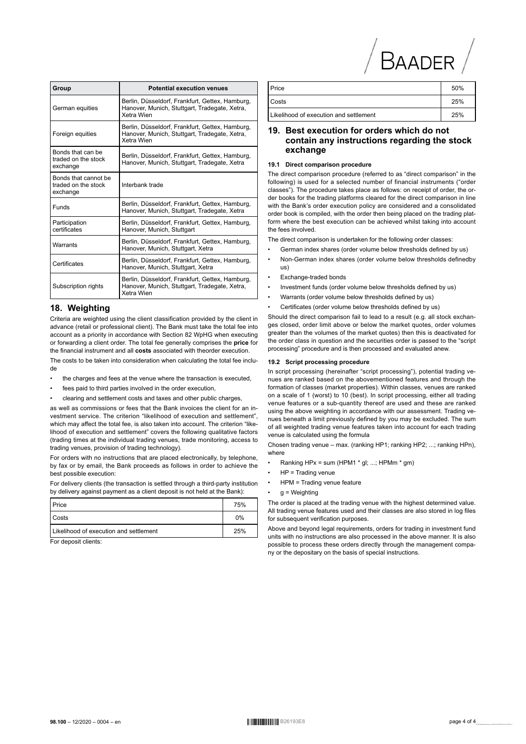| Group                                                   | <b>Potential execution venues</b>                                                                              |
|---------------------------------------------------------|----------------------------------------------------------------------------------------------------------------|
| German equities                                         | Berlin, Düsseldorf, Frankfurt, Gettex, Hamburg,<br>Hanover, Munich, Stuttgart, Tradegate, Xetra,<br>Xetra Wien |
| Foreign equities                                        | Berlin, Düsseldorf, Frankfurt, Gettex, Hamburg,<br>Hanover, Munich, Stuttgart, Tradegate, Xetra,<br>Xetra Wien |
| Bonds that can be<br>traded on the stock<br>exchange    | Berlin, Düsseldorf, Frankfurt, Gettex, Hamburg,<br>Hanover, Munich, Stuttgart, Tradegate, Xetra                |
| Bonds that cannot be<br>traded on the stock<br>exchange | Interbank trade                                                                                                |
| Funds                                                   | Berlin, Düsseldorf, Frankfurt, Gettex, Hamburg,<br>Hanover, Munich, Stuttgart, Tradegate, Xetra                |
| Participation<br>certificates                           | Berlin, Düsseldorf, Frankfurt, Gettex, Hamburg,<br>Hanover, Munich, Stuttgart                                  |
| Warrants                                                | Berlin, Düsseldorf, Frankfurt, Gettex, Hamburg,<br>Hanover, Munich, Stuttgart, Xetra                           |
| Certificates                                            | Berlin, Düsseldorf, Frankfurt, Gettex, Hamburg,<br>Hanover, Munich, Stuttgart, Xetra                           |
| Subscription rights                                     | Berlin, Düsseldorf, Frankfurt, Gettex, Hamburg,<br>Hanover, Munich, Stuttgart, Tradegate, Xetra,<br>Xetra Wien |

## 18. Weighting

Criteria are weighted using the client classification provided by the client in advance (retail or professional client). The Bank must take the total fee into account as a priority in accordance with Section 82 WpHG when executing or forwarding a client order. The total fee generally comprises the price for the financial instrument and all costs associated with theorder execution.

The costs to be taken into consideration when calculating the total fee include

- the charges and fees at the venue where the transaction is executed,
- fees paid to third parties involved in the order execution,
- clearing and settlement costs and taxes and other public charges,

as well as commissions or fees that the Bank invoices the client for an investment service. The criterion "likelihood of execution and settlement". which may affect the total fee, is also taken into account. The criterion "likelihood of execution and settlement" covers the following qualitative factors (trading times at the individual trading venues, trade monitoring, access to trading venues, provision of trading technology).

For orders with no instructions that are placed electronically, by telephone, by fax or by email, the Bank proceeds as follows in order to achieve the best possible execution:

For delivery clients (the transaction is settled through a third-party institution by delivery against payment as a client deposit is not held at the Bank):

| l Costs                                | 75% |
|----------------------------------------|-----|
|                                        | 0%  |
| Likelihood of execution and settlement | 25% |

or deposit clients

| Price                                  | 50% |
|----------------------------------------|-----|
| Costs                                  | 25% |
| Likelihood of execution and settlement | 25% |
|                                        |     |

BAADER

## 19. Best execution for orders which do not contain any instructions regarding the stock exchange

#### 19.1 Direct comparison procedure

The direct comparison procedure (referred to as "direct comparison" in the following) is used for a selected number of financial instruments ("order classes"). The procedure takes place as follows: on receipt of order, the order books for the trading platforms cleared for the direct comparison in line with the Bank's order execution policy are considered and a consolidated order book is compiled, with the order then being placed on the trading platform where the best execution can be achieved whilst taking into account the fees involved.

The direct comparison is undertaken for the following order classes:

- German index shares (order volume below thresholds defined by us)
- Non-German index shares (order volume below thresholds definedby  $us)$
- Exchange-traded bonds
- Investment funds (order volume below thresholds defined by us)
- Warrants (order volume below thresholds defined by us)
- Certificates (order volume below thresholds defined by us)

Should the direct comparison fail to lead to a result (e.g. all stock exchanges closed, order limit above or below the market quotes, order volumes greater than the volumes of the market guotes) then this is deactivated for the order class in question and the securities order is passed to the "script processing" procedure and is then processed and evaluated anew.

#### 19.2 Script processing procedure

In script processing (hereinafter "script processing"), potential trading venues are ranked based on the abovementioned features and through the formation of classes (market properties). Within classes, venues are ranked on a scale of 1 (worst) to 10 (best). In script processing, either all trading venue features or a sub-quantity thereof are used and these are ranked using the above weighting in accordance with our assessment. Trading venues beneath a limit previously defined by you may be excluded. The sum of all weighted trading venue features taken into account for each trading venue is calculated using the formula

Chosen trading venue - max. (ranking HP1; ranking HP2; ...; ranking HPn), where

- Ranking HPx = sum (HPM1 \* gl; ...; HPMm \* gm)
- $HP = \text{Trading}$  venue
- HPM = Trading venue feature
- $g = Weighting$

The order is placed at the trading venue with the highest determined value. All trading venue features used and their classes are also stored in log files for subsequent verification purposes.

Above and beyond legal requirements, orders for trading in investment fund units with no instructions are also processed in the above manner. It is also possible to process these orders directly through the management company or the depositary on the basis of special instructions.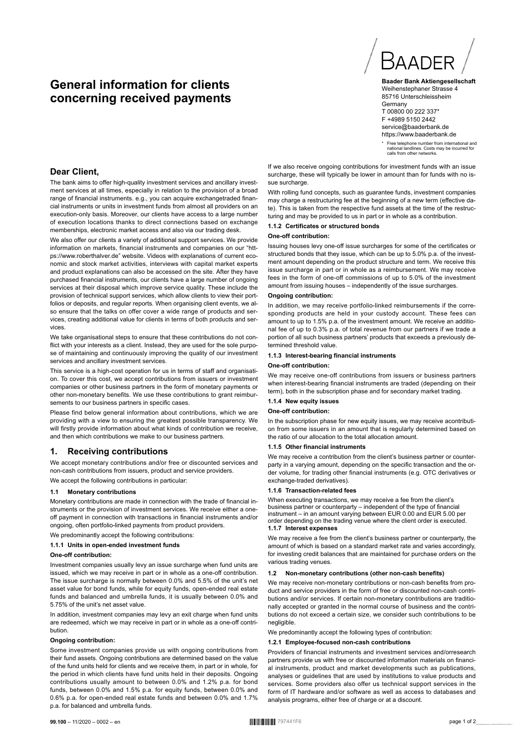# **General information for clients concerning received payments**



**Baader Bank Aktiengesellschaft** Weihenstephaner Strasse 4 85716 Unterschleissheim **Germany** T 00800 00 222 337\* F +4989 5150 2442 service@baaderbank.de https://www.baaderbank.de

\* Free telephone number from international and national landlines. Costs may be incurred for calls from other networks.

## **Dear Client,**

The bank aims to offer high-quality investment services and ancillary investment services at all times, especially in relation to the provision of a broad range of financial instruments. e.g., you can acquire exchangetraded financial instruments or units in investment funds from almost all providers on an execution-only basis. Moreover, our clients have access to a large number of execution locations thanks to direct connections based on exchange memberships, electronic market access and also via our trading desk.

We also offer our clients a variety of additional support services. We provide information on markets, financial instruments and companies on our "https://www.roberthalver.de" website. Videos with explanations of current economic and stock market activities, interviews with capital market experts and product explanations can also be accessed on the site. After they have purchased financial instruments, our clients have a large number of ongoing services at their disposal which improve service quality. These include the provision of technical support services, which allow clients to view their portfolios or deposits, and regular reports. When organising client events, we also ensure that the talks on offer cover a wide range of products and services, creating additional value for clients in terms of both products and services.

We take organisational steps to ensure that these contributions do not conflict with your interests as a client. Instead, they are used for the sole purpose of maintaining and continuously improving the quality of our investment services and ancillary investment services.

This service is a high-cost operation for us in terms of staff and organisation. To cover this cost, we accept contributions from issuers or investment companies or other business partners in the form of monetary payments or other non-monetary benefits. We use these contributions to grant reimbursements to our business partners in specific cases.

Please find below general information about contributions, which we are providing with a view to ensuring the greatest possible transparency. We will firstly provide information about what kinds of contribution we receive, and then which contributions we make to our business partners.

#### **1. Receiving contributions**

We accept monetary contributions and/or free or discounted services and non-cash contributions from issuers, product and service providers. We accept the following contributions in particular:

## **1.1 Monetary contributions**

Monetary contributions are made in connection with the trade of financial instruments or the provision of investment services. We receive either a oneoff payment in connection with transactions in financial instruments and/or ongoing, often portfolio-linked payments from product providers.

We predominantly accept the following contributions:

# **1.1.1 Units in open-ended investment funds**

**One-off contribution:**

Investment companies usually levy an issue surcharge when fund units are issued, which we may receive in part or in whole as a one-off contribution. The issue surcharge is normally between 0.0% and 5.5% of the unit's net asset value for bond funds, while for equity funds, open-ended real estate funds and balanced and umbrella funds, it is usually between 0.0% and 5.75% of the unit's net asset value.

In addition, investment companies may levy an exit charge when fund units are redeemed, which we may receive in part or in whole as a one-off contribution.

#### **Ongoing contribution:**

Some investment companies provide us with ongoing contributions from their fund assets. Ongoing contributions are determined based on the value of the fund units held for clients and we receive them, in part or in whole, for the period in which clients have fund units held in their deposits. Ongoing contributions usually amount to between 0.0% and 1.2% p.a. for bond funds, between 0.0% and 1.5% p.a. for equity funds, between 0.0% and 0.6% p.a. for open-ended real estate funds and between 0.0% and 1.7% p.a. for balanced and umbrella funds.

If we also receive ongoing contributions for investment funds with an issue surcharge, these will typically be lower in amount than for funds with no issue surcharge.

With rolling fund concepts, such as guarantee funds, investment companies may charge a restructuring fee at the beginning of a new term (effective date). This is taken from the respective fund assets at the time of the restructuring and may be provided to us in part or in whole as a contribution.

#### **1.1.2 Certificates or structured bonds**

#### **One-off contribution:**

Issuing houses levy one-off issue surcharges for some of the certificates or structured bonds that they issue, which can be up to 5.0% p.a. of the investment amount depending on the product structure and term. We receive this issue surcharge in part or in whole as a reimbursement. We may receive fees in the form of one-off commissions of up to 5.0% of the investment amount from issuing houses – independently of the issue surcharges.

#### **Ongoing contribution:**

In addition, we may receive portfolio-linked reimbursements if the corresponding products are held in your custody account. These fees can amount to up to 1.5% p.a. of the investment amount. We receive an additional fee of up to 0.3% p.a. of total revenue from our partners if we trade a portion of all such business partners' products that exceeds a previously determined threshold value.

#### **1.1.3 Interest-bearing financial instruments**

#### **One-off contribution:**

We may receive one-off contributions from issuers or business partners when interest-bearing financial instruments are traded (depending on their term), both in the subscription phase and for secondary market trading.

#### **1.1.4 New equity issues**

#### **One-off contribution:**

In the subscription phase for new equity issues, we may receive acontribution from some issuers in an amount that is regularly determined based on the ratio of our allocation to the total allocation amount.

#### **1.1.5 Other financial instruments**

We may receive a contribution from the client's business partner or counterparty in a varying amount, depending on the specific transaction and the order volume, for trading other financial instruments (e.g. OTC derivatives or exchange-traded derivatives).

#### **1.1.6 Transaction-related fees**

When executing transactions, we may receive a fee from the client's business partner or counterparty – independent of the type of financial instrument – in an amount varying between EUR 0.00 and EUR 5.00 per order depending on the trading venue where the client order is executed. **1.1.7 Interest expenses**

We may receive a fee from the client's business partner or counterparty, the amount of which is based on a standard market rate and varies accordingly, for investing credit balances that are maintained for purchase orders on the various trading venues.

#### **1.2 Non-monetary contributions (other non-cash benefits)**

We may receive non-monetary contributions or non-cash benefits from product and service providers in the form of free or discounted non-cash contributions and/or services. If certain non-monetary contributions are traditionally accepted or granted in the normal course of business and the contributions do not exceed a certain size, we consider such contributions to be negligible.

We predominantly accept the following types of contribution:

#### **1.2.1 Employee-focused non-cash contributions**

Providers of financial instruments and investment services and/orresearch partners provide us with free or discounted information materials on financial instruments, product and market developments such as publications, analyses or guidelines that are used by institutions to value products and services. Some providers also offer us technical support services in the form of IT hardware and/or software as well as access to databases and analysis programs, either free of charge or at a discount.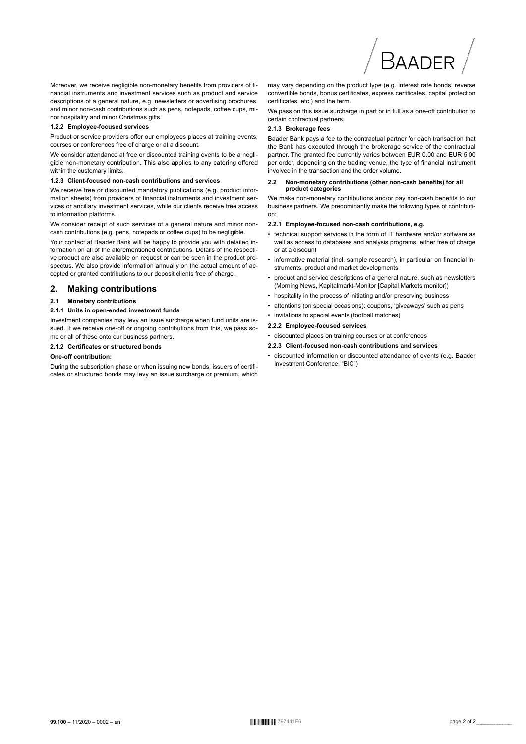Moreover, we receive negligible non-monetary benefits from providers of financial instruments and investment services such as product and service descriptions of a general nature, e.g. newsletters or advertising brochures, and minor non-cash contributions such as pens, notepads, coffee cups, minor hospitality and minor Christmas gifts.

#### 1.2.2 Employee-focused services

Product or service providers offer our employees places at training events, courses or conferences free of charge or at a discount.

We consider attendance at free or discounted training events to be a negligible non-monetary contribution. This also applies to any catering offered within the customary limits.

#### 1.2.3 Client-focused non-cash contributions and services

We receive free or discounted mandatory publications (e.g. product information sheets) from providers of financial instruments and investment services or ancillary investment services, while our clients receive free access to information platforms.

We consider receipt of such services of a general nature and minor noncash contributions (e.g. pens, notepads or coffee cups) to be negligible.

Your contact at Baader Bank will be happy to provide you with detailed information on all of the aforementioned contributions. Details of the respective product are also available on request or can be seen in the product prospectus. We also provide information annually on the actual amount of accepted or granted contributions to our deposit clients free of charge.

#### $2.$ **Making contributions**

#### **Monetary contributions**  $21$

#### 2.1.1 Units in open-ended investment funds

Investment companies may levy an issue surcharge when fund units are issued. If we receive one-off or ongoing contributions from this, we pass some or all of these onto our business partners.

#### 2.1.2 Certificates or structured bonds

#### One-off contribution:

During the subscription phase or when issuing new bonds, issuers of certificates or structured bonds may levy an issue surcharge or premium, which may vary depending on the product type (e.g. interest rate bonds, reverse convertible bonds, bonus certificates, express certificates, capital protection certificates, etc.) and the term.

RAADER

We pass on this issue surcharge in part or in full as a one-off contribution to certain contractual partners.

#### 2.1.3 Brokerage fees

Baader Bank pays a fee to the contractual partner for each transaction that the Bank has executed through the brokerage service of the contractual partner. The granted fee currently varies between EUR 0.00 and EUR 5.00 per order, depending on the trading venue, the type of financial instrument involved in the transaction and the order volume.

#### Non-monetary contributions (other non-cash benefits) for all  $22$ product categories

We make non-monetary contributions and/or pay non-cash benefits to our business partners. We predominantly make the following types of contribution:

#### 2.2.1 Employee-focused non-cash contributions, e.g.

- technical support services in the form of IT hardware and/or software as well as access to databases and analysis programs, either free of charge or at a discount
- informative material (incl. sample research), in particular on financial instruments, product and market developments
- product and service descriptions of a general nature, such as newsletters (Morning News, Kapitalmarkt-Monitor [Capital Markets monitor])
- hospitality in the process of initiating and/or preserving business
- attentions (on special occasions): coupons, 'giveaways' such as pens

# • invitations to special events (football matches)

## 2.2.2 Employee-focused services

- · discounted places on training courses or at conferences
- 2.2.3 Client-focused non-cash contributions and services
- discounted information or discounted attendance of events (e.g. Baader Investment Conference, "BIC")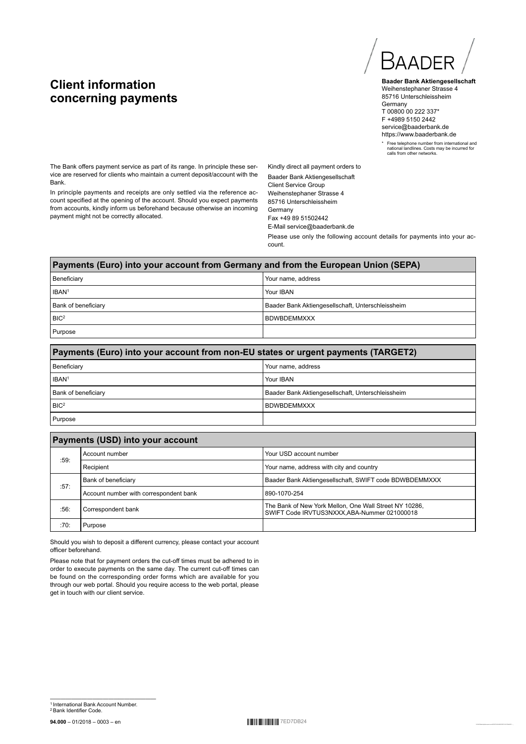# **Client information concerning payments**

Baad

**Baader Bank Aktiengesellschaft** Weihenstephaner Strasse 4 85716 Unterschleissheim Germany T 00800 00 222 337\* F +4989 5150 2442 service@baaderbank.de https://www.baaderbank.de

\* Free telephone number from international and national landlines. Costs may be incurred for calls from other networks.

The Bank offers payment service as part of its range. In principle these service are reserved for clients who maintain a current deposit/account with the Bank.

In principle payments and receipts are only settled via the reference account specified at the opening of the account. Should you expect payments from accounts, kindly inform us beforehand because otherwise an incoming payment might not be correctly allocated.

Kindly direct all payment orders to Baader Bank Aktiengesellschaft Client Service Group Weihenstephaner Strasse 4 85716 Unterschleissheim Germany Fax +49 89 51502442 E-Mail service@baaderbank.de

Please use only the following account details for payments into your account.

# **Payments (Euro) into your account from Germany and from the European Union (SEPA)** Beneficiary Your name, address IBAN<sup>1</sup> Your IBAN<sup>1</sup> Bank of beneficiary Baader Bank Aktiengesellschaft, Unterschleissheim BIC<sup>2</sup> BDWBDEMMXXX Purpose

| Payments (Euro) into your account from non-EU states or urgent payments (TARGET2) |  |  |
|-----------------------------------------------------------------------------------|--|--|
| l Beneficiarv<br>Your name, address                                               |  |  |
| IBAN <sup>1</sup><br>Your IBAN                                                    |  |  |
| l Bank of beneficiarv<br>Baader Bank Aktiengesellschaft, Unterschleissheim        |  |  |
| BIC <sup>2</sup><br><b>BDWBDEMMXXX</b>                                            |  |  |
| <b>Purpose</b>                                                                    |  |  |

| Payments (USD) into your account |                                           |                                                                                                       |  |
|----------------------------------|-------------------------------------------|-------------------------------------------------------------------------------------------------------|--|
|                                  | Your USD account number<br>Account number |                                                                                                       |  |
| :59.<br>Recipient                |                                           | Your name, address with city and country                                                              |  |
|                                  | Bank of beneficiary                       | Baader Bank Aktiengesellschaft, SWIFT code BDWBDEMMXXX                                                |  |
| :57:                             | Account number with correspondent bank    | 890-1070-254                                                                                          |  |
| :56:                             | Correspondent bank                        | The Bank of New York Mellon, One Wall Street NY 10286,<br>SWIFT Code IRVTUS3NXXX,ABA-Nummer 021000018 |  |
| :70:                             | Purpose                                   |                                                                                                       |  |

Should you wish to deposit a different currency, please contact your account officer beforehand.

Please note that for payment orders the cut-off times must be adhered to in order to execute payments on the same day. The current cut-off times can be found on the corresponding order forms which are available for you through our web portal. Should you require access to the web portal, please get in touch with our client service.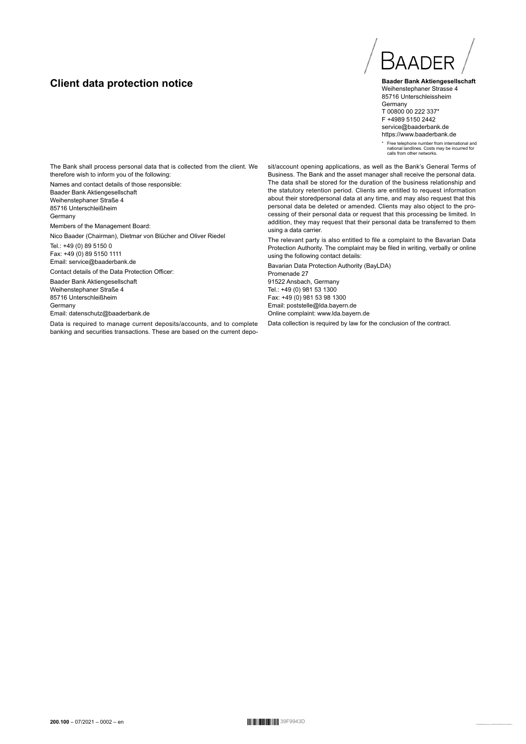# **Client data protection notice**



**Baader Bank Aktiengesellschaft** Weihenstephaner Strasse 4 85716 Unterschleissheim Germany T 00800 00 222 337\* F +4989 5150 2442 service@baaderbank.de https://www.baaderbank.de

\* Free telephone number from international and national landlines. Costs may be incurred for calls from other networks.

The Bank shall process personal data that is collected from the client. We therefore wish to inform you of the following:

Names and contact details of those responsible: Baader Bank Aktiengesellschaft Weihenstephaner Straße 4 85716 Unterschleißheim Germany

Members of the Management Board:

Nico Baader (Chairman), Dietmar von Blücher and Oliver Riedel

Tel.: +49 (0) 89 5150 0 Fax: +49 (0) 89 5150 1111 Email: service@baaderbank.de

Contact details of the Data Protection Officer:

Baader Bank Aktiengesellschaft Weihenstephaner Straße 4 85716 Unterschleißheim Germany Email: datenschutz@baaderbank.de

Data is required to manage current deposits/accounts, and to complete banking and securities transactions. These are based on the current deposit/account opening applications, as well as the Bank's General Terms of Business. The Bank and the asset manager shall receive the personal data. The data shall be stored for the duration of the business relationship and the statutory retention period. Clients are entitled to request information about their storedpersonal data at any time, and may also request that this personal data be deleted or amended. Clients may also object to the processing of their personal data or request that this processing be limited. In addition, they may request that their personal data be transferred to them using a data carrier.

The relevant party is also entitled to file a complaint to the Bavarian Data Protection Authority. The complaint may be filed in writing, verbally or online using the following contact details:

Bavarian Data Protection Authority (BayLDA) Promenade 27 91522 Ansbach, Germany Tel.: +49 (0) 981 53 1300 Fax: +49 (0) 981 53 98 1300 Email: poststelle@lda.bayern.de Online complaint: www.lda.bayern.de

Data collection is required by law for the conclusion of the contract.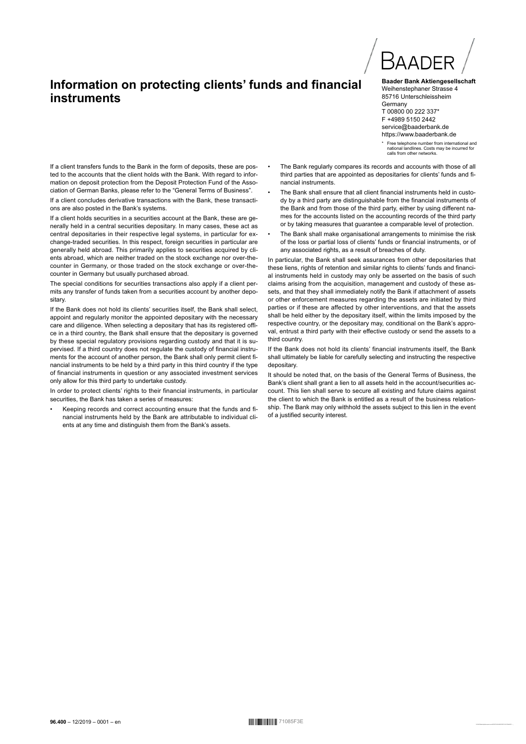# Information on protecting clients' funds and financial instruments



**Baader Bank Aktiengesellschaft** Weihenstephaner Strasse 4 85716 Unterschleissheim Germany T 00800 00 222 337\* F +4989 5150 2442 service@baaderbank.de https://www.baaderbank.de

\* Free telephone number from international and<br>national landlines. Costs may be incurred for riauoriai iariulires. Costs<br>calls from other networks

If a client transfers funds to the Bank in the form of deposits, these are posted to the accounts that the client holds with the Bank. With regard to information on deposit protection from the Deposit Protection Fund of the Association of German Banks, please refer to the "General Terms of Business".

If a client concludes derivative transactions with the Bank, these transactions are also posted in the Bank's systems.

If a client holds securities in a securities account at the Bank, these are generally held in a central securities depositary. In many cases, these act as central depositaries in their respective legal systems, in particular for exchange-traded securities. In this respect, foreign securities in particular are generally held abroad. This primarily applies to securities acquired by clients abroad, which are neither traded on the stock exchange nor over-thecounter in Germany, or those traded on the stock exchange or over-thecounter in Germany but usually purchased abroad.

The special conditions for securities transactions also apply if a client permits any transfer of funds taken from a securities account by another depositary.

If the Bank does not hold its clients' securities itself, the Bank shall select, appoint and regularly monitor the appointed depositary with the necessary care and diligence. When selecting a depositary that has its registered office in a third country, the Bank shall ensure that the depositary is governed by these special regulatory provisions regarding custody and that it is supervised. If a third country does not regulate the custody of financial instruments for the account of another person, the Bank shall only permit client financial instruments to be held by a third party in this third country if the type of financial instruments in question or any associated investment services only allow for this third party to undertake custody.

In order to protect clients' rights to their financial instruments, in particular securities, the Bank has taken a series of measures:

Keeping records and correct accounting ensure that the funds and financial instruments held by the Bank are attributable to individual clients at any time and distinguish them from the Bank's assets.

- The Bank regularly compares its records and accounts with those of all third parties that are appointed as depositaries for clients' funds and financial instruments
- The Bank shall ensure that all client financial instruments held in custody by a third party are distinguishable from the financial instruments of the Bank and from those of the third party, either by using different names for the accounts listed on the accounting records of the third party or by taking measures that guarantee a comparable level of protection.
- The Bank shall make organisational arrangements to minimise the risk of the loss or partial loss of clients' funds or financial instruments, or of any associated rights, as a result of breaches of duty.

In particular, the Bank shall seek assurances from other depositaries that these liens, rights of retention and similar rights to clients' funds and financial instruments held in custody may only be asserted on the basis of such claims arising from the acquisition, management and custody of these assets, and that they shall immediately notify the Bank if attachment of assets or other enforcement measures regarding the assets are initiated by third parties or if these are affected by other interventions, and that the assets shall be held either by the depositary itself, within the limits imposed by the respective country, or the depositary may, conditional on the Bank's approval, entrust a third party with their effective custody or send the assets to a third country.

If the Bank does not hold its clients' financial instruments itself, the Bank shall ultimately be liable for carefully selecting and instructing the respective depositary

It should be noted that on the basis of the General Terms of Business, the Bank's client shall grant a lien to all assets held in the account/securities account. This lien shall serve to secure all existing and future claims against the client to which the Bank is entitled as a result of the business relationship. The Bank may only withhold the assets subject to this lien in the event of a justified security interest.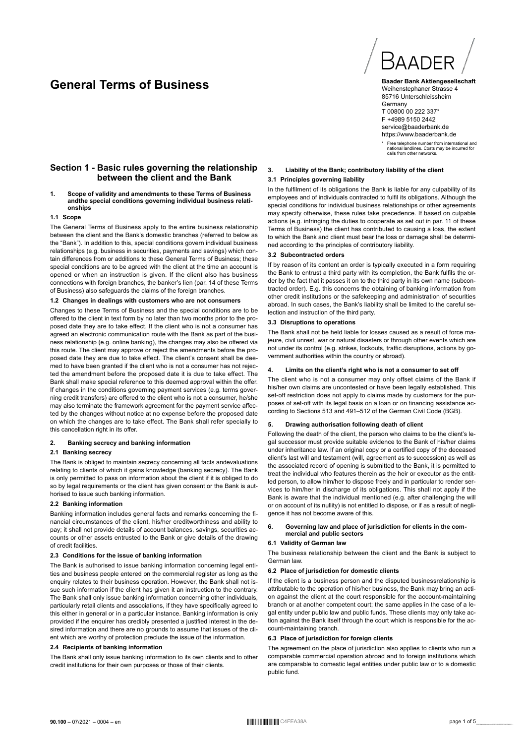# **General Terms of Business**



**Baader Bank Aktiengesellschaft** Weihenstephaner Strasse 4 85716 Unterschleissheim **Germany** T 00800 00 222 337\* F +4989 5150 2442 service@baaderbank.de https://www.baaderbank.de

\* Free telephone number from international and national landlines. Costs may be incurred for calls from other networks.

## **3. Liability of the Bank; contributory liability of the client**

#### **3.1 Principles governing liability**

## **Section 1 - Basic rules governing the relationship between the client and the Bank**

#### **1. Scope of validity and amendments to these Terms of Business andthe special conditions governing individual business relationships**

#### **1.1 Scope**

The General Terms of Business apply to the entire business relationship between the client and the Bank's domestic branches (referred to below as the "Bank"). In addition to this, special conditions govern individual business relationships (e.g. business in securities, payments and savings) which contain differences from or additions to these General Terms of Business; these special conditions are to be agreed with the client at the time an account is opened or when an instruction is given. If the client also has business connections with foreign branches, the banker's lien (par. 14 of these Terms of Business) also safeguards the claims of the foreign branches.

#### **1.2 Changes in dealings with customers who are not consumers**

Changes to these Terms of Business and the special conditions are to be offered to the client in text form by no later than two months prior to the proposed date they are to take effect. If the client who is not a consumer has agreed an electronic communication route with the Bank as part of the business relationship (e.g. online banking), the changes may also be offered via this route. The client may approve or reject the amendments before the proposed date they are due to take effect. The client's consent shall be deemed to have been granted if the client who is not a consumer has not rejected the amendment before the proposed date it is due to take effect. The Bank shall make special reference to this deemed approval within the offer. If changes in the conditions governing payment services (e.g. terms governing credit transfers) are offered to the client who is not a consumer, he/she may also terminate the framework agreement for the payment service affected by the changes without notice at no expense before the proposed date on which the changes are to take effect. The Bank shall refer specially to this cancellation right in its offer.

#### **2. Banking secrecy and banking information**

#### **2.1 Banking secrecy**

The Bank is obliged to maintain secrecy concerning all facts andevaluations relating to clients of which it gains knowledge (banking secrecy). The Bank is only permitted to pass on information about the client if it is obliged to do so by legal requirements or the client has given consent or the Bank is authorised to issue such banking information.

#### **2.2 Banking information**

Banking information includes general facts and remarks concerning the financial circumstances of the client, his/her creditworthiness and ability to pay; it shall not provide details of account balances, savings, securities accounts or other assets entrusted to the Bank or give details of the drawing of credit facilities.

#### **2.3 Conditions for the issue of banking information**

The Bank is authorised to issue banking information concerning legal entities and business people entered on the commercial register as long as the enquiry relates to their business operation. However, the Bank shall not issue such information if the client has given it an instruction to the contrary. The Bank shall only issue banking information concerning other individuals, particularly retail clients and associations, if they have specifically agreed to this either in general or in a particular instance. Banking information is only provided if the enquirer has credibly presented a justified interest in the desired information and there are no grounds to assume that issues of the client which are worthy of protection preclude the issue of the information.

#### **2.4 Recipients of banking information**

The Bank shall only issue banking information to its own clients and to other credit institutions for their own purposes or those of their clients.

In the fulfilment of its obligations the Bank is liable for any culpability of its employees and of individuals contracted to fulfil its obligations. Although the special conditions for individual business relationships or other agreements may specify otherwise, these rules take precedence. If based on culpable actions (e.g. infringing the duties to cooperate as set out in par. 11 of these Terms of Business) the client has contributed to causing a loss, the extent to which the Bank and client must bear the loss or damage shall be determined according to the principles of contributory liability.

#### **3.2 Subcontracted orders**

If by reason of its content an order is typically executed in a form requiring the Bank to entrust a third party with its completion, the Bank fulfils the order by the fact that it passes it on to the third party in its own name (subcontracted order). E.g. this concerns the obtaining of banking information from other credit institutions or the safekeeping and administration of securities abroad. In such cases, the Bank's liability shall be limited to the careful selection and instruction of the third party.

#### **3.3 Disruptions to operations**

The Bank shall not be held liable for losses caused as a result of force majeure, civil unrest, war or natural disasters or through other events which are not under its control (e.g. strikes, lockouts, traffic disruptions, actions by government authorities within the country or abroad).

#### **4. Limits on the client's right who is not a consumer to set off**

The client who is not a consumer may only offset claims of the Bank if his/her own claims are uncontested or have been legally established. This set-off restriction does not apply to claims made by customers for the purposes of set-off with its legal basis on a loan or on financing assistance according to Sections 513 and 491–512 of the German Civil Code (BGB).

#### **5. Drawing authorisation following death of client**

Following the death of the client, the person who claims to be the client's legal successor must provide suitable evidence to the Bank of his/her claims under inheritance law. If an original copy or a certified copy of the deceased client's last will and testament (will, agreement as to succession) as well as the associated record of opening is submitted to the Bank, it is permitted to treat the individual who features therein as the heir or executor as the entitled person, to allow him/her to dispose freely and in particular to render services to him/her in discharge of its obligations. This shall not apply if the Bank is aware that the individual mentioned (e.g. after challenging the will or on account of its nullity) is not entitled to dispose, or if as a result of negligence it has not become aware of this.

#### **6. Governing law and place of jurisdiction for clients in the commercial and public sectors**

#### **6.1 Validity of German law**

The business relationship between the client and the Bank is subject to German law.

#### **6.2 Place of jurisdiction for domestic clients**

If the client is a business person and the disputed businessrelationship is attributable to the operation of his/her business, the Bank may bring an action against the client at the court responsible for the account-maintaining branch or at another competent court; the same applies in the case of a legal entity under public law and public funds. These clients may only take action against the Bank itself through the court which is responsible for the account-maintaining branch.

#### **6.3 Place of jurisdiction for foreign clients**

The agreement on the place of jurisdiction also applies to clients who run a comparable commercial operation abroad and to foreign institutions which are comparable to domestic legal entities under public law or to a domestic public fund.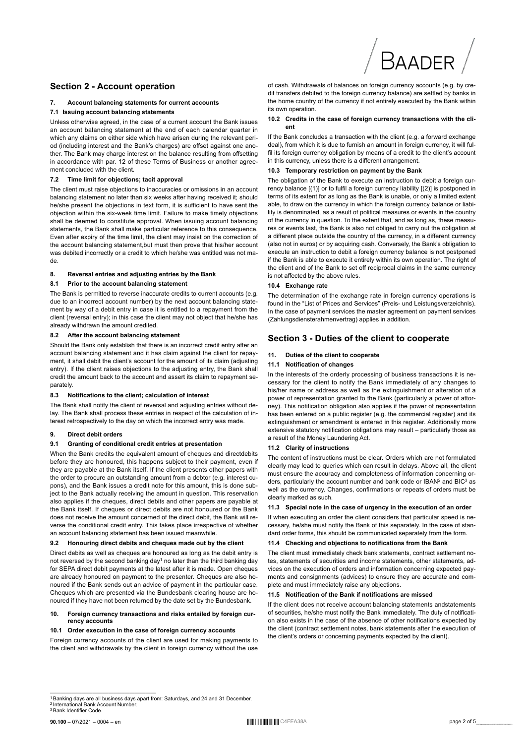

## **Section 2 - Account operation**

#### Account balancing statements for current accounts  $\overline{7}$

#### 7.1 Issuing account balancing statements

Unless otherwise agreed, in the case of a current account the Bank issues an account balancing statement at the end of each calendar quarter in which any claims on either side which have arisen during the relevant period (including interest and the Bank's charges) are offset against one another. The Bank may charge interest on the balance resulting from offsetting in accordance with par. 12 of these Terms of Business or another agreement concluded with the client.

#### 7.2 Time limit for objections; tacit approval

The client must raise objections to inaccuracies or omissions in an account balancing statement no later than six weeks after having received it: should he/she present the objections in text form, it is sufficient to have sent the objection within the six-week time limit. Failure to make timely objections shall be deemed to constitute approval. When issuing account balancing statements. the Bank shall make particular reference to this consequence. Even after expiry of the time limit, the client may insist on the correction of the account balancing statement, but must then prove that his/her account was debited incorrectly or a credit to which he/she was entitled was not made

#### Reversal entries and adjusting entries by the Bank 8.

#### $8.1$ Prior to the account balancing statement

The Bank is permitted to reverse inaccurate credits to current accounts (e.g. due to an incorrect account number) by the next account balancing statement by way of a debit entry in case it is entitled to a repayment from the client (reversal entry): in this case the client may not object that he/she has already withdrawn the amount credited.

#### After the account balancing statement 82

Should the Bank only establish that there is an incorrect credit entry after an account balancing statement and it has claim against the client for repayment, it shall debit the client's account for the amount of its claim (adjusting entry). If the client raises objections to the adjusting entry, the Bank shall credit the amount back to the account and assert its claim to repayment separately.

#### $8.3$ Notifications to the client: calculation of interest

The Bank shall notify the client of reversal and adjusting entries without delay. The Bank shall process these entries in respect of the calculation of interest retrospectively to the day on which the incorrect entry was made

#### $\mathbf{q}$ **Direct debit orders**

#### Granting of conditional credit entries at presentation  $9.1$

When the Bank credits the equivalent amount of cheques and directdebits before they are honoured, this happens subject to their payment, even if they are payable at the Bank itself. If the client presents other papers with the order to procure an outstanding amount from a debtor (e.g. interest cupons), and the Bank issues a credit note for this amount, this is done subject to the Bank actually receiving the amount in question. This reservation also applies if the cheques, direct debits and other papers are payable at the Bank itself. If cheques or direct debits are not honoured or the Bank does not receive the amount concerned of the direct debit, the Bank will reverse the conditional credit entry. This takes place irrespective of whether an account balancing statement has been issued meanwhile.

#### $9.2$ Honouring direct debits and cheques made out by the client

Direct debits as well as cheques are honoured as long as the debit entry is not reversed by the second banking day<sup>1</sup> no later than the third banking day for SEPA direct debit payments at the latest after it is made. Open cheques are already honoured on payment to the presenter. Cheques are also honoured if the Bank sends out an advice of payment in the particular case. Cheques which are presented via the Bundesbank clearing house are honoured if they have not been returned by the date set by the Bundesbank.

#### $10.$ Foreign currency transactions and risks entailed by foreign currency accounts

#### 10.1 Order execution in the case of foreign currency accounts

Foreign currency accounts of the client are used for making payments to the client and withdrawals by the client in foreign currency without the use

of cash. Withdrawals of balances on foreign currency accounts (e.g. by credit transfers debited to the foreign currency balance) are settled by banks in the home country of the currency if not entirely executed by the Bank within its own operation.

#### 10.2 Credits in the case of foreign currency transactions with the client

If the Bank concludes a transaction with the client (e.g. a forward exchange deal), from which it is due to furnish an amount in foreign currency, it will fulfil its foreign currency obligation by means of a credit to the client's account in this currency, unless there is a different arrangement.

#### 10.3 Temporary restriction on payment by the Bank

The obligation of the Bank to execute an instruction to debit a foreign currency balance [(1)] or to fulfil a foreign currency liability [(2)] is postponed in terms of its extent for as long as the Bank is unable, or only a limited extent able, to draw on the currency in which the foreign currency balance or liability is denominated, as a result of political measures or events in the country of the currency in question. To the extent that, and as long as, these measures or events last, the Bank is also not obliged to carry out the obligation at a different place outside the country of the currency, in a different currency (also not in euros) or by acquiring cash. Conversely, the Bank's obligation to execute an instruction to debit a foreign currency balance is not postponed if the Bank is able to execute it entirely within its own operation. The right of the client and of the Bank to set off reciprocal claims in the same currency is not affected by the above rules.

#### 10.4 Exchange rate

The determination of the exchange rate in foreign currency operations is found in the "List of Prices and Services" (Preis- und Leistungsverzeichnis). In the case of payment services the master agreement on payment services (Zahlungsdiensterahmenvertrag) applies in addition.

## Section 3 - Duties of the client to cooperate

#### Duties of the client to cooperate  $11.$

#### 11.1 Notification of changes

In the interests of the orderly processing of business transactions it is necessary for the client to notify the Bank immediately of any changes to his/her name or address as well as the extinguishment or alteration of a power of representation granted to the Bank (particularly a power of attorney). This notification obligation also applies if the power of representation has been entered on a public register (e.g. the commercial register) and its extinguishment or amendment is entered in this register. Additionally more extensive statutory notification obligations may result - particularly those as a result of the Money Laundering Act.

#### 11.2 Clarity of instructions

The content of instructions must be clear. Orders which are not formulated clearly may lead to queries which can result in delays. Above all, the client must ensure the accuracy and completeness of information concerning orders, particularly the account number and bank code or IBAN<sup>2</sup> and BIC<sup>3</sup> as well as the currency. Changes, confirmations or repeats of orders must be clearly marked as such.

#### 11.3 Special note in the case of urgency in the execution of an order

If when executing an order the client considers that particular speed is necessary, he/she must notify the Bank of this separately. In the case of standard order forms, this should be communicated separately from the form.

#### 11.4 Checking and objections to notifications from the Bank

The client must immediately check bank statements, contract settlement notes, statements of securities and income statements, other statements, advices on the execution of orders and information concerning expected payments and consignments (advices) to ensure they are accurate and complete and must immediately raise any objections.

#### 11.5 Notification of the Bank if notifications are missed

If the client does not receive account balancing statements andstatements of securities, he/she must notify the Bank immediately. The duty of notification also exists in the case of the absence of other notifications expected by the client (contract settlement notes, bank statements after the execution of the client's orders or concerning payments expected by the client).

International Bank Account Number <sup>3</sup> Bank Identifier Code

<sup>&</sup>lt;sup>1</sup> Banking days are all business days apart from: Saturdays, and 24 and 31 December.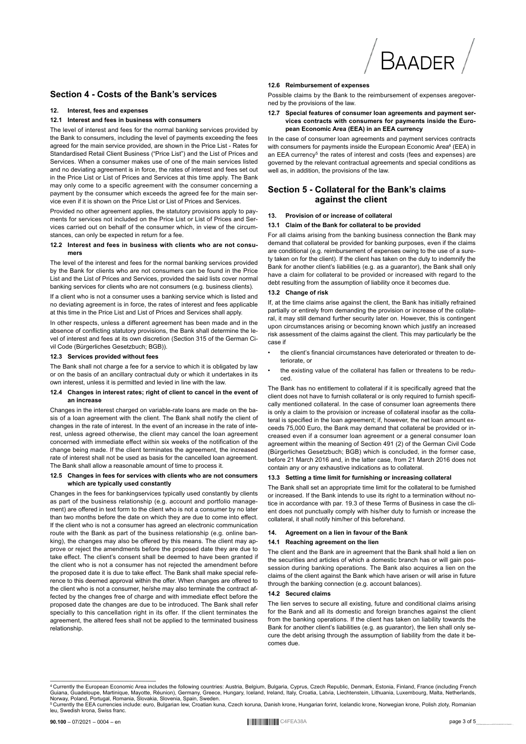

#### Section 4 - Costs of the Bank's services

#### $12<sub>1</sub>$ Interest fees and expenses

#### 12.1 Interest and fees in business with consumers

The level of interest and fees for the normal banking services provided by the Bank to consumers, including the level of payments exceeding the fees agreed for the main service provided, are shown in the Price List - Rates for Standardised Retail Client Business ("Price List") and the List of Prices and Services, When a consumer makes use of one of the main services listed and no deviating agreement is in force, the rates of interest and fees set out in the Price List or List of Prices and Services at this time apply. The Bank may only come to a specific agreement with the consumer concerning a payment by the consumer which exceeds the agreed fee for the main service even if it is shown on the Price List or List of Prices and Services

Provided no other agreement applies, the statutory provisions apply to payments for services not included on the Price List or List of Prices and Services carried out on behalf of the consumer which, in view of the circumstances, can only be expected in return for a fee.

# 12.2 Interest and fees in business with clients who are not consu-

The level of the interest and fees for the normal banking services provided by the Bank for clients who are not consumers can be found in the Price List and the List of Prices and Services, provided the said lists cover normal banking services for clients who are not consumers (e.g. business clients).

If a client who is not a consumer uses a banking service which is listed and no deviating agreement is in force, the rates of interest and fees applicable at this time in the Price List and List of Prices and Services shall apply.

In other respects, unless a different agreement has been made and in the absence of conflicting statutory provisions, the Bank shall determine the level of interest and fees at its own discretion (Section 315 of the German Civil Code (Bürgerliches Gesetzbuch; BGB)).

#### 12.3 Services provided without fees

The Bank shall not charge a fee for a service to which it is obligated by law or on the basis of an ancillary contractual duty or which it undertakes in its own interest, unless it is permitted and levied in line with the law.

#### 12.4 Changes in interest rates; right of client to cancel in the event of an increase

Changes in the interest charged on variable-rate loans are made on the basis of a loan agreement with the client. The Bank shall notify the client of changes in the rate of interest. In the event of an increase in the rate of interest, unless agreed otherwise, the client may cancel the loan agreement concerned with immediate effect within six weeks of the notification of the change being made. If the client terminates the agreement, the increased rate of interest shall not be used as basis for the cancelled loan agreement. The Bank shall allow a reasonable amount of time to process it.

#### 12.5 Changes in fees for services with clients who are not consumers which are typically used constantly

Changes in the fees for bankingservices typically used constantly by clients as part of the business relationship (e.g. account and portfolio management) are offered in text form to the client who is not a consumer by no later than two months before the date on which they are due to come into effect. If the client who is not a consumer has agreed an electronic communication route with the Bank as part of the business relationship (e.g. online banking), the changes may also be offered by this means. The client may approve or reject the amendments before the proposed date they are due to take effect. The client's consent shall be deemed to have been granted if the client who is not a consumer has not rejected the amendment before the proposed date it is due to take effect. The Bank shall make special reference to this deemed approval within the offer. When changes are offered to the client who is not a consumer, he/she may also terminate the contract affected by the changes free of charge and with immediate effect before the proposed date the changes are due to be introduced. The Bank shall refer specially to this cancellation right in its offer. If the client terminates the agreement, the altered fees shall not be applied to the terminated business relationship

#### 12.6 Reimbursement of expenses

Possible claims by the Bank to the reimbursement of expenses aregoverned by the provisions of the law

#### 12.7 Special features of consumer loan agreements and payment services contracts with consumers for payments inside the European Economic Area (EEA) in an EEA currency

In the case of consumer loan agreements and payment services contracts with consumers for payments inside the European Economic Area<sup>4</sup> (EEA) in an EEA currency<sup>5</sup> the rates of interest and costs (fees and expenses) are governed by the relevant contractual agreements and special conditions as well as, in addition, the provisions of the law.

## Section 5 - Collateral for the Bank's claims against the client

#### Provision of or increase of collateral  $13.$

#### 13.1 Claim of the Bank for collateral to be provided

For all claims arising from the banking business connection the Bank may demand that collateral be provided for banking purposes, even if the claims are conditional (e.g. reimbursement of expenses owing to the use of a surety taken on for the client) If the client has taken on the duty to indemnify the Bank for another client's liabilities (e.g. as a guarantor), the Bank shall only have a claim for collateral to be provided or increased with regard to the debt resulting from the assumption of liability once it becomes due.

#### 13.2 Change of risk

If, at the time claims arise against the client, the Bank has initially refrained partially or entirely from demanding the provision or increase of the collateral it may still demand further security later on However this is contingent upon circumstances arising or becoming known which justify an increased risk assessment of the claims against the client. This may particularly be the case if

- the client's financial circumstances have deteriorated or threaten to deteriorate or
- the existing value of the collateral has fallen or threatens to be redu-**CAN**

The Bank has no entitlement to collateral if it is specifically agreed that the client does not have to furnish collateral or is only required to furnish specifically mentioned collateral. In the case of consumer loan agreements there is only a claim to the provision or increase of collateral insofar as the collateral is specified in the loan agreement: if, however, the net loan amount exceeds 75,000 Euro, the Bank may demand that collateral be provided or increased even if a consumer loan agreement or a general consumer loan agreement within the meaning of Section 491 (2) of the German Civil Code (Bürgerliches Gesetzbuch; BGB) which is concluded, in the former case, before 21 March 2016 and, in the latter case, from 21 March 2016 does not contain any or any exhaustive indications as to collateral.

#### 13.3 Setting a time limit for furnishing or increasing collateral

The Bank shall set an appropriate time limit for the collateral to be furnished or increased. If the Bank intends to use its right to a termination without notice in accordance with par. 19.3 of these Terms of Business in case the client does not punctually comply with his/her duty to furnish or increase the collateral, it shall notify him/her of this beforehand.

#### Agreement on a lien in favour of the Bank  $14.$

#### 14.1 Reaching agreement on the lien

The client and the Bank are in agreement that the Bank shall hold a lien on the securities and articles of which a domestic branch has or will gain possession during banking operations. The Bank also acquires a lien on the claims of the client against the Bank which have arisen or will arise in future through the banking connection (e.g. account balances).

#### 14.2 Secured claims

The lien serves to secure all existing, future and conditional claims arising for the Bank and all its domestic and foreign branches against the client from the banking operations. If the client has taken on liability towards the Bank for another client's liabilities (e.g. as guarantor), the lien shall only secure the debt arising through the assumption of liability from the date it becomes due

<sup>&</sup>lt;sup>4</sup> Currently the European Economic Area includes the following countries: Austria, Belgium, Bulgaria, Cyprus, Czech Republic, Denmark, Estonia, Finland, France (including French Guiana, Guadeloupe, Martinique, Mayotte, Réunion), Germany, Greece, Hungary, Iceland, Ireland, Italy, Croatia, Latvia, Liechtenstein, Lithuania, Luxembourg, Malta, Netherlands, Norway, Poland, Portugal, Romania, Slovakia,

Currently the EEA currencies include: euro, Bulgarian lew, Croatian kuna, Czech koruna, Danish krone, Hungarian forint, Icelandic krone, Norwegian krone, Polish zloty, Romanian leu, Swedish krona, Swiss franc.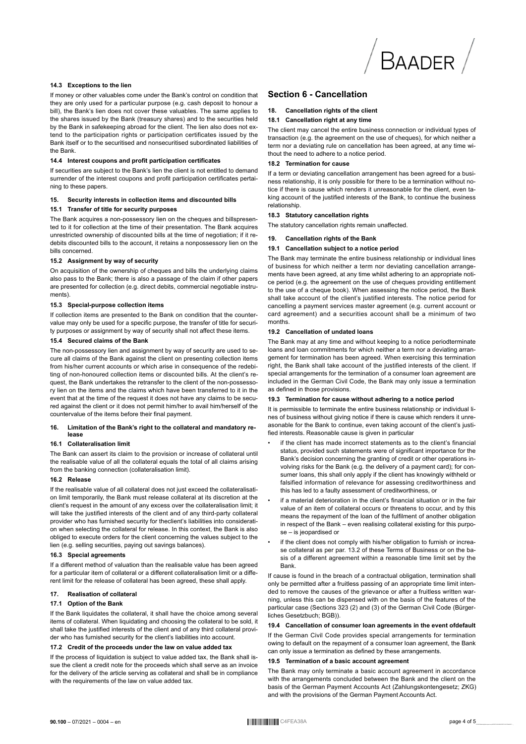

#### 14.3 Exceptions to the lien

If money or other valuables come under the Bank's control on condition that they are only used for a particular purpose (e.g. cash deposit to honour a bill), the Bank's lien does not cover these valuables. The same applies to the shares issued by the Bank (treasury shares) and to the securities held by the Bank in safekeeping abroad for the client. The lien also does not extend to the participation rights or participation certificates issued by the Bank itself or to the securitised and nonsecuritised subordinated liabilities of the Bank.

#### 14.4 Interest coupons and profit participation certificates

If securities are subject to the Bank's lien the client is not entitled to demand surrender of the interest coupons and profit participation certificates pertaining to these papers.

#### 15. Security interests in collection items and discounted bills

#### 15.1 Transfer of title for security purposes

The Bank acquires a non-possessory lien on the cheques and billspresented to it for collection at the time of their presentation. The Bank acquires unrestricted ownership of discounted bills at the time of negotiation; if it redebits discounted bills to the account, it retains a nonpossessory lien on the hills concerned

#### 15.2 Assignment by way of security

On acquisition of the ownership of cheques and bills the underlying claims also pass to the Bank: there is also a passage of the claim if other papers are presented for collection (e.g. direct debits, commercial negotiable instruments).

#### 15.3 Special-purpose collection items

If collection items are presented to the Bank on condition that the countervalue may only be used for a specific purpose, the transfer of title for security purposes or assignment by way of security shall not affect these items.

#### 15.4 Secured claims of the Bank

The non-possessory lien and assignment by way of security are used to secure all claims of the Bank against the client on presenting collection items from his/her current accounts or which arise in consequence of the redebiting of non-honoured collection items or discounted bills. At the client's request, the Bank undertakes the retransfer to the client of the non-possessory lien on the items and the claims which have been transferred to it in the event that at the time of the request it does not have any claims to be secured against the client or it does not permit him/her to avail him/herself of the countervalue of the items before their final payment.

#### 16. Limitation of the Bank's right to the collateral and mandatory release

#### 16.1 Collateralisation limit

The Bank can assert its claim to the provision or increase of collateral until the realisable value of all the collateral equals the total of all claims arising from the banking connection (collateralisation limit).

#### 16.2 Release

If the realisable value of all collateral does not just exceed the collateralisation limit temporarily, the Bank must release collateral at its discretion at the client's request in the amount of any excess over the collateralisation limit; it will take the justified interests of the client and of any third-party collateral provider who has furnished security for theclient's liabilities into consideration when selecting the collateral for release. In this context, the Bank is also obliged to execute orders for the client concerning the values subject to the lien (e.g. selling securities, paying out savings balances).

#### 16.3 Special agreements

If a different method of valuation than the realisable value has been agreed for a particular item of collateral or a different collateralisation limit or a different limit for the release of collateral has been agreed, these shall apply.

#### $17$ **Realisation of collateral**

#### 17.1 Option of the Bank

If the Bank liquidates the collateral, it shall have the choice among several items of collateral. When liquidating and choosing the collateral to be sold, it shall take the justified interests of the client and of any third collateral provider who has furnished security for the client's liabilities into account.

#### 17.2 Credit of the proceeds under the law on value added tax

If the process of liquidation is subject to value added tax, the Bank shall issue the client a credit note for the proceeds which shall serve as an invoice for the delivery of the article serving as collateral and shall be in compliance with the requirements of the law on value added tax.

## **Section 6 - Cancellation**

#### $18$ Cancellation rights of the client

#### 18.1 Cancellation right at any time

The client may cancel the entire business connection or individual types of transaction (e.g. the agreement on the use of cheques), for which neither a term nor a deviating rule on cancellation has been agreed, at any time without the need to adhere to a notice period.

#### 18.2 Termination for cause

If a term or deviating cancellation arrangement has been agreed for a business relationship, it is only possible for there to be a termination without notice if there is cause which renders it unreasonable for the client, even taking account of the justified interests of the Bank, to continue the business relationship.

#### 18.3 Statutory cancellation rights

The statutory cancellation rights remain unaffected.

#### **Cancellation rights of the Bank**  $19.$

#### 19.1 Cancellation subject to a notice period

The Bank may terminate the entire business relationship or individual lines of business for which neither a term nor deviating cancellation arrangements have been agreed, at any time whilst adhering to an appropriate notice period (e.g. the agreement on the use of cheques providing entitlement to the use of a cheque book). When assessing the notice period, the Bank shall take account of the client's justified interests. The notice period for cancelling a payment services master agreement (e.g. current account or card agreement) and a securities account shall be a minimum of two months

#### 19.2 Cancellation of undated loans

The Bank may at any time and without keeping to a notice periodterminate loans and loan commitments for which neither a term nor a deviating arrangement for termination has been agreed. When exercising this termination right, the Bank shall take account of the justified interests of the client. If special arrangements for the termination of a consumer loan agreement are included in the German Civil Code, the Bank may only issue a termination as defined in those provisions.

#### 19.3 Termination for cause without adhering to a notice period

It is permissible to terminate the entire business relationship or individual lines of business without giving notice if there is cause which renders it unreasonable for the Bank to continue, even taking account of the client's justified interests. Reasonable cause is given in particular

- if the client has made incorrect statements as to the client's financial status, provided such statements were of significant importance for the Bank's decision concerning the granting of credit or other operations involving risks for the Bank (e.g. the delivery of a payment card); for consumer loans, this shall only apply if the client has knowingly withheld or falsified information of relevance for assessing creditworthiness and this has led to a faulty assessment of creditworthiness, or
- if a material deterioration in the client's financial situation or in the fair value of an item of collateral occurs or threatens to occur, and by this means the repayment of the loan of the fulfilment of another obligation in respect of the Bank - even realising collateral existing for this purpose - is jeopardised or
- if the client does not comply with his/her obligation to furnish or increase collateral as per par. 13.2 of these Terms of Business or on the basis of a different agreement within a reasonable time limit set by the **Bank**

If cause is found in the breach of a contractual obligation, termination shall only be permitted after a fruitless passing of an appropriate time limit intended to remove the causes of the grievance or after a fruitless written warning, unless this can be dispensed with on the basis of the features of the particular case (Sections 323 (2) and (3) of the German Civil Code (Bürgerliches Gesetzbuch: BGB)).

#### 19.4 Cancellation of consumer loan agreements in the event ofdefault

If the German Civil Code provides special arrangements for termination owing to default on the repayment of a consumer loan agreement, the Bank can only issue a termination as defined by these arrangements.

#### 19.5 Termination of a basic account agreement

The Bank may only terminate a basic account agreement in accordance with the arrangements concluded between the Bank and the client on the basis of the German Payment Accounts Act (Zahlungskontengesetz: ZKG) and with the provisions of the German Payment Accounts Act.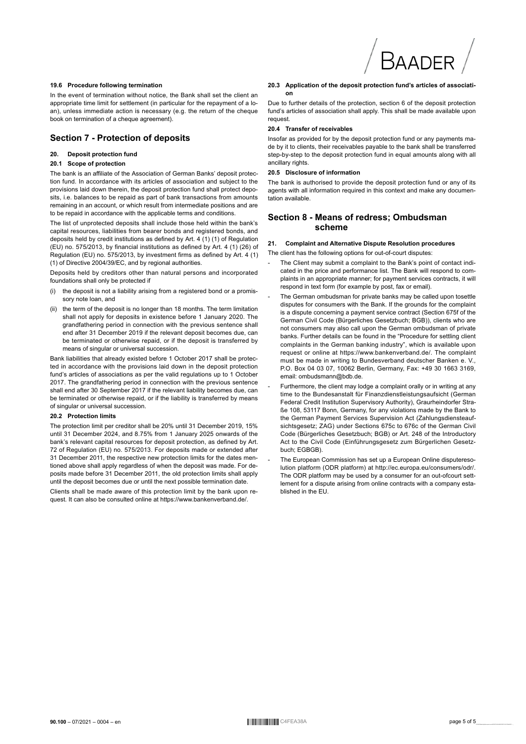

#### **19.6 Procedure following termination**

In the event of termination without notice, the Bank shall set the client an appropriate time limit for settlement (in particular for the repayment of a loan), unless immediate action is necessary (e.g. the return of the cheque book on termination of a cheque agreement).

#### **Section 7 - Protection of deposits**

#### **20. Deposit protection fund**

#### **20.1 Scope of protection**

The bank is an affiliate of the Association of German Banks' deposit protection fund. In accordance with its articles of association and subject to the provisions laid down therein, the deposit protection fund shall protect deposits, i.e. balances to be repaid as part of bank transactions from amounts remaining in an account, or which result from intermediate positions and are to be repaid in accordance with the applicable terms and conditions.

The list of unprotected deposits shall include those held within the bank's capital resources, liabilities from bearer bonds and registered bonds, and deposits held by credit institutions as defined by Art. 4 (1) (1) of Regulation (EU) no. 575/2013, by financial institutions as defined by Art. 4 (1) (26) of Regulation (EU) no. 575/2013, by investment firms as defined by Art. 4 (1) (1) of Directive 2004/39/EC, and by regional authorities.

Deposits held by creditors other than natural persons and incorporated foundations shall only be protected if

- the deposit is not a liability arising from a registered bond or a promissory note loan, and
- (ii) the term of the deposit is no longer than 18 months. The term limitation shall not apply for deposits in existence before 1 January 2020. The grandfathering period in connection with the previous sentence shall end after 31 December 2019 if the relevant deposit becomes due, can be terminated or otherwise repaid, or if the deposit is transferred by means of singular or universal succession.

Bank liabilities that already existed before 1 October 2017 shall be protected in accordance with the provisions laid down in the deposit protection fund's articles of associations as per the valid regulations up to 1 October 2017. The grandfathering period in connection with the previous sentence shall end after 30 September 2017 if the relevant liability becomes due, can be terminated or otherwise repaid, or if the liability is transferred by means of singular or universal succession.

#### **20.2 Protection limits**

The protection limit per creditor shall be 20% until 31 December 2019, 15% until 31 December 2024, and 8.75% from 1 January 2025 onwards of the bank's relevant capital resources for deposit protection, as defined by Art. 72 of Regulation (EU) no. 575/2013. For deposits made or extended after 31 December 2011, the respective new protection limits for the dates mentioned above shall apply regardless of when the deposit was made. For deposits made before 31 December 2011, the old protection limits shall apply until the deposit becomes due or until the next possible termination date.

Clients shall be made aware of this protection limit by the bank upon request. It can also be consulted online at https://www.bankenverband.de/.

#### **20.3 Application of the deposit protection fund's articles of association**

Due to further details of the protection, section 6 of the deposit protection fund's articles of association shall apply. This shall be made available upon request.

#### **20.4 Transfer of receivables**

Insofar as provided for by the deposit protection fund or any payments made by it to clients, their receivables payable to the bank shall be transferred step-by-step to the deposit protection fund in equal amounts along with all ancillary rights.

#### **20.5 Disclosure of information**

The bank is authorised to provide the deposit protection fund or any of its agents with all information required in this context and make any documentation available.

#### **Section 8 - Means of redress; Ombudsman scheme**

#### **21. Complaint and Alternative Dispute Resolution procedures**

The client has the following options for out-of-court disputes:

- The Client may submit a complaint to the Bank's point of contact indicated in the price and performance list. The Bank will respond to complaints in an appropriate manner; for payment services contracts, it will respond in text form (for example by post, fax or email).
- The German ombudsman for private banks may be called upon tosettle disputes for consumers with the Bank. If the grounds for the complaint is a dispute concerning a payment service contract (Section 675f of the German Civil Code (Bürgerliches Gesetzbuch; BGB)), clients who are not consumers may also call upon the German ombudsman of private banks. Further details can be found in the "Procedure for settling client complaints in the German banking industry", which is available upon request or online at https://www.bankenverband.de/. The complaint must be made in writing to Bundesverband deutscher Banken e. V., P.O. Box 04 03 07, 10062 Berlin, Germany, Fax: +49 30 1663 3169, email: ombudsmann@bdb.de.
- Furthermore, the client may lodge a complaint orally or in writing at any time to the Bundesanstalt für Finanzdienstleistungsaufsicht (German Federal Credit Institution Supervisory Authority), Graurheindorfer Straße 108, 53117 Bonn, Germany, for any violations made by the Bank to the German Payment Services Supervision Act (Zahlungsdiensteaufsichtsgesetz; ZAG) under Sections 675c to 676c of the German Civil Code (Bürgerliches Gesetzbuch; BGB) or Art. 248 of the Introductory Act to the Civil Code (Einführungsgesetz zum Bürgerlichen Gesetzbuch: EGBGB)
- The European Commission has set up a European Online disputeresolution platform (ODR platform) at http://ec.europa.eu/consumers/odr/. The ODR platform may be used by a consumer for an out-ofcourt settlement for a dispute arising from online contracts with a company established in the EU.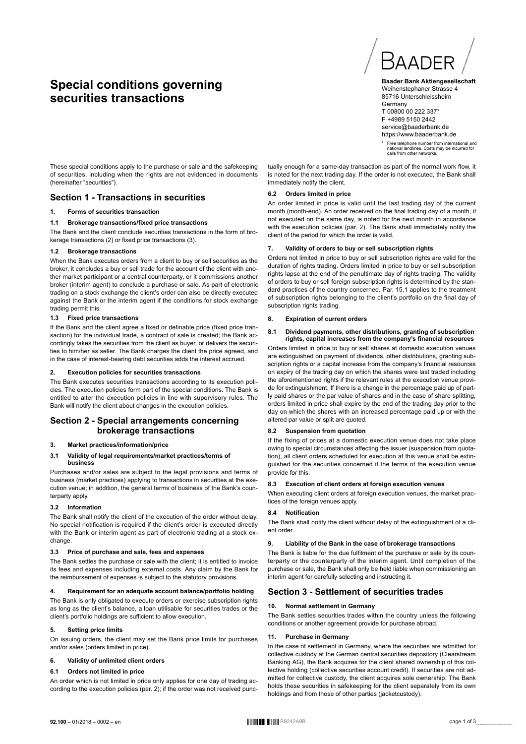# **Special conditions governing securities transactions**



**Baader Bank Aktiengesellschaft** Weihenstephaner Strasse 4 85716 Unterschleissheim **Germany** T 00800 00 222 337\* F +4989 5150 2442 service@baaderbank.de https://www.baaderbank.de

\* Free telephone number from international and national landlines. Costs may be incurred for calls from other networks.

These special conditions apply to the purchase or sale and the safekeeping of securities, including when the rights are not evidenced in documents (hereinafter "securities").

## **Section 1 - Transactions in securities**

#### **1. Forms of securities transaction**

#### **1.1 Brokerage transactions/fixed price transactions**

The Bank and the client conclude securities transactions in the form of brokerage transactions (2) or fixed price transactions (3).

#### **1.2 Brokerage transactions**

When the Bank executes orders from a client to buy or sell securities as the broker, it concludes a buy or sell trade for the account of the client with another market participant or a central counterparty, or it commissions another broker (interim agent) to conclude a purchase or sale. As part of electronic trading on a stock exchange the client's order can also be directly executed against the Bank or the interim agent if the conditions for stock exchange trading permit this.

#### **1.3 Fixed price transactions**

If the Bank and the client agree a fixed or definable price (fixed price transaction) for the individual trade, a contract of sale is created; the Bank accordingly takes the securities from the client as buyer, or delivers the securities to him/her as seller. The Bank charges the client the price agreed, and in the case of interest-bearing debt securities adds the interest accrued.

#### **2. Execution policies for securities transactions**

The Bank executes securities transactions according to its execution policies. The execution policies form part of the special conditions. The Bank is entitled to alter the execution policies in line with supervisory rules. The Bank will notify the client about changes in the execution policies.

#### **Section 2 - Special arrangements concerning brokerage transactions**

#### **3. Market practices/information/price**

#### **3.1 Validity of legal requirements/market practices/terms of business**

Purchases and/or sales are subject to the legal provisions and terms of business (market practices) applying to transactions in securities at the execution venue; in addition, the general terms of business of the Bank's counterparty apply.

#### **3.2 Information**

The Bank shall notify the client of the execution of the order without delay. No special notification is required if the client's order is executed directly with the Bank or interim agent as part of electronic trading at a stock exchange

#### **3.3 Price of purchase and sale, fees and expenses**

The Bank settles the purchase or sale with the client; it is entitled to invoice its fees and expenses including external costs. Any claim by the Bank for the reimbursement of expenses is subject to the statutory provisions.

#### **4. Requirement for an adequate account balance/portfolio holding**

The Bank is only obligated to execute orders or exercise subscription rights as long as the client's balance, a loan utilisable for securities trades or the client's portfolio holdings are sufficient to allow execution.

#### **5. Setting price limits**

On issuing orders, the client may set the Bank price limits for purchases and/or sales (orders limited in price).

#### **6. Validity of unlimited client orders**

#### **6.1 Orders not limited in price**

An order which is not limited in price only applies for one day of trading according to the execution policies (par. 2); if the order was not received punctually enough for a same-day transaction as part of the normal work flow, it is noted for the next trading day. If the order is not executed, the Bank shall immediately notify the client.

#### **6.2 Orders limited in price**

An order limited in price is valid until the last trading day of the current month (month-end). An order received on the final trading day of a month, if not executed on the same day, is noted for the next month in accordance with the execution policies (par. 2). The Bank shall immediately notify the client of the period for which the order is valid.

#### **7. Validity of orders to buy or sell subscription rights**

Orders not limited in price to buy or sell subscription rights are valid for the duration of rights trading. Orders limited in price to buy or sell subscription rights lapse at the end of the penultimate day of rights trading. The validity of orders to buy or sell foreign subscription rights is determined by the standard practices of the country concerned. Par. 15.1 applies to the treatment of subscription rights belonging to the client's portfolio on the final day of subscription rights trading.

#### **8. Expiration of current orders**

#### **8.1 Dividend payments, other distributions, granting of subscription rights, capital increases from the company's financial resources**

Orders limited in price to buy or sell shares at domestic execution venues are extinguished on payment of dividends, other distributions, granting subscription rights or a capital increase from the company's financial resources on expiry of the trading day on which the shares were last traded including the aforementioned rights if the relevant rules at the execution venue provide for extinguishment. If there is a change in the percentage paid up of partly paid shares or the par value of shares and in the case of share splitting, orders limited in price shall expire by the end of the trading day prior to the day on which the shares with an increased percentage paid up or with the altered par value or split are quoted.

#### **8.2 Suspension from quotation**

If the fixing of prices at a domestic execution venue does not take place owing to special circumstances affecting the issuer (suspension from quotation), all client orders scheduled for execution at this venue shall be extinguished for the securities concerned if the terms of the execution venue provide for this.

#### **8.3 Execution of client orders at foreign execution venues**

When executing client orders at foreign execution venues, the market practices of the foreign venues apply.

#### **8.4 Notification**

The Bank shall notify the client without delay of the extinguishment of a client order.

#### **9. Liability of the Bank in the case of brokerage transactions**

The Bank is liable for the due fulfilment of the purchase or sale by its counterparty or the counterparty of the interim agent. Until completion of the purchase or sale, the Bank shall only be held liable when commissioning an interim agent for carefully selecting and instructing it.

#### **Section 3 - Settlement of securities trades**

#### **10. Normal settlement in Germany**

The Bank settles securities trades within the country unless the following conditions or another agreement provide for purchase abroad.

#### **11. Purchase in Germany**

In the case of settlement in Germany, where the securities are admitted for collective custody at the German central securities depository (Clearstream Banking AG), the Bank acquires for the client shared ownership of this collective holding (collective securities account credit). If securities are not admitted for collective custody, the client acquires sole ownership. The Bank holds these securities in safekeeping for the client separately from its own holdings and from those of other parties (jacketcustody).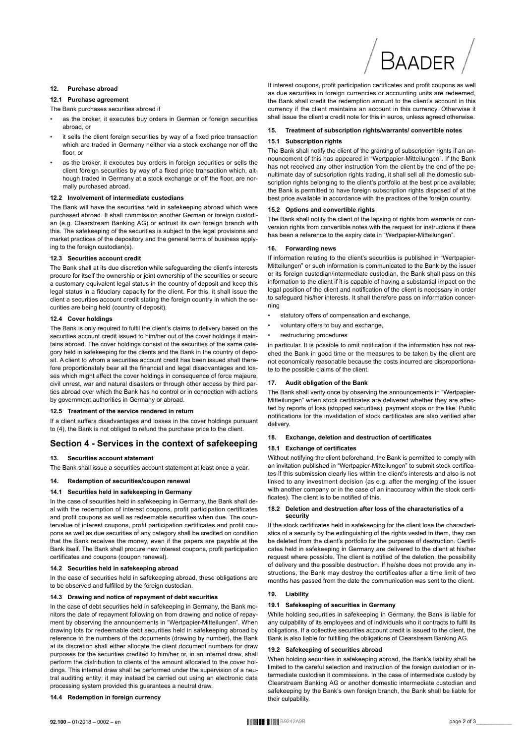# BAADFR

#### 12. Purchase abroad

#### 12.1 Purchase agreement

#### The Bank purchases securities abroad if

- as the broker, it executes buy orders in German or foreign securities abroad or
- it sells the client foreign securities by way of a fixed price transaction which are traded in Germany neither via a stock exchange nor off the floor or
- as the broker, it executes buy orders in foreign securities or sells the client foreign securities by way of a fixed price transaction which, although traded in Germany at a stock exchange or off the floor, are normally purchased abroad.

#### 12.2 Involvement of intermediate custodians

The Bank will have the securities held in safekeeping abroad which were purchased abroad. It shall commission another German or foreign custodian (e.g. Clearstream Banking AG) or entrust its own foreign branch with this. The safekeeping of the securities is subject to the legal provisions and market practices of the depository and the general terms of business applying to the foreign custodian(s).

#### 12.3 Securities account credit

The Bank shall at its due discretion while safequarding the client's interests procure for itself the ownership or joint ownership of the securities or secure a customary equivalent legal status in the country of deposit and keep this legal status in a fiduciary capacity for the client. For this, it shall issue the client a securities account credit stating the foreign country in which the securities are being held (country of deposit).

#### 12.4 Cover holdings

The Bank is only required to fulfil the client's claims to delivery based on the securities account credit issued to him/her out of the cover holdings it maintains abroad. The cover holdings consist of the securities of the same category held in safekeeping for the clients and the Bank in the country of deposit. A client to whom a securities account credit has been issued shall therefore proportionately bear all the financial and legal disadvantages and losses which might affect the cover holdings in consequence of force majeure, civil unrest, war and natural disasters or through other access by third parties abroad over which the Bank has no control or in connection with actions by government authorities in Germany or abroad.

#### 12.5 Treatment of the service rendered in return

If a client suffers disadvantages and losses in the cover holdings pursuant to (4), the Bank is not obliged to refund the purchase price to the client.

## Section 4 - Services in the context of safekeeping

#### 13. Securities account statement

The Bank shall issue a securities account statement at least once a year.

#### $14.$ Redemotion of securities/coupon renewal

## 14.1 Securities held in safekeeping in Germany

In the case of securities held in safekeeping in Germany, the Bank shall deal with the redemption of interest coupons, profit participation certificates and profit coupons as well as redeemable securities when due. The countervalue of interest coupons, profit participation certificates and profit coupons as well as due securities of any category shall be credited on condition that the Bank receives the money, even if the papers are payable at the Bank itself. The Bank shall procure new interest coupons, profit participation certificates and coupons (coupon renewal).

#### 14.2 Securities held in safekeeping abroad

In the case of securities held in safekeeping abroad, these obligations are to be observed and fulfilled by the foreign custodian.

#### 14.3 Drawing and notice of repayment of debt securities

In the case of debt securities held in safekeeping in Germany, the Bank monitors the date of repayment following on from drawing and notice of repayment by observing the announcements in "Wertpapier-Mitteilungen". When drawing lots for redeemable debt securities held in safekeeping abroad by reference to the numbers of the documents (drawing by number), the Bank at its discretion shall either allocate the client document numbers for draw purposes for the securities credited to him/her or, in an internal draw, shall perform the distribution to clients of the amount allocated to the cover holdings. This internal draw shall be performed under the supervision of a neutral auditing entity; it may instead be carried out using an electronic data processing system provided this guarantees a neutral draw.

#### 14.4 Redemption in foreign currency

If interest coupons, profit participation certificates and profit coupons as well as due securities in foreign currencies or accounting units are redeemed, the Bank shall credit the redemption amount to the client's account in this currency if the client maintains an account in this currency. Otherwise it shall issue the client a credit note for this in euros, unless agreed otherwise.

#### $15.$ Treatment of subscription rights/warrants/ convertible notes

#### 15.1 Subscription rights

The Bank shall notify the client of the granting of subscription rights if an announcement of this has appeared in "Wertpapier-Mitteilungen". If the Bank has not received any other instruction from the client by the end of the penultimate day of subscription rights trading, it shall sell all the domestic subscription rights belonging to the client's portfolio at the best price available; the Bank is permitted to have foreign subscription rights disposed of at the best price available in accordance with the practices of the foreign country.

#### 15.2 Options and convertible rights

The Bank shall notify the client of the lapsing of rights from warrants or conversion rights from convertible notes with the request for instructions if there has been a reference to the expiry date in "Wertpapier-Mitteilungen".

#### **Forwarding news** 16.

If information relating to the client's securities is published in "Wertpapier-Mitteilungen" or such information is communicated to the Bank by the issuer or its foreign custodian/intermediate custodian, the Bank shall pass on this information to the client if it is capable of having a substantial impact on the legal position of the client and notification of the client is necessary in order to safequard his/her interests. It shall therefore pass on information concernina

- statutory offers of compensation and exchange.
- voluntary offers to buy and exchange,
- restructuring procedures

in particular. It is possible to omit notification if the information has not reached the Bank in good time or the measures to be taken by the client are not economically reasonable because the costs incurred are disproportionate to the possible claims of the client.

#### $17.$ Audit obligation of the Bank

The Bank shall verify once by observing the announcements in "Wertpapier-Mitteilungen" when stock certificates are delivered whether they are affected by reports of loss (stopped securities), payment stops or the like. Public notifications for the invalidation of stock certificates are also verified after delivery.

#### Exchange, deletion and destruction of certificates 18.

#### 18.1 Exchange of certificates

Without notifying the client beforehand, the Bank is permitted to comply with an invitation published in "Wertpapier-Mitteilungen" to submit stock certificates if this submission clearly lies within the client's interests and also is not linked to any investment decision (as e.g. after the merging of the issuer with another company or in the case of an inaccuracy within the stock certificates). The client is to be notified of this.

#### 18.2 Deletion and destruction after loss of the characteristics of a security

If the stock certificates held in safekeeping for the client lose the characteristics of a security by the extinguishing of the rights vested in them, they can be deleted from the client's portfolio for the purposes of destruction. Certificates held in safekeeping in Germany are delivered to the client at his/her request where possible. The client is notified of the deletion, the possibility of delivery and the possible destruction. If he/she does not provide any instructions, the Bank may destroy the certificates after a time limit of two months has passed from the date the communication was sent to the client.

#### 19. Liability

#### 19.1 Safekeeping of securities in Germany

While holding securities in safekeeping in Germany, the Bank is liable for any culpability of its employees and of individuals who it contracts to fulfil its obligations. If a collective securities account credit is issued to the client, the Bank is also liable for fulfilling the obligations of Clearstream Banking AG.

#### 19.2 Safekeeping of securities abroad

When holding securities in safekeeping abroad, the Bank's liability shall be limited to the careful selection and instruction of the foreign custodian or intermediate custodian it commissions. In the case of intermediate custody by Clearstream Banking AG or another domestic intermediate custodian and safekeeping by the Bank's own foreign branch, the Bank shall be liable for their culpability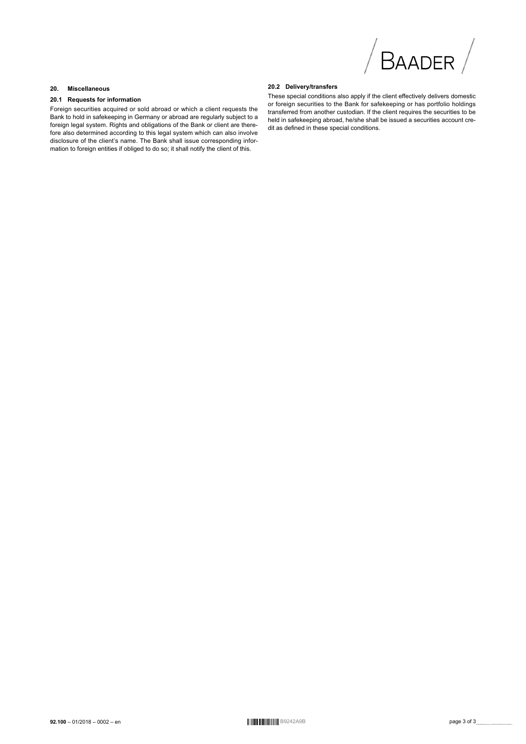

#### $20.$ **Miscellaneous**

#### 20.1 Requests for information

Foreign securities acquired or sold abroad or which a client requests the Bank to hold in safekeeping in Germany or abroad are regularly subject to a foreign legal system. Rights and obligations of the Bank or client are therefore also determined according to this legal system which can also involve disclosure of the client's name. The Bank shall issue corresponding information to foreign entities if obliged to do so; it shall notify the client of this.

#### 20.2 Delivery/transfers

These special conditions also apply if the client effectively delivers domestic or foreign securities to the Bank for safekeeping or has portfolio holdings transferred from another custodian. If the client requires the securities to be held in safekeeping abroad, he/she shall be issued a securities account credit as defined in these special conditions.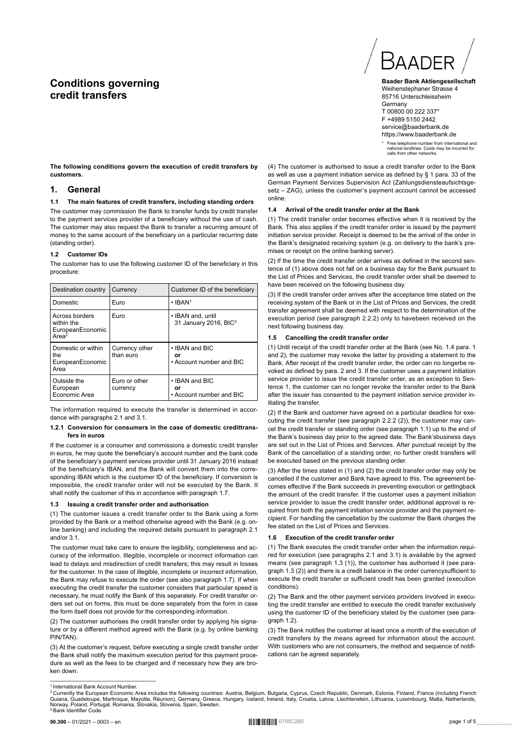# **Conditions governing credit transfers**



**Baader Bank Aktiengesellschaft** Weihenstephaner Strasse 4 85716 Unterschleissheim **Germany** T 00800 00 222 337\* F +4989 5150 2442 service@baaderbank.de https://www.baaderbank.de

\* Free telephone number from international and national landlines. Costs may be incurred for calls from other networks.

**The following conditions govern the execution of credit transfers by customers.**

#### **1. General**

#### **1.1 The main features of credit transfers, including standing orders**

The customer may commission the Bank to transfer funds by credit transfer to the payment services provider of a beneficiary without the use of cash. The customer may also request the Bank to transfer a recurring amount of money to the same account of the beneficiary on a particular recurring date (standing order).

#### **1.2 Customer IDs**

The customer has to use the following customer ID of the beneficiary in this procedure:

| Destination country                                                   | Currency                    | Customer ID of the beneficiary                         |  |
|-----------------------------------------------------------------------|-----------------------------|--------------------------------------------------------|--|
| Domestic                                                              | Euro                        | $\cdot$ IBAN <sup>1</sup>                              |  |
| Across borders<br>within the<br>EuropeanEconomic<br>Area <sup>2</sup> | Euro                        | • IBAN and, until<br>31 January 2016, BIC <sup>3</sup> |  |
| Domestic or within<br>the<br>EuropeanEconomic<br>Area                 | Currency other<br>than euro | • IBAN and BIC<br>or<br>. Account number and BIC       |  |
| Outside the<br>European<br>Economic Area                              | Euro or other<br>currency   | • IBAN and BIC<br>Ωr<br>• Account number and BIC       |  |

The information required to execute the transfer is determined in accordance with paragraphs 2.1 and 3.1.

#### **1.2.1 Conversion for consumers in the case of domestic credittransfers in euros**

If the customer is a consumer and commissions a domestic credit transfer in euros, he may quote the beneficiary's account number and the bank code of the beneficiary's payment services provider until 31 January 2016 instead of the beneficiary's IBAN, and the Bank will convert them into the corresponding IBAN which is the customer ID of the beneficiary. If conversion is impossible, the credit transfer order will not be executed by the Bank. It shall notify the customer of this in accordance with paragraph 1.7.

#### **1.3 Issuing a credit transfer order and authorisation**

(1) The customer issues a credit transfer order to the Bank using a form provided by the Bank or a method otherwise agreed with the Bank (e.g. online banking) and including the required details pursuant to paragraph 2.1 and/or 3.1.

The customer must take care to ensure the legibility, completeness and accuracy of the information. Illegible, incomplete or incorrect information can lead to delays and misdirection of credit transfers; this may result in losses for the customer. In the case of illegible, incomplete or incorrect information, the Bank may refuse to execute the order (see also paragraph 1.7). If when executing the credit transfer the customer considers that particular speed is necessary, he must notify the Bank of this separately. For credit transfer orders set out on forms, this must be done separately from the form in case the form itself does not provide for the corresponding information.

(2) The customer authorises the credit transfer order by applying his signature or by a different method agreed with the Bank (e.g. by online banking PIN/TAN).

(3) At the customer's request, before executing a single credit transfer order the Bank shall notify the maximum execution period for this payment procedure as well as the fees to be charged and if necessary how they are broken down.

#### **1.4 Arrival of the credit transfer order at the Bank**

(1) The credit transfer order becomes effective when it is received by the Bank. This also applies if the credit transfer order is issued by the payment initiation service provider. Receipt is deemed to be the arrival of the order in the Bank's designated receiving system (e.g. on delivery to the bank's premises or receipt on the online banking server).

(2) If the time the credit transfer order arrives as defined in the second sentence of (1) above does not fall on a business day for the Bank pursuant to the List of Prices and Services, the credit transfer order shall be deemed to have been received on the following business day.

(3) If the credit transfer order arrives after the acceptance time stated on the receiving system of the Bank or in the List of Prices and Services, the credit transfer agreement shall be deemed with respect to the determination of the execution period (see paragraph 2.2.2) only to havebeen received on the next following business day.

## **1.5 Cancelling the credit transfer order**

(1) Until receipt of the credit transfer order at the Bank (see No. 1.4 para. 1 and 2), the customer may revoke the latter by providing a statement to the Bank. After receipt of the credit transfer order, the order can no longerbe revoked as defined by para. 2 and 3. If the customer uses a payment initiation service provider to issue the credit transfer order, as an exception to Sentence 1, the customer can no longer revoke the transfer order to the Bank after the issuer has consented to the payment initiation service provider initiating the transfer.

(2) If the Bank and customer have agreed on a particular deadline for executing the credit transfer (see paragraph 2.2.2 (2)), the customer may cancel the credit transfer or standing order (see paragraph 1.1) up to the end of the Bank's business day prior to the agreed date. The Bank'sbusiness days are set out in the List of Prices and Services. After punctual receipt by the Bank of the cancellation of a standing order, no further credit transfers will be executed based on the previous standing order

(3) After the times stated in (1) and (2) the credit transfer order may only be cancelled if the customer and Bank have agreed to this. The agreement becomes effective if the Bank succeeds in preventing execution or gettingback the amount of the credit transfer. If the customer uses a payment initiation service provider to issue the credit transfer order, additional approval is required from both the payment initiation service provider and the payment recipient. For handling the cancellation by the customer the Bank charges the fee stated on the List of Prices and Services.

#### **1.6 Execution of the credit transfer order**

(1) The Bank executes the credit transfer order when the information required for execution (see paragraphs 2.1 and 3.1) is available by the agreed means (see paragraph 1.3 (1)), the customer has authorised it (see paragraph 1.3 (2)) and there is a credit balance in the order currencysufficient to execute the credit transfer or sufficient credit has been granted (execution conditions).

(2) The Bank and the other payment services providers involved in executing the credit transfer are entitled to execute the credit transfer exclusively using the customer ID of the beneficiary stated by the customer (see para $graph$   $1.2$ ).

(3) The Bank notifies the customer at least once a month of the execution of credit transfers by the means agreed for information about the account. With customers who are not consumers, the method and sequence of notifications can be agreed separately.

<sup>(4)</sup> The customer is authorised to issue a credit transfer order to the Bank as well as use a payment initiation service as defined by § 1 para. 33 of the German Payment Services Supervision Act (Zahlungsdiensteaufsichtsgesetz – ZAG), unless the customer's payment account cannot be accessed online.

<sup>-&</sup>lt;br><sup>1</sup> International Bank Account Number.<br>Guiana, Guadeloupe, Martinique, Mayotte, Réunion), Germany, Greece, Hungary, Iceland, Ireland, Czech, Republic, Denmark, Estonia, Finland, France (including French<br>Guiana, Guadeloup <sup>3</sup>Bank Identifier Code.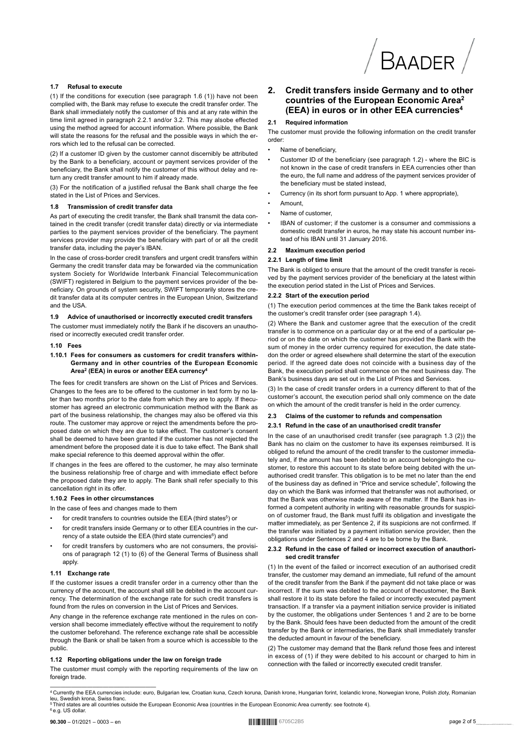#### 1.7 Refusal to execute

(1) If the conditions for execution (see paragraph 1.6 (1)) have not been complied with, the Bank may refuse to execute the credit transfer order. The Bank shall immediately notify the customer of this and at any rate within the time limit agreed in paragraph 2.2.1 and/or 3.2. This may alsobe effected using the method agreed for account information. Where possible, the Bank will state the reasons for the refusal and the possible ways in which the errors which led to the refusal can be corrected

(2) If a customer ID given by the customer cannot discernibly be attributed by the Bank to a beneficiary, account or payment services provider of the beneficiary, the Bank shall notify the customer of this without delay and return any credit transfer amount to him if already made.

(3) For the notification of a justified refusal the Bank shall charge the fee stated in the List of Prices and Services

#### 1<sup>8</sup> Transmission of credit transfer data

As part of executing the credit transfer, the Bank shall transmit the data contained in the credit transfer (credit transfer data) directly or via intermediate parties to the payment services provider of the beneficiary. The payment services provider may provide the beneficiary with part of or all the credit transfer data, including the payer's IBAN.

In the case of cross-border credit transfers and urgent credit transfers within Germany the credit transfer data may be forwarded via the communication system Society for Worldwide Interbank Financial Telecommunication (SWIFT) registered in Belgium to the payment services provider of the beneficiary. On grounds of system security, SWIFT temporarily stores the credit transfer data at its computer centres in the European Union, Switzerland and the USA.

#### Advice of unauthorised or incorrectly executed credit transfers

The customer must immediately notify the Bank if he discovers an unauthorised or incorrectly executed credit transfer order.

#### $1.10$  Fees

1.10.1 Fees for consumers as customers for credit transfers within-Germany and in other countries of the European Economic Area<sup>2</sup> (EEA) in euros or another EEA currency<sup>4</sup>

The fees for credit transfers are shown on the List of Prices and Services. Changes to the fees are to be offered to the customer in text form by no later than two months prior to the date from which they are to apply. If thecustomer has agreed an electronic communication method with the Bank as part of the business relationship, the changes may also be offered via this route. The customer may approve or reject the amendments before the proposed date on which they are due to take effect. The customer's consent shall be deemed to have been granted if the customer has not rejected the amendment before the proposed date it is due to take effect. The Bank shall make special reference to this deemed approval within the offer

If changes in the fees are offered to the customer, he may also terminate the business relationship free of charge and with immediate effect before the proposed date they are to apply. The Bank shall refer specially to this cancellation right in its offer.

#### 1.10.2 Fees in other circumstances

In the case of fees and changes made to them

- for credit transfers to countries outside the EEA (third states<sup>5</sup>) or
- for credit transfers inside Germany or to other EEA countries in the currency of a state outside the EEA (third state currencies<sup>6</sup>) and
- for credit transfers by customers who are not consumers, the provisions of paragraph 12 (1) to (6) of the General Terms of Business shall apply.

#### 1.11 Exchange rate

If the customer issues a credit transfer order in a currency other than the currency of the account, the account shall still be debited in the account currency. The determination of the exchange rate for such credit transfers is found from the rules on conversion in the List of Prices and Services.

Any change in the reference exchange rate mentioned in the rules on conversion shall become immediately effective without the requirement to notify the customer beforehand. The reference exchange rate shall be accessible through the Bank or shall be taken from a source which is accessible to the public.

#### 1.12 Reporting obligations under the law on foreign trade

The customer must comply with the reporting requirements of the law on foreign trade

#### Credit transfers inside Germany and to other  $2.$ countries of the European Economic Area<sup>2</sup> (EEA) in euros or in other EEA currencies<sup>4</sup>

#### $21$ **Required information**

The customer must provide the following information on the credit transfer order

- Name of beneficiary
- Customer ID of the beneficiary (see paragraph 1.2) where the BIC is not known in the case of credit transfers in FFA currencies other than the euro, the full name and address of the payment services provider of the beneficiary must be stated instead
- Currency (in its short form pursuant to App. 1 where appropriate),
- $\overline{a}$ Amount.
- Name of customer
- IBAN of customer; if the customer is a consumer and commissions a domestic credit transfer in euros, he may state his account number instead of his IBAN until 31 January 2016.

#### 2.2 Maximum execution period

#### 2.2.1 Length of time limit

The Bank is obliged to ensure that the amount of the credit transfer is received by the payment services provider of the beneficiary at the latest within the execution period stated in the List of Prices and Services.

#### 2.2.2 Start of the execution period

(1) The execution period commences at the time the Bank takes receipt of the customer's credit transfer order (see paragraph 1.4).

(2) Where the Bank and customer agree that the execution of the credit transfer is to commence on a particular day or at the end of a particular period or on the date on which the customer has provided the Bank with the sum of money in the order currency required for execution, the date statedon the order or agreed elsewhere shall determine the start of the execution period. If the agreed date does not coincide with a business day of the Bank, the execution period shall commence on the next business day. The Bank's business days are set out in the List of Prices and Services

(3) In the case of credit transfer orders in a currency different to that of the customer's account, the execution period shall only commence on the date on which the amount of the credit transfer is held in the order currency.

#### Claims of the customer to refunds and compensation

#### 2.3.1 Refund in the case of an unauthorised credit transfer

In the case of an unauthorised credit transfer (see paragraph 1.3 (2)) the Bank has no claim on the customer to have its expenses reimbursed. It is obliged to refund the amount of the credit transfer to the customer immediately and, if the amount has been debited to an account belonging to the customer, to restore this account to its state before being debited with the unauthorised credit transfer. This obligation is to be met no later than the end of the business day as defined in "Price and service schedule", following the day on which the Bank was informed that thetransfer was not authorised, or that the Bank was otherwise made aware of the matter. If the Bank has informed a competent authority in writing with reasonable grounds for suspicion of customer fraud, the Bank must fulfil its obligation and investigate the matter immediately, as per Sentence 2, if its suspicions are not confirmed. If the transfer was initiated by a payment initiation service provider, then the obligations under Sentences 2 and 4 are to be borne by the Bank.

#### 2.3.2. Refund in the case of failed or incorrect execution of anauthorised credit transfer

(1) In the event of the failed or incorrect execution of an authorised credit transfer, the customer may demand an immediate, full refund of the amount of the credit transfer from the Bank if the payment did not take place or was incorrect. If the sum was debited to the account of thecustomer, the Bank shall restore it to its state before the failed or incorrectly executed payment transaction. If a transfer via a payment initiation service provider is initiated by the customer, the obligations under Sentences 1 and 2 are to be borne by the Bank. Should fees have been deducted from the amount of the credit transfer by the Bank or intermediaries, the Bank shall immediately transfer the deducted amount in favour of the beneficiary.

(2) The customer may demand that the Bank refund those fees and interest in excess of (1) if they were debited to his account or charged to him in connection with the failed or incorrectly executed credit transfer.

<sup>4</sup> Currently the EEA currencies include: euro, Bulgarian lew, Croatian kuna, Czech koruna, Danish krone, Hungarian forint, Icelandic krone, Norwegian krone, Polish zloty, Romanian leu, Swedish krona, Swiss franc.<br><sup>5</sup> Third states are all countries outside the European Economic Area (countries in the European Economic Area currently: see footnote 4).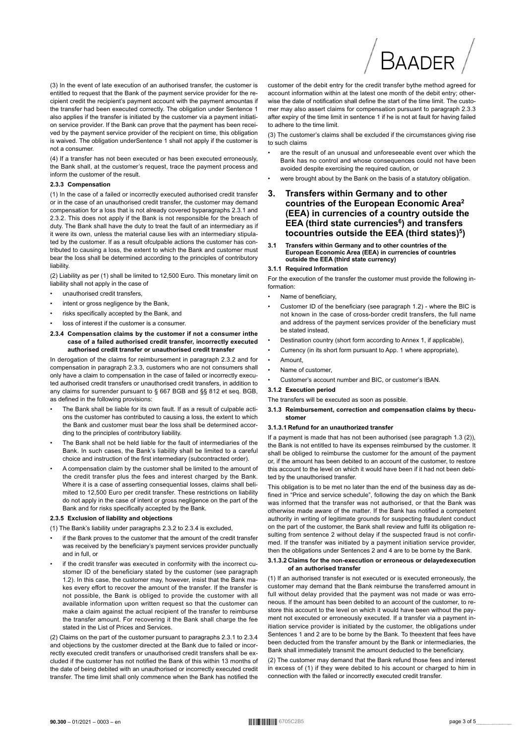(3) In the event of late execution of an authorised transfer the customer is entitled to request that the Bank of the payment service provider for the recipient credit the recipient's payment account with the payment amountas if the transfer had been executed correctly. The obligation under Sentence 1 also applies if the transfer is initiated by the customer via a payment initiation service provider. If the Bank can prove that the payment has been received by the payment service provider of the recipient on time, this obligation is waived. The obligation underSentence 1 shall not apply if the customer is not a consumer.

(4) If a transfer has not been executed or has been executed erroneously, the Bank shall, at the customer's request, trace the payment process and inform the customer of the result.

#### 2.3.3 Compensation

(1) In the case of a failed or incorrectly executed authorised credit transfer or in the case of an unauthorised credit transfer, the customer may demand compensation for a loss that is not already covered byparagraphs 2.3.1 and 2.3.2. This does not apply if the Bank is not responsible for the breach of duty. The Bank shall have the duty to treat the fault of an intermediary as if it were its own, unless the material cause lies with an intermediary stipulated by the customer. If as a result ofculpable actions the customer has contributed to causing a loss, the extent to which the Bank and customer must bear the loss shall be determined according to the principles of contributory liability.

(2) Liability as per (1) shall be limited to 12,500 Euro. This monetary limit on liability shall not apply in the case of

- $\ddot{\phantom{a}}$ unauthorised credit transfers,
- intent or gross negligence by the Bank,
- risks specifically accepted by the Bank, and
- loss of interest if the customer is a consumer.
- 2.3.4 Compensation claims by the customer if not a consumer inthe case of a failed authorised credit transfer, incorrectly executed authorised credit transfer or unauthorised credit transfer

In derogation of the claims for reimbursement in paragraph 2.3.2 and for compensation in paragraph 2.3.3, customers who are not consumers shall only have a claim to compensation in the case of failed or incorrectly executed authorised credit transfers or unauthorised credit transfers, in addition to any claims for surrender pursuant to § 667 BGB and §§ 812 et seq. BGB, as defined in the following provisions:

- The Bank shall be liable for its own fault. If as a result of culpable actions the customer has contributed to causing a loss, the extent to which the Bank and customer must bear the loss shall be determined according to the principles of contributory liability.
- The Bank shall not be held liable for the fault of intermediaries of the Bank. In such cases, the Bank's liability shall be limited to a careful choice and instruction of the first intermediary (subcontracted order).
- A compensation claim by the customer shall be limited to the amount of the credit transfer plus the fees and interest charged by the Bank. Where it is a case of asserting consequential losses, claims shall belimited to 12,500 Euro per credit transfer. These restrictions on liability do not apply in the case of intent or gross negligence on the part of the Bank and for risks specifically accepted by the Bank.

#### 2.3.5 Exclusion of liability and objections

(1) The Bank's liability under paragraphs 2.3.2 to 2.3.4 is excluded,

- if the Bank proves to the customer that the amount of the credit transfer was received by the beneficiary's payment services provider punctually and in full or
- if the credit transfer was executed in conformity with the incorrect customer ID of the beneficiary stated by the customer (see paragraph 1.2). In this case, the customer may, however, insist that the Bank makes every effort to recover the amount of the transfer. If the transfer is not possible, the Bank is obliged to provide the customer with all available information upon written request so that the customer can make a claim against the actual recipient of the transfer to reimburse the transfer amount. For recovering it the Bank shall charge the fee stated in the List of Prices and Services.

(2) Claims on the part of the customer pursuant to paragraphs 2.3.1 to 2.3.4 and objections by the customer directed at the Bank due to failed or incorrectly executed credit transfers or unauthorised credit transfers shall be excluded if the customer has not notified the Bank of this within 13 months of the date of being debited with an unauthorised or incorrectly executed credit transfer. The time limit shall only commence when the Bank has notified the

BAADFR customer of the debit entry for the credit transfer bythe method agreed for account information within at the latest one month of the debit entry; otherwise the date of notification shall define the start of the time limit. The customer may also assert claims for compensation pursuant to paragraph 2.3.3 after expiry of the time limit in sentence 1 if he is not at fault for having failed

to adhere to the time limit. (3) The customer's claims shall be excluded if the circumstances giving rise to such claims

- are the result of an unusual and unforeseeable event over which the Bank has no control and whose consequences could not have been avoided despite exercising the required caution, or
- were brought about by the Bank on the basis of a statutory obligation.
- $3.$ Transfers within Germany and to other countries of the European Economic Area<sup>2</sup> (EEA) in currencies of a country outside the EEA (third state currencies<sup>6</sup>) and transfers tocountries outside the EEA (third states)<sup>5</sup>)
- Transfers within Germany and to other countries of the<br>European Economic Area (EEA) in currencies of countries  $3.1$ outside the EEA (third state currency)

#### 3.1.1 Required Information

For the execution of the transfer the customer must provide the following information:

- Name of beneficiary,
- Customer ID of the beneficiary (see paragraph 1.2) where the BIC is not known in the case of cross-border credit transfers, the full name and address of the payment services provider of the beneficiary must be stated instead.
- Destination country (short form according to Annex 1, if applicable).
- Currency (in its short form pursuant to App. 1 where appropriate).
- Amount.
- Name of customer.
- Customer's account number and BIC, or customer's IBAN.

#### 3.1.2 Execution period

The transfers will be executed as soon as possible.

3.1.3 Reimbursement, correction and compensation claims by thecustomer

#### 3.1.3.1 Refund for an unauthorized transfer

If a payment is made that has not been authorised (see paragraph 1.3 (2)), the Bank is not entitled to have its expenses reimbursed by the customer. It shall be obliged to reimburse the customer for the amount of the payment or, if the amount has been debited to an account of the customer, to restore this account to the level on which it would have been if it had not been debited by the unauthorised transfer.

This obligation is to be met no later than the end of the business day as defined in "Price and service schedule", following the day on which the Bank was informed that the transfer was not authorised, or that the Bank was otherwise made aware of the matter. If the Bank has notified a competent authority in writing of legitimate grounds for suspecting fraudulent conduct on the part of the customer, the Bank shall review and fulfil its obligation resulting from sentence 2 without delay if the suspected fraud is not confirmed. If the transfer was initiated by a payment initiation service provider, then the obligations under Sentences 2 and 4 are to be borne by the Bank.

#### 3.1.3.2 Claims for the non-execution or erroneous or delayedexecution of an authorised transfer

(1) If an authorised transfer is not executed or is executed erroneously, the customer may demand that the Bank reimburse the transferred amount in full without delay provided that the payment was not made or was erroneous. If the amount has been debited to an account of the customer, to restore this account to the level on which it would have been without the payment not executed or erroneously executed. If a transfer via a payment initiation service provider is initiated by the customer, the obligations under Sentences 1 and 2 are to be borne by the Bank. To theextent that fees have been deducted from the transfer amount by the Bank or intermediaries, the Bank shall immediately transmit the amount deducted to the beneficiary.

(2) The customer may demand that the Bank refund those fees and interest in excess of (1) if they were debited to his account or charged to him in connection with the failed or incorrectly executed credit transfer.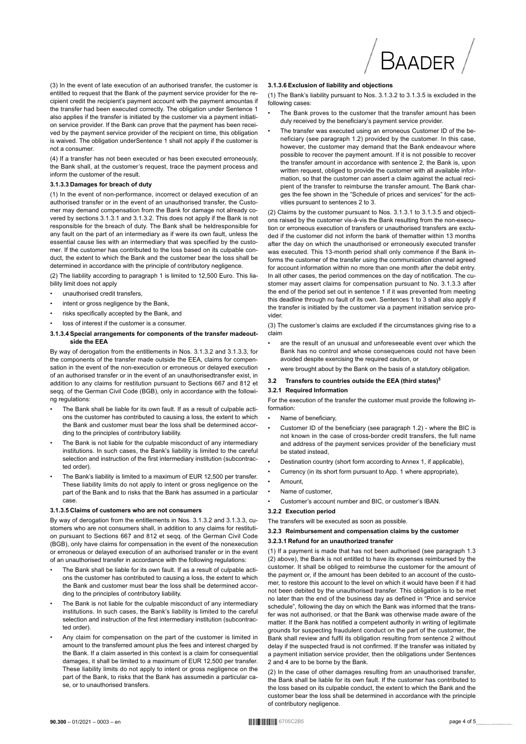

(3) In the event of late execution of an authorised transfer the customer is entitled to request that the Bank of the payment service provider for the recipient credit the recipient's payment account with the payment amountas if the transfer had been executed correctly. The obligation under Sentence 1 also applies if the transfer is initiated by the customer via a payment initiation service provider. If the Bank can prove that the payment has been received by the payment service provider of the recipient on time, this obligation is waived. The obligation underSentence 1 shall not apply if the customer is not a consumer.

(4) If a transfer has not been executed or has been executed erroneously, the Bank shall, at the customer's request, trace the payment process and inform the customer of the result.

#### 3.1.3.3 Damages for breach of duty

(1) In the event of non-performance, incorrect or delayed execution of an authorised transfer or in the event of an unauthorised transfer, the Customer may demand compensation from the Bank for damage not already covered by sections 3.1.3.1 and 3.1.3.2. This does not apply if the Bank is not responsible for the breach of duty. The Bank shall be heldresponsible for any fault on the part of an intermediary as if were its own fault, unless the essential cause lies with an intermediary that was specified by the customer. If the customer has contributed to the loss based on its culpable conduct, the extent to which the Bank and the customer bear the loss shall be determined in accordance with the principle of contributory negligence.

(2) The liability according to paragraph 1 is limited to 12,500 Euro. This liability limit does not apply

- unauthorised credit transfers,
- intent or gross negligence by the Bank,
- risks specifically accepted by the Bank, and
- loss of interest if the customer is a consumer.

#### 3.1.3.4 Special arrangements for components of the transfer madeoutside the EEA

By way of derogation from the entitlements in Nos. 3.1.3.2 and 3.1.3.3, for the components of the transfer made outside the EEA, claims for compensation in the event of the non-execution or erroneous or delayed execution of an authorised transfer or in the event of an unauthorised transfer exist in addition to any claims for restitution pursuant to Sections 667 and 812 et seqq. of the German Civil Code (BGB), only in accordance with the following regulations:

- The Bank shall be liable for its own fault. If as a result of culpable actions the customer has contributed to causing a loss, the extent to which the Bank and customer must bear the loss shall be determined according to the principles of contributory liability.
- The Bank is not liable for the culpable misconduct of any intermediary institutions. In such cases, the Bank's liability is limited to the careful selection and instruction of the first intermediary institution (subcontracted order).
- The Bank's liability is limited to a maximum of EUR 12,500 per transfer. These liability limits do not apply to intent or gross negligence on the part of the Bank and to risks that the Bank has assumed in a particular case

#### 3.1.3.5 Claims of customers who are not consumers

By way of derogation from the entitlements in Nos. 3.1.3.2 and 3.1.3.3, customers who are not consumers shall, in addition to any claims for restitution pursuant to Sections 667 and 812 et seqq. of the German Civil Code (BGB), only have claims for compensation in the event of the nonexecution or erroneous or delayed execution of an authorised transfer or in the event of an unauthorised transfer in accordance with the following regulations:

- The Bank shall be liable for its own fault. If as a result of culpable actions the customer has contributed to causing a loss, the extent to which the Bank and customer must bear the loss shall be determined according to the principles of contributory liability.
- The Bank is not liable for the culpable misconduct of any intermediary institutions. In such cases, the Bank's liability is limited to the careful selection and instruction of the first intermediary institution (subcontracted order)
- Any claim for compensation on the part of the customer is limited in amount to the transferred amount plus the fees and interest charged by the Bank. If a claim asserted in this context is a claim for consequential damages, it shall be limited to a maximum of EUR 12,500 per transfer. These liability limits do not apply to intent or gross negligence on the part of the Bank, to risks that the Bank has assumedin a particular case, or to unauthorised transfers.

#### 3.1.3.6 Exclusion of liability and objections

(1) The Bank's liability pursuant to Nos. 3.1.3.2 to 3.1.3.5 is excluded in the following cases:

- The Bank proves to the customer that the transfer amount has been duly received by the beneficiary's payment service provider.
- The transfer was executed using an erroneous Customer ID of the beneficiary (see paragraph 1.2) provided by the customer. In this case, however, the customer may demand that the Bank endeavour where possible to recover the payment amount. If it is not possible to recover the transfer amount in accordance with sentence 2, the Bank is, upon written request, obliged to provide the customer with all available information, so that the customer can assert a claim against the actual recipient of the transfer to reimburse the transfer amount. The Bank charges the fee shown in the "Schedule of prices and services" for the activities pursuant to sentences 2 to 3.

(2) Claims by the customer pursuant to Nos. 3.1.3.1 to 3.1.3.5 and objections raised by the customer vis-à-vis the Bank resulting from the non-execution or erroneous execution of transfers or unauthorised transfers are excluded if the customer did not inform the bank of thematter within 13 months after the day on which the unauthorised or erroneously executed transfer was executed. This 13-month period shall only commence if the Bank informs the customer of the transfer using the communication channel agreed for account information within no more than one month after the debit entry. In all other cases, the period commences on the day of notification. The customer may assert claims for compensation pursuant to No. 3.1.3.3 after the end of the period set out in sentence 1 if it was prevented from meeting this deadline through no fault of its own. Sentences 1 to 3 shall also apply if the transfer is initiated by the customer via a payment initiation service provider

(3) The customer's claims are excluded if the circumstances giving rise to a claim

- are the result of an unusual and unforeseeable event over which the Bank has no control and whose consequences could not have been avoided despite exercising the required caution, or
- were brought about by the Bank on the basis of a statutory obligation.

#### Transfers to countries outside the EEA (third states)<sup>5</sup>  $32$

#### 3.2.1 Required Information

For the execution of the transfer the customer must provide the following information:

- $\bullet$ Name of beneficiary,
- Customer ID of the beneficiary (see paragraph 1.2) where the BIC is not known in the case of cross-border credit transfers, the full name and address of the payment services provider of the beneficiary must be stated instead.
- Destination country (short form according to Annex 1, if applicable),
- Currency (in its short form pursuant to App. 1 where appropriate),
- $\ddot{\phantom{0}}$ Amount
- Name of customer
- Customer's account number and BIC, or customer's IBAN.

#### 3.2.2 Execution period

The transfers will be executed as soon as possible.

#### 3.2.3 Reimbursement and compensation claims by the customer

#### 3.2.3.1 Refund for an unauthorized transfer

(1) If a payment is made that has not been authorised (see paragraph 1.3) (2) above), the Bank is not entitled to have its expenses reimbursed by the customer. It shall be obliged to reimburse the customer for the amount of the payment or, if the amount has been debited to an account of the customer, to restore this account to the level on which it would have been if it had not been debited by the unauthorised transfer. This obligation is to be met no later than the end of the business day as defined in "Price and service schedule", following the day on which the Bank was informed that the transfer was not authorised, or that the Bank was otherwise made aware of the matter. If the Bank has notified a competent authority in writing of legitimate grounds for suspecting fraudulent conduct on the part of the customer, the Bank shall review and fulfil its obligation resulting from sentence 2 without delay if the suspected fraud is not confirmed. If the transfer was initiated by a payment initiation service provider, then the obligations under Sentences 2 and 4 are to be borne by the Bank.

(2) In the case of other damages resulting from an unauthorised transfer, the Bank shall be liable for its own fault. If the customer has contributed to the loss based on its culpable conduct, the extent to which the Bank and the customer bear the loss shall be determined in accordance with the principle of contributory negligence.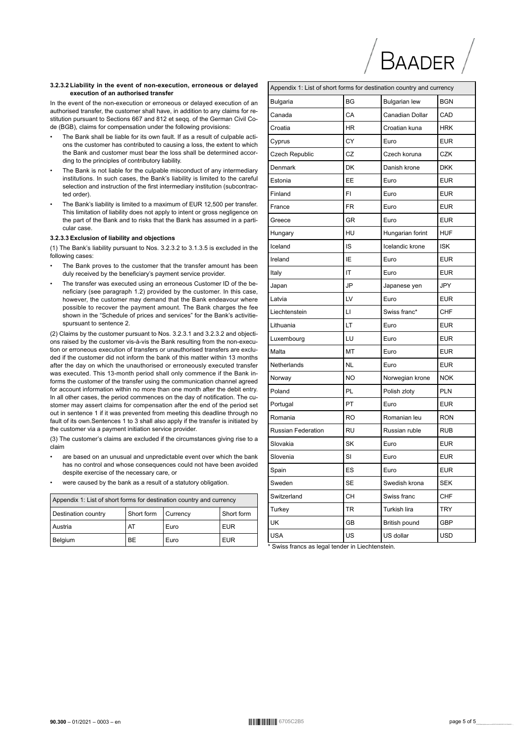#### 3.2.3.2 Liability in the event of non-execution, erroneous or delayed execution of an authorised transfer

In the event of the non-execution or erroneous or delayed execution of an authorised transfer, the customer shall have, in addition to any claims for restitution pursuant to Sections 667 and 812 et seqq. of the German Civil Code (BGB), claims for compensation under the following provisions:

- The Bank shall be liable for its own fault. If as a result of culpable actions the customer has contributed to causing a loss, the extent to which the Bank and customer must bear the loss shall be determined according to the principles of contributory liability.
- The Bank is not liable for the culpable misconduct of any intermediary institutions. In such cases, the Bank's liability is limited to the careful selection and instruction of the first intermediary institution (subcontracted order).
- The Bank's liability is limited to a maximum of EUR 12,500 per transfer. This limitation of liability does not apply to intent or gross negligence on the part of the Bank and to risks that the Bank has assumed in a particular case.

#### 3.2.3.3 Exclusion of liability and objections

(1) The Bank's liability pursuant to Nos. 3.2.3.2 to 3.1.3.5 is excluded in the following cases:

- The Bank proves to the customer that the transfer amount has been duly received by the beneficiary's payment service provider.
- The transfer was executed using an erroneous Customer ID of the beneficiary (see paragraph 1.2) provided by the customer. In this case, however, the customer may demand that the Bank endeavour where possible to recover the payment amount. The Bank charges the fee shown in the "Schedule of prices and services" for the Bank's activitiespursuant to sentence 2.

(2) Claims by the customer pursuant to Nos. 3.2.3.1 and 3.2.3.2 and objections raised by the customer vis-à-vis the Bank resulting from the non-execution or erroneous execution of transfers or unauthorised transfers are excluded if the customer did not inform the bank of this matter within 13 months after the day on which the unauthorised or erroneously executed transfer was executed. This 13-month period shall only commence if the Bank informs the customer of the transfer using the communication channel agreed for account information within no more than one month after the debit entry. In all other cases, the period commences on the day of notification. The customer may assert claims for compensation after the end of the period set out in sentence 1 if it was prevented from meeting this deadline through no fault of its own.Sentences 1 to 3 shall also apply if the transfer is initiated by the customer via a payment initiation service provider.

(3) The customer's claims are excluded if the circumstances giving rise to a claim

- are based on an unusual and unpredictable event over which the bank has no control and whose consequences could not have been avoided despite exercise of the necessary care, or
- were caused by the bank as a result of a statutory obligation.

| Appendix 1: List of short forms for destination country and currency |    |      |            |  |
|----------------------------------------------------------------------|----|------|------------|--|
| Short form<br>Destination country<br>Short form<br>I Currency        |    |      |            |  |
| Austria                                                              | AT | Euro | <b>EUR</b> |  |
| Belgium<br><b>BE</b><br><b>EUR</b><br>Euro                           |    |      |            |  |

| Appendix 1: List of short forms for destination country and currency |           |                      |            |
|----------------------------------------------------------------------|-----------|----------------------|------------|
| Bulgaria                                                             | <b>BG</b> | <b>Bulgarian lew</b> | <b>BGN</b> |
| Canada                                                               | CA        | Canadian Dollar      | CAD        |
| Croatia                                                              | <b>HR</b> | Croatian kuna        | <b>HRK</b> |
| Cyprus                                                               | CY        | Euro                 | <b>EUR</b> |
| Czech Republic                                                       | CZ        | Czech koruna         | <b>CZK</b> |
| Denmark                                                              | DK        | Danish krone         | <b>DKK</b> |
| Estonia                                                              | EE        | Euro                 | <b>EUR</b> |
| Finland                                                              | FI        | Euro                 | <b>EUR</b> |
| France                                                               | <b>FR</b> | Euro                 | <b>EUR</b> |
| Greece                                                               | <b>GR</b> | Euro                 | <b>EUR</b> |
| Hungary                                                              | HU        | Hungarian forint     | <b>HUF</b> |
| Iceland                                                              | IS        | Icelandic krone      | <b>ISK</b> |
| Ireland                                                              | ΙE        | Euro                 | <b>EUR</b> |
| Italy                                                                | IT        | Euro                 | <b>EUR</b> |
| Japan                                                                | JP        | Japanese yen         | <b>JPY</b> |
| Latvia                                                               | LV        | Euro                 | <b>EUR</b> |
| Liechtenstein                                                        | LI        | Swiss franc*         | <b>CHF</b> |
| Lithuania                                                            | LT        | Euro                 | <b>EUR</b> |
| Luxembourg                                                           | LU        | Euro                 | <b>EUR</b> |
| Malta                                                                | MT        | Euro                 | <b>EUR</b> |
| Netherlands                                                          | <b>NL</b> | Euro                 | <b>EUR</b> |
| Norway                                                               | NO        | Norwegian krone      | <b>NOK</b> |
| Poland                                                               | PL        | Polish zloty         | <b>PLN</b> |
| Portugal                                                             | PT        | Euro                 | <b>EUR</b> |
| Romania                                                              | <b>RO</b> | Romanian leu         | <b>RON</b> |
| <b>Russian Federation</b>                                            | <b>RU</b> | Russian ruble        | <b>RUB</b> |
| Slovakia                                                             | SK        | Euro                 | <b>EUR</b> |
| Slovenia                                                             | SI        | Euro                 | <b>EUR</b> |
| Spain                                                                | ES        | Euro                 | <b>EUR</b> |
| Sweden                                                               | SE        | Swedish krona        | <b>SEK</b> |
| Switzerland                                                          | CН        | Swiss franc          | <b>CHF</b> |
| Turkey                                                               | TR        | Turkish lira         | TRY        |
| UK                                                                   | GВ        | British pound        | GBP        |
| <b>USA</b>                                                           | US        | US dollar            | USD        |

 $/B$ AADER

\* Swiss francs as legal tender in Liechtenstein.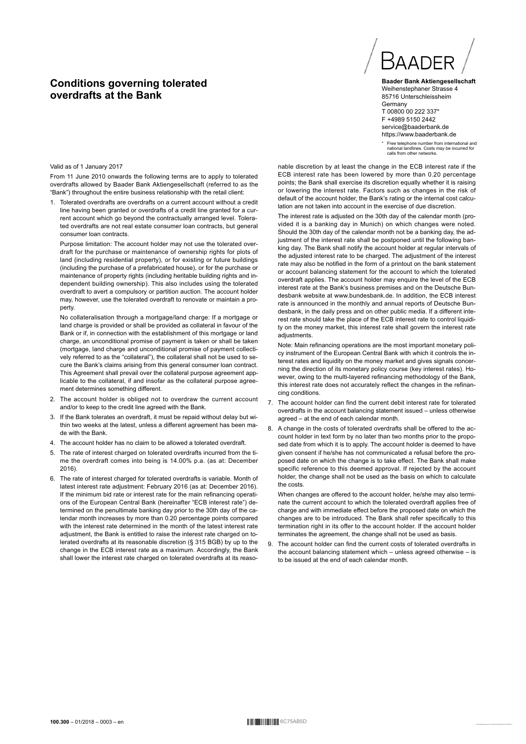# **Conditions governing tolerated overdrafts at the Bank**

#### Valid as of 1 January 2017

From 11 June 2010 onwards the following terms are to apply to tolerated overdrafts allowed by Baader Bank Aktiengesellschaft (referred to as the "Bank") throughout the entire business relationship with the retail client:

1. Tolerated overdrafts are overdrafts on a current account without a credit line having been granted or overdrafts of a credit line granted for a current account which go beyond the contractually arranged level. Tolerated overdrafts are not real estate consumer loan contracts, but general consumer loan contracts.

Purpose limitation: The account holder may not use the tolerated overdraft for the purchase or maintenance of ownership rights for plots of land (including residential property), or for existing or future buildings (including the purchase of a prefabricated house), or for the purchase or maintenance of property rights (including heritable building rights and independent building ownership). This also includes using the tolerated overdraft to avert a compulsory or partition auction. The account holder may, however, use the tolerated overdraft to renovate or maintain a property.

No collateralisation through a mortgage/land charge: If a mortgage or land charge is provided or shall be provided as collateral in favour of the Bank or if, in connection with the establishment of this mortgage or land charge, an unconditional promise of payment is taken or shall be taken (mortgage, land charge and unconditional promise of payment collectively referred to as the "collateral"), the collateral shall not be used to secure the Bank's claims arising from this general consumer loan contract. This Agreement shall prevail over the collateral purpose agreement applicable to the collateral, if and insofar as the collateral purpose agreement determines something different.

- 2. The account holder is obliged not to overdraw the current account and/or to keep to the credit line agreed with the Bank.
- 3. If the Bank tolerates an overdraft, it must be repaid without delay but within two weeks at the latest, unless a different agreement has been made with the Bank.
- 4. The account holder has no claim to be allowed a tolerated overdraft.
- 5. The rate of interest charged on tolerated overdrafts incurred from the time the overdraft comes into being is 14.00% p.a. (as at: December 2016).
- The rate of interest charged for tolerated overdrafts is variable. Month of 6. latest interest rate adjustment: February 2016 (as at: December 2016). If the minimum bid rate or interest rate for the main refinancing operations of the European Central Bank (hereinafter "ECB interest rate") determined on the penultimate banking day prior to the 30th day of the calendar month increases by more than 0.20 percentage points compared with the interest rate determined in the month of the latest interest rate adjustment, the Bank is entitled to raise the interest rate charged on tolerated overdrafts at its reasonable discretion (§ 315 BGB) by up to the change in the ECB interest rate as a maximum. Accordingly, the Bank shall lower the interest rate charged on tolerated overdrafts at its reaso-

# BAADEI

**Baader Bank Aktiengesellschaft** Weihenstephaner Strasse 4 85716 Unterschleissheim **Germany** T 00800 00 222 337\* F +4989 5150 2442 service@baaderbank.de https://www.baaderbank.de

\* Free telephone number from international and national landlines. Costs may be incurred for calls from other networks.

nable discretion by at least the change in the ECB interest rate if the ECB interest rate has been lowered by more than 0.20 percentage points; the Bank shall exercise its discretion equally whether it is raising or lowering the interest rate. Factors such as changes in the risk of default of the account holder, the Bank's rating or the internal cost calculation are not taken into account in the exercise of due discretion.

The interest rate is adjusted on the 30th day of the calendar month (provided it is a banking day in Munich) on which changes were noted. Should the 30th day of the calendar month not be a banking day, the adjustment of the interest rate shall be postponed until the following banking day. The Bank shall notify the account holder at regular intervals of the adjusted interest rate to be charged. The adjustment of the interest rate may also be notified in the form of a printout on the bank statement or account balancing statement for the account to which the tolerated overdraft applies. The account holder may enquire the level of the ECB interest rate at the Bank's business premises and on the Deutsche Bundesbank website at www.bundesbank.de. In addition, the ECB interest rate is announced in the monthly and annual reports of Deutsche Bundesbank, in the daily press and on other public media. If a different interest rate should take the place of the ECB interest rate to control liquidity on the money market, this interest rate shall govern the interest rate adiustments.

Note: Main refinancing operations are the most important monetary policy instrument of the European Central Bank with which it controls the interest rates and liquidity on the money market and gives signals concerning the direction of its monetary policy course (key interest rates). However, owing to the multi-layered refinancing methodology of the Bank, this interest rate does not accurately reflect the changes in the refinancing conditions.

- 7. The account holder can find the current debit interest rate for tolerated overdrafts in the account balancing statement issued – unless otherwise agreed – at the end of each calendar month.
- 8. A change in the costs of tolerated overdrafts shall be offered to the account holder in text form by no later than two months prior to the proposed date from which it is to apply. The account holder is deemed to have given consent if he/she has not communicated a refusal before the proposed date on which the change is to take effect. The Bank shall make .<br>specific reference to this deemed approval. If rejected by the account holder, the change shall not be used as the basis on which to calculate the costs.

When changes are offered to the account holder, he/she may also terminate the current account to which the tolerated overdraft applies free of charge and with immediate effect before the proposed date on which the changes are to be introduced. The Bank shall refer specifically to this termination right in its offer to the account holder. If the account holder terminates the agreement, the change shall not be used as basis.

9. The account holder can find the current costs of tolerated overdrafts in the account balancing statement which – unless agreed otherwise – is to be issued at the end of each calendar month.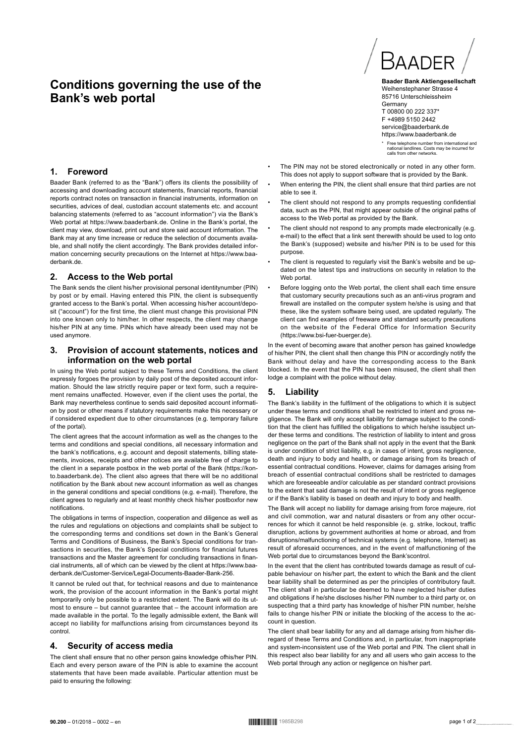# **Conditions governing the use of the Bank's web portal**



Baader Bank (referred to as the "Bank") offers its clients the possibility of accessing and downloading account statements, financial reports, financial reports contract notes on transaction in financial instruments, information on securities, advices of deal, custodian account statements etc. and account balancing statements (referred to as "account information") via the Bank's Web portal at https://www.baaderbank.de. Online in the Bank's portal, the client may view, download, print out and store said account information. The Bank may at any time increase or reduce the selection of documents available, and shall notify the client accordingly. The Bank provides detailed information concerning security precautions on the Internet at https://www.baaderbank.de.

#### **2. Access to the Web portal**

The Bank sends the client his/her provisional personal identitynumber (PIN) by post or by email. Having entered this PIN, the client is subsequently granted access to the Bank's portal. When accessing his/her account/deposit ("account") for the first time, the client must change this provisional PIN into one known only to him/her. In other respects, the client may change his/her PIN at any time. PINs which have already been used may not be used anymore.

## **3. Provision of account statements, notices and information on the web portal**

In using the Web portal subject to these Terms and Conditions, the client expressly forgoes the provision by daily post of the deposited account information. Should the law strictly require paper or text form, such a requirement remains unaffected. However, even if the client uses the portal, the Bank may nevertheless continue to sends said deposited account information by post or other means if statutory requirements make this necessary or if considered expedient due to other circumstances (e.g. temporary failure of the portal).

The client agrees that the account information as well as the changes to the terms and conditions and special conditions, all necessary information and the bank's notifications, e.g. account and deposit statements, billing statements, invoices, receipts and other notices are available free of charge to the client in a separate postbox in the web portal of the Bank (https://konto.baaderbank.de). The client also agrees that there will be no additional notification by the Bank about new account information as well as changes in the general conditions and special conditions (e.g. e-mail). Therefore, the client agrees to regularly and at least monthly check his/her postboxfor new notifications.

The obligations in terms of inspection, cooperation and diligence as well as the rules and regulations on objections and complaints shall be subject to the corresponding terms and conditions set down in the Bank's General Terms and Conditions of Business, the Bank's Special conditions for transactions in securities, the Bank's Special conditions for financial futures transactions and the Master agreement for concluding transactions in financial instruments, all of which can be viewed by the client at https://www.baaderbank.de/Customer-Service/Legal-Documents-Baader-Bank-256.

It cannot be ruled out that, for technical reasons and due to maintenance work, the provision of the account information in the Bank's portal might temporarily only be possible to a restricted extent. The Bank will do its utmost to ensure – but cannot guarantee that – the account information are made available in the portal. To the legally admissible extent, the Bank will accept no liability for malfunctions arising from circumstances beyond its control.

## **4. Security of access media**

The client shall ensure that no other person gains knowledge ofhis/her PIN. Each and every person aware of the PIN is able to examine the account statements that have been made available. Particular attention must be paid to ensuring the following:



**Baader Bank Aktiengesellschaft** Weihenstephaner Strasse 4 85716 Unterschleissheim **Germany** T 00800 00 222 337\* F +4989 5150 2442 service@baaderbank.de https://www.baaderbank.de

\* Free telephone number from international and national landlines. Costs may be incurred for calls from other networks.

- The PIN may not be stored electronically or noted in any other form. This does not apply to support software that is provided by the Bank.
- When entering the PIN, the client shall ensure that third parties are not able to see it.
- The client should not respond to any prompts requesting confidential data, such as the PIN, that might appear outside of the original paths of access to the Web portal as provided by the Bank.
- The client should not respond to any prompts made electronically (e.g. e-mail) to the effect that a link sent therewith should be used to log onto the Bank's (supposed) website and his/her PIN is to be used for this purpose.
- The client is requested to regularly visit the Bank's website and be updated on the latest tips and instructions on security in relation to the Web portal.
- Before logging onto the Web portal, the client shall each time ensure that customary security precautions such as an anti-virus program and firewall are installed on the computer system he/she is using and that these, like the system software being used, are updated regularly. The client can find examples of freeware and standard security precautions on the website of the Federal Office for Information Security (https://www.bsi-fuer-buerger.de).

In the event of becoming aware that another person has gained knowledge of his/her PIN, the client shall then change this PIN or accordingly notify the Bank without delay and have the corresponding access to the Bank blocked. In the event that the PIN has been misused, the client shall then lodge a complaint with the police without delay.

## **5. Liability**

The Bank's liability in the fulfilment of the obligations to which it is subject under these terms and conditions shall be restricted to intent and gross negligence. The Bank will only accept liability for damage subject to the condition that the client has fulfilled the obligations to which he/she issubject under these terms and conditions. The restriction of liability to intent and gross negligence on the part of the Bank shall not apply in the event that the Bank is under condition of strict liability, e.g. in cases of intent, gross negligence, death and injury to body and health, or damage arising from its breach of essential contractual conditions. However, claims for damages arising from breach of essential contractual conditions shall be restricted to damages which are foreseeable and/or calculable as per standard contract provisions to the extent that said damage is not the result of intent or gross negligence or if the Bank's liability is based on death and injury to body and health.

The Bank will accept no liability for damage arising from force majeure, riot and civil commotion, war and natural disasters or from any other occurrences for which it cannot be held responsible (e. g. strike, lockout, traffic disruption, actions by government authorities at home or abroad, and from disruptions/malfunctioning of technical systems (e.g. telephone, Internet) as result of aforesaid occurrences, and in the event of malfunctioning of the Web portal due to circumstances beyond the Bank'scontrol.

In the event that the client has contributed towards damage as result of culpable behaviour on his/her part, the extent to which the Bank and the client bear liability shall be determined as per the principles of contributory fault. The client shall in particular be deemed to have neglected his/her duties and obligations if he/she discloses his/her PIN number to a third party or, on suspecting that a third party has knowledge of his/her PIN number, he/she fails to change his/her PIN or initiate the blocking of the access to the account in question.

The client shall bear liability for any and all damage arising from his/her disregard of these Terms and Conditions and, in particular, from inappropriate and system-inconsistent use of the Web portal and PIN. The client shall in this respect also bear liability for any and all users who gain access to the Web portal through any action or negligence on his/her part.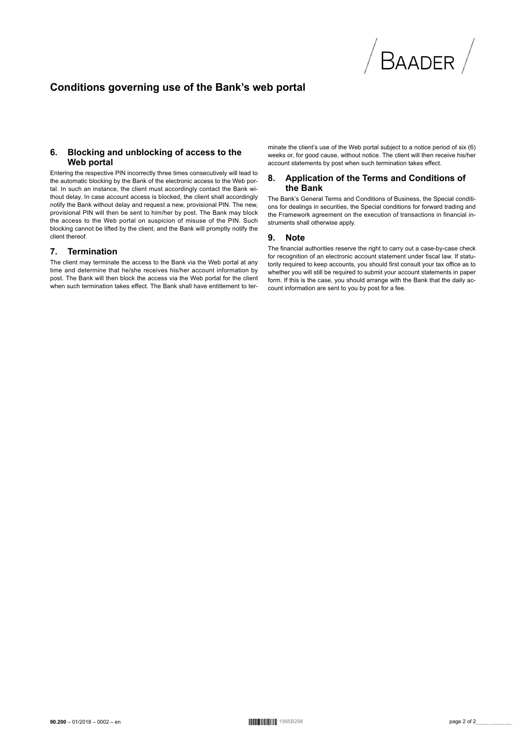

# Conditions governing use of the Bank's web portal

#### Blocking and unblocking of access to the 6. Web portal

Entering the respective PIN incorrectly three times consecutively will lead to the automatic blocking by the Bank of the electronic access to the Web portal. In such an instance, the client must accordingly contact the Bank without delay. In case account access is blocked, the client shall accordingly notify the Bank without delay and request a new, provisional PIN. The new, provisional PIN will then be sent to him/her by post. The Bank may block the access to the Web portal on suspicion of misuse of the PIN. Such blocking cannot be lifted by the client, and the Bank will promptly notify the client thereof.

#### 7. Termination

The client may terminate the access to the Bank via the Web portal at any time and determine that he/she receives his/her account information by post. The Bank will then block the access via the Web portal for the client when such termination takes effect. The Bank shall have entitlement to terminate the client's use of the Web portal subject to a notice period of six (6) weeks or, for good cause, without notice. The client will then receive his/her account statements by post when such termination takes effect.

#### 8. Application of the Terms and Conditions of the Bank

The Bank's General Terms and Conditions of Business, the Special conditions for dealings in securities, the Special conditions for forward trading and the Framework agreement on the execution of transactions in financial instruments shall otherwise apply.

#### 9. **Note**

The financial authorities reserve the right to carry out a case-by-case check for recognition of an electronic account statement under fiscal law. If statutorily required to keep accounts, you should first consult your tax office as to whether you will still be required to submit your account statements in paper form. If this is the case, you should arrange with the Bank that the daily account information are sent to you by post for a fee.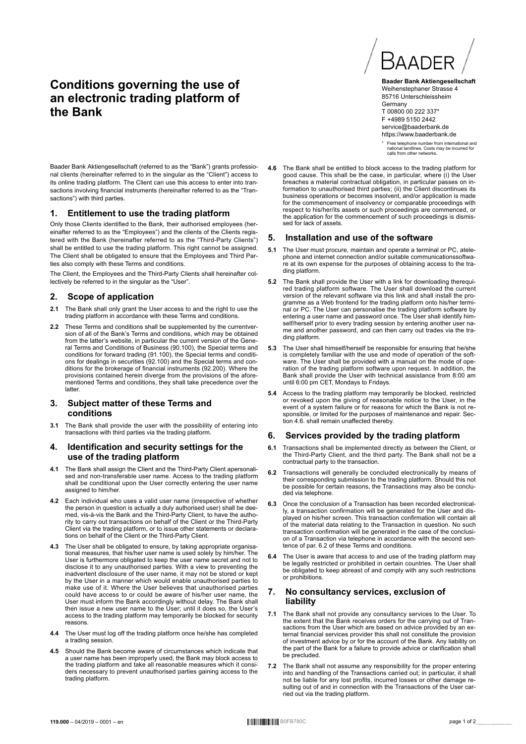# **Conditions governing the use of an electronic trading platform of the Bank**



**Baader Bank Aktiengesellschaft** Weihenstephaner Strasse 4 85716 Unterschleissheim **Germany** T 00800 00 222 337\* F +4989 5150 2442 service@baaderbank.de https://www.baaderbank.de

\* Free telephone number from international and national landlines. Costs may be incurred for calls from other networks.

Baader Bank Aktiengesellschaft (referred to as the "Bank") grants professional clients (hereinafter referred to in the singular as the "Client") access to its online trading platform. The Client can use this access to enter into transactions involving financial instruments (hereinafter referred to as the "Transactions") with third parties.

#### **1. Entitlement to use the trading platform**

Only those Clients identified to the Bank, their authorised employees (hereinafter referred to as the "Employees") and the clients of the Clients registered with the Bank (hereinafter referred to as the "Third-Party Clients") shall be entitled to use the trading platform. This right cannot be assigned. The Client shall be obligated to ensure that the Employees and Third Parties also comply with these Terms and conditions.

The Client, the Employees and the Third-Party Clients shall hereinafter collectively be referred to in the singular as the "User".

## **2. Scope of application**

- **2.1** The Bank shall only grant the User access to and the right to use the trading platform in accordance with these Terms and conditions.
- **2.2** These Terms and conditions shall be supplemented by the currentversion of all of the Bank's Terms and conditions, which may be obtained from the latter's website, in particular the current version of the Gene-ral Terms and Conditions of Business (90.100), the Special terms and conditions for forward trading (91.100), the Special terms and conditi-ons for dealings in securities (92.100) and the Special terms and con-ditions for the brokerage of financial instruments (92.200). Where the provisions contained herein diverge from the provisions of the afore-mentioned Terms and conditions, they shall take precedence over the latter.

#### **3. Subject matter of these Terms and conditions**

**3.1** The Bank shall provide the user with the possibility of entering into transactions with third parties via the trading platform.

#### **4. Identification and security settings for the use of the trading platform**

- **4.1** The Bank shall assign the Client and the Third-Party Client apersonalised and non-transferable user name. Access to the trading platform shall be conditional upon the User correctly entering the user name assigned to him/her.
- **4.2** Each individual who uses a valid user name (irrespective of whether the person in question is actually a duly authorised user) shall be dee-med, vis-à-vis the Bank and the Third-Party Client, to have the authority to carry out transactions on behalf of the Client or the Third-Party Client via the trading platform, or to issue other statements or declarations on behalf of the Client or the Third-Party Client.
- **4.3** The User shall be obligated to ensure, by taking appropriate organisa-tional measures, that his/her user name is used solely by him/her. The User is furthermore obligated to keep the user name secret and not to disclose it to any unauthorised parties. With a view to preventing the inadvertent disclosure of the user name, it may not be stored or kept by the User in a manner which would enable unauthorised parties to make use of it. Where the User believes that unauthorised parties could have access to or could be aware of his/her user name, the User must inform the Bank accordingly without delay. The Bank shall then issue a new user name to the User; until it does so, the User's access to the trading platform may temporarily be blocked for security reasons.
- **4.4** The User must log off the trading platform once he/she has completed a trading session.
- **4.5** Should the Bank become aware of circumstances which indicate that a user name has been improperly used, the Bank may block access to the trading platform and take all reasonable measures which it considers necessary to prevent unauthorised parties gaining access to the trading platform.

**4.6** The Bank shall be entitled to block access to the trading platform for good cause. This shall be the case, in particular, where (i) the User breaches a material contractual obligation, in particular passes on information to unauthorised third parties; (ii) the Client discontinues its business operations or becomes insolvent, and/or application is made for the commencement of insolvency or comparable proceedings with respect to his/her/its assets or such proceedings are commenced, or the application for the commencement of such proceedings is dismissed for lack of assets.

## **5. Installation and use of the software**

- **5.1** The User must procure, maintain and operate a terminal or PC, atelephone and internet connection and/or suitable communicationssoftware at its own expense for the purposes of obtaining access to the trading platform.
- **5.2** The Bank shall provide the User with a link for downloading therequired trading platform software. The User shall download the current version of the relevant software via this link and shall install the programme as a Web frontend for the trading platform onto his/her terminal or PC. The User can personalise the trading platform software by entering a user name and password once. The User shall identify him-self/herself prior to every trading session by entering another user name and another password, and can then carry out trades via the trading platform.
- **5.3** The User shall himself/herself be responsible for ensuring that he/she is completely familiar with the use and mode of operation of the software. The User shall be provided with a manual on the mode of operation of the trading platform software upon request. In addition, the Bank shall provide the User with technical assistance from 8:00 am until 6:00 pm CET, Mondays to Fridays.
- **5.4** Access to the trading platform may temporarily be blocked, restricted or revoked upon the giving of reasonable notice to the User, in the event of a system failure or for reasons for which the Bank is not responsible, or limited for the purposes of maintenance and repair. Section 4.6. shall remain unaffected thereby.

#### **6. Services provided by the trading platform**

- **6.1** Transactions shall be implemented directly as between the Client, or the Third-Party Client, and the third party. The Bank shall not be a contractual party to the transaction.
- **6.2** Transactions will generally be concluded electronically by means of their corresponding submission to the trading platform. Should this not be possible for certain reasons, the Transactions may also be concluded via telephone.
- **6.3** Once the conclusion of a Transaction has been recorded electronically, a transaction confirmation will be generated for the User and displayed on his/her screen. This transaction confirmation will contain all of the material data relating to the Transaction in question. No such transaction confirmation will be generated in the case of the conclusi-on of a Transaction via telephone in accordance with the second sentence of par. 6.2 of these Terms and conditions.
- **6.4** The User is aware that access to and use of the trading platform may be legally restricted or prohibited in certain countries. The User shall be obligated to keep abreast of and comply with any such restrictions or prohibitions.

## **7. No consultancy services, exclusion of liability**

- **7.1** The Bank shall not provide any consultancy services to the User. To the extent that the Bank receives orders for the carrying out of Transactions from the User which are based on advice provided by an external financial services provider this shall not constitute the provision of investment advice by or for the account of the Bank. Any liability on the part of the Bank for a failure to provide advice or clarification shall be precluded.
- **7.2** The Bank shall not assume any responsibility for the proper entering into and handling of the Transactions carried out; in particular, it shall not be liable for any lost profits, incurred losses or other damage resulting out of and in connection with the Transactions of the User carried out via the trading platform.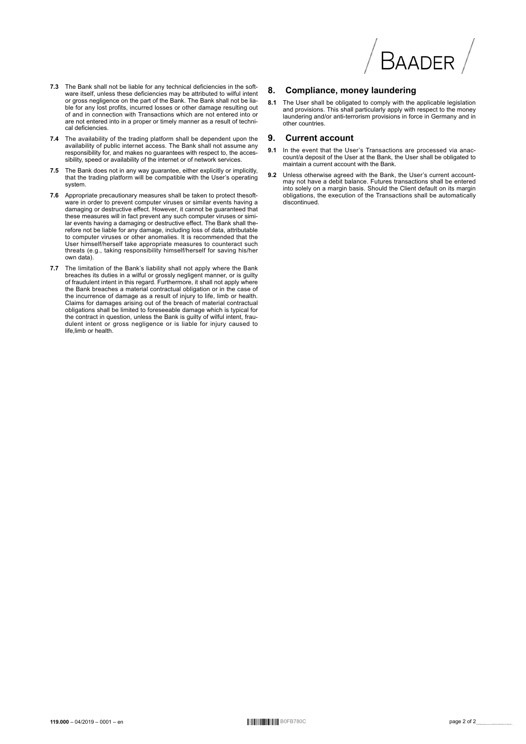

- 7.3 The Bank shall not be liable for any technical deficiencies in the soft-The University of the set of the deficiencies may be attributed to with intent<br>or gross negligence on the part of the Bank. The Bank shall not be liable for any lost profits, incurred losses or other damage resulting out of and in connection with Transactions which are not entered into or are not entered into in a proper or timely manner as a result of technical deficiencies.
- 7.4 The availability of the trading platform shall be dependent upon the availability of public internet access. The Bank shall not assume any responsibility for, and makes no guarantees with respect to, the accessibility, speed or availability of the internet or of network services.
- 7.5 The Bank does not in any way guarantee, either explicitly or implicitly, that the trading platform will be compatible with the User's operating system
- 7.6 Appropriate precautionary measures shall be taken to protect thesoftvare in order to prevent computer viruses or similar events having a<br>damaging or destructive effect. However, it cannot be guaranteed that these measures will in fact prevent any such computer viruses or similar events having a damaging or destructive effect. The Bank shall therefore not be liable for any damage, including loss of data, attributable to computer viruses or other anomalies. It is recommended that the<br>User himself/herself take appropriate measures to counteract such threats (e.g., taking responsibility himself/herself for saving his/her own data)
- The limitation of the Bank's liability shall not apply where the Bank<br>breaches its duties in a wilful or grossly negligent manner, or is guilty<br>of fraudulent intent in this regard. Furthermore, it shall not apply where  $7.7$ or in advancement in this region. The universion or in the pank breaches a material contractual obligation or in the case of the incurrence of damage as a result of injury to life, limb or health. Claims for damages arisin the contract in question, unless the Bank is guilty of wilful intent, fraudulent intent or gross negligence or is liable for injury caused to<br>life,limb or health.

#### 8. **Compliance, money laundering**

8.1 The User shall be obligated to comply with the applicable legislation and provisions. This shall particularly apply with respect to the money<br>laundering and/or anti-terrorism provisions in force in Germany and in other countries.

#### 9. **Current account**

- In the event that the User's Transactions are processed via anac-<br>count/a deposit of the User at the Bank, the User shall be obligated to 91 maintain a current account with the Bank.
- 9.2 Unless otherwise agreed with the Bank, the User's current accountmay not have a debit balance. Futures transactions shall be entered<br>into solely on a margin basis. Should the Client default on its margin obligations, the execution of the Transactions shall be automatically heuntimum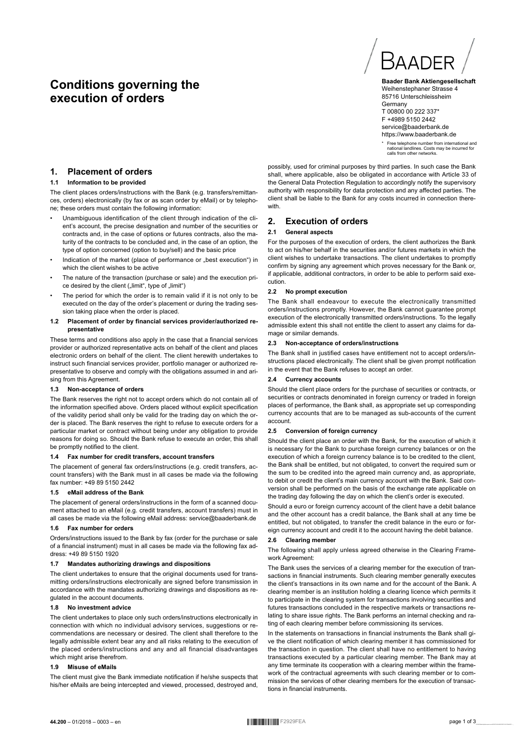# **Conditions governing the execution of orders**



**Baader Bank Aktiengesellschaft** Weihenstephaner Strasse 4 85716 Unterschleissheim **Germany** T 00800 00 222 337\* F +4989 5150 2442 service@baaderbank.de https://www.baaderbank.de

\* Free telephone number from international and national landlines. Costs may be incurred for calls from other networks.

## **1. Placement of orders**

#### **1.1 Information to be provided**

The client places orders/instructions with the Bank (e.g. transfers/remittances, orders) electronically (by fax or as scan order by eMail) or by telephone; these orders must contain the following information:

- Unambiguous identification of the client through indication of the client's account, the precise designation and number of the securities or contracts and, in the case of options or futures contracts, also the maturity of the contracts to be concluded and, in the case of an option, the type of option concerned (option to buy/sell) and the basic price
- Indication of the market (place of performance or "best execution") in which the client wishes to be active
- The nature of the transaction (purchase or sale) and the execution price desired by the client ("limit", type of "limit")
- The period for which the order is to remain valid if it is not only to be executed on the day of the order's placement or during the trading session taking place when the order is placed.

#### **1.2 Placement of order by financial services provider/authorized representative**

These terms and conditions also apply in the case that a financial services provider or authorized representative acts on behalf of the client and places electronic orders on behalf of the client. The client herewith undertakes to instruct such financial services provider, portfolio manager or authorized representative to observe and comply with the obligations assumed in and arising from this Agreement.

#### **1.3 Non-acceptance of orders**

The Bank reserves the right not to accept orders which do not contain all of the information specified above. Orders placed without explicit specification of the validity period shall only be valid for the trading day on which the order is placed. The Bank reserves the right to refuse to execute orders for a particular market or contract without being under any obligation to provide reasons for doing so. Should the Bank refuse to execute an order, this shall be promptly notified to the client.

#### **1.4 Fax number for credit transfers, account transfers**

The placement of general fax orders/instructions (e.g. credit transfers, account transfers) with the Bank must in all cases be made via the following fax number: +49 89 5150 2442

#### **1.5 eMail address of the Bank**

The placement of general orders/instructions in the form of a scanned document attached to an eMail (e.g. credit transfers, account transfers) must in all cases be made via the following eMail address: service@baaderbank.de

#### **1.6 Fax number for orders**

Orders/instructions issued to the Bank by fax (order for the purchase or sale of a financial instrument) must in all cases be made via the following fax address: +49 89 5150 1920

#### **1.7 Mandates authorizing drawings and dispositions**

The client undertakes to ensure that the original documents used for transmitting orders/instructions electronically are signed before transmission in accordance with the mandates authorizing drawings and dispositions as regulated in the account documents.

#### **1.8 No investment advice**

The client undertakes to place only such orders/instructions electronically in connection with which no individual advisory services, suggestions or recommendations are necessary or desired. The client shall therefore to the legally admissible extent bear any and all risks relating to the execution of the placed orders/instructions and any and all financial disadvantages which might arise therefrom.

#### **1.9 Misuse of eMails**

The client must give the Bank immediate notification if he/she suspects that his/her eMails are being intercepted and viewed, processed, destroyed and,

possibly, used for criminal purposes by third parties. In such case the Bank shall, where applicable, also be obligated in accordance with Article 33 of the General Data Protection Regulation to accordingly notify the supervisory authority with responsibility for data protection and any affected parties. The client shall be liable to the Bank for any costs incurred in connection therewith.

#### **2. Execution of orders**

#### **2.1 General aspects**

For the purposes of the execution of orders, the client authorizes the Bank to act on his/her behalf in the securities and/or futures markets in which the client wishes to undertake transactions. The client undertakes to promptly confirm by signing any agreement which proves necessary for the Bank or, if applicable, additional contractors, in order to be able to perform said execution.

#### **2.2 No prompt execution**

The Bank shall endeavour to execute the electronically transmitted orders/instructions promptly. However, the Bank cannot guarantee prompt execution of the electronically transmitted orders/instructions. To the legally admissible extent this shall not entitle the client to assert any claims for damage or similar demands.

#### **2.3 Non-acceptance of orders/instructions**

The Bank shall in justified cases have entitlement not to accept orders/instructions placed electronically. The client shall be given prompt notification in the event that the Bank refuses to accept an order.

#### **2.4 Currency accounts**

Should the client place orders for the purchase of securities or contracts, or securities or contracts denominated in foreign currency or traded in foreign places of performance, the Bank shall, as appropriate set up corresponding currency accounts that are to be managed as sub-accounts of the current account.

#### **2.5 Conversion of foreign currency**

Should the client place an order with the Bank, for the execution of which it is necessary for the Bank to purchase foreign currency balances or on the execution of which a foreign currency balance is to be credited to the client. the Bank shall be entitled, but not obligated, to convert the required sum or the sum to be credited into the agreed main currency and, as appropriate, to debit or credit the client's main currency account with the Bank. Said conversion shall be performed on the basis of the exchange rate applicable on the trading day following the day on which the client's order is executed.

Should a euro or foreign currency account of the client have a debit balance and the other account has a credit balance, the Bank shall at any time be entitled, but not obligated, to transfer the credit balance in the euro or foreign currency account and credit it to the account having the debit balance.

#### **2.6 Clearing member**

The following shall apply unless agreed otherwise in the Clearing Framework Agreement:

The Bank uses the services of a clearing member for the execution of transactions in financial instruments. Such clearing member generally executes the client's transactions in its own name and for the account of the Bank. A clearing member is an institution holding a clearing licence which permits it to participate in the clearing system for transactions involving securities and futures transactions concluded in the respective markets or transactions relating to share issue rights. The Bank performs an internal checking and rating of each clearing member before commissioning its services.

In the statements on transactions in financial instruments the Bank shall give the client notification of which clearing member it has commissioned for the transaction in question. The client shall have no entitlement to having transactions executed by a particular clearing member. The Bank may at any time terminate its cooperation with a clearing member within the framework of the contractual agreements with such clearing member or to commission the services of other clearing members for the execution of transactions in financial instruments.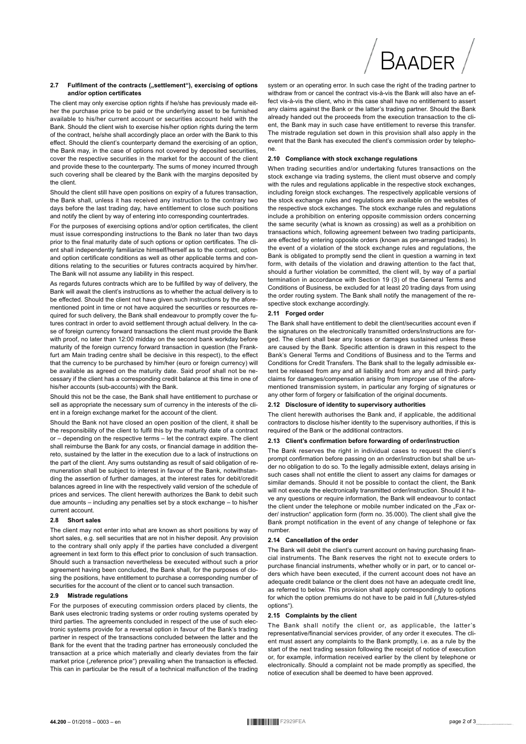#### $2.7$ Fulfilment of the contracts ("settlement"), exercising of options and/or option certificates

The client may only exercise option rights if he/she has previously made either the purchase price to be paid or the underlying asset to be furnished available to his/her current account or securities account held with the Bank. Should the client wish to exercise his/her option rights during the term of the contract, he/she shall accordingly place an order with the Bank to this effect. Should the client's counterparty demand the exercising of an option, the Bank may, in the case of options not covered by deposited securities, cover the respective securities in the market for the account of the client and provide these to the counterparty. The sums of money incurred through such covering shall be cleared by the Bank with the margins deposited by the client

Should the client still have open positions on expiry of a futures transaction, the Bank shall, unless it has received any instruction to the contrary two days before the last trading day, have entitlement to close such positions and notify the client by way of entering into corresponding countertrades.

For the purposes of exercising options and/or option certificates, the client must issue corresponding instructions to the Bank no later than two days prior to the final maturity date of such options or option certificates. The client shall independently familiarize himself/herself as to the contract, option and option certificate conditions as well as other applicable terms and conditions relating to the securities or futures contracts acquired by him/her. The Bank will not assume any liability in this respect.

As regards futures contracts which are to be fulfilled by way of delivery, the Bank will await the client's instructions as to whether the actual delivery is to be effected. Should the client not have given such instructions by the aforementioned point in time or not have acquired the securities or resources required for such delivery, the Bank shall endeavour to promptly cover the futures contract in order to avoid settlement through actual delivery. In the case of foreign currency forward transactions the client must provide the Bank with proof, no later than 12:00 midday on the second bank workday before maturity of the foreign currency forward transaction in question (the Frankfurt am Main trading centre shall be decisive in this respect), to the effect that the currency to be purchased by him/her (euro or foreign currency) will be available as agreed on the maturity date. Said proof shall not be necessary if the client has a corresponding credit balance at this time in one of his/her accounts (sub-accounts) with the Bank.

Should this not be the case, the Bank shall have entitlement to purchase or sell as appropriate the necessary sum of currency in the interests of the client in a foreign exchange market for the account of the client.

Should the Bank not have closed an open position of the client, it shall be the responsibility of the client to fulfil this by the maturity date of a contract or - depending on the respective terms - let the contract expire. The client shall reimburse the Bank for any costs, or financial damage in addition thereto, sustained by the latter in the execution due to a lack of instructions on the part of the client. Any sums outstanding as result of said obligation of remuneration shall be subject to interest in favour of the Bank, notwithstanding the assertion of further damages, at the interest rates for debit/credit balances agreed in line with the respectively valid version of the schedule of prices and services. The client herewith authorizes the Bank to debit such due amounts - including any penalties set by a stock exchange - to his/her current account

#### 2.8 Short sales

The client may not enter into what are known as short positions by way of short sales, e.g. sell securities that are not in his/her deposit. Any provision to the contrary shall only apply if the parties have concluded a divergent agreement in text form to this effect prior to conclusion of such transaction Should such a transaction nevertheless be executed without such a prior agreement having been concluded, the Bank shall, for the purposes of closing the positions, have entitlement to purchase a corresponding number of securities for the account of the client or to cancel such transaction.

#### **Mistrade regulations**

For the purposes of executing commission orders placed by clients, the Bank uses electronic trading systems or order routing systems operated by third parties. The agreements concluded in respect of the use of such electronic systems provide for a reversal option in favour of the Bank's trading partner in respect of the transactions concluded between the latter and the Bank for the event that the trading partner has erroneously concluded the transaction at a price which materially and clearly deviates from the fair market price ("reference price") prevailing when the transaction is effected. This can in particular be the result of a technical malfunction of the trading system or an operating error. In such case the right of the trading partner to withdraw from or cancel the contract vis-à-vis the Bank will also have an effect vis-à-vis the client, who in this case shall have no entitlement to assert any claims against the Bank or the latter's trading partner. Should the Bank already handed out the proceeds from the execution transaction to the client, the Bank may in such case have entitlement to reverse this transfer. The mistrade regulation set down in this provision shall also apply in the event that the Bank has executed the client's commission order by telephone.

#### 2.10 Compliance with stock exchange regulations

When trading securities and/or undertaking futures transactions on the stock exchange via trading systems, the client must observe and comply with the rules and regulations applicable in the respective stock exchanges. including foreign stock exchanges. The respectively applicable versions of the stock exchange rules and regulations are available on the websites of the respective stock exchanges. The stock exchange rules and regulations include a prohibition on entering opposite commission orders concerning the same security (what is known as crossing) as well as a prohibition on transactions which, following agreement between two trading participants, are effected by entering opposite orders (known as pre-arranged trades). In the event of a violation of the stock exchange rules and regulations, the Bank is obligated to promptly send the client in question a warning in text form, with details of the violation and drawing attention to the fact that, should a further violation be committed, the client will, by way of a partial termination in accordance with Section 19 (3) of the General Terms and Conditions of Business, be excluded for at least 20 trading days from using the order routing system. The Bank shall notify the management of the respective stock exchange accordingly.

#### 2.11 Forged order

The Bank shall have entitlement to debit the client/securities account even if the signatures on the electronically transmitted orders/instructions are forged. The client shall bear any losses or damages sustained unless these are caused by the Bank. Specific attention is drawn in this respect to the Bank's General Terms and Conditions of Business and to the Terms and Conditions for Credit Transfers. The Bank shall to the legally admissible extent be released from any and all liability and from any and all third- party claims for damages/compensation arising from improper use of the aforementioned transmission system, in particular any forging of signatures or any other form of forgery or falsification of the original documents.

#### 2.12 Disclosure of identity to supervisory authorities

The client herewith authorises the Bank and, if applicable, the additional contractors to disclose his/her identity to the supervisory authorities, if this is required of the Bank or the additional contractors.

#### 2.13 Client's confirmation before forwarding of order/instruction

The Bank reserves the right in individual cases to request the client's prompt confirmation before passing on an order/instruction but shall be under no obligation to do so. To the legally admissible extent, delays arising in such cases shall not entitle the client to assert any claims for damages or similar demands. Should it not be possible to contact the client, the Bank will not execute the electronically transmitted order/instruction. Should it have any questions or require information, the Bank will endeavour to contact the client under the telephone or mobile number indicated on the "Fax order/ instruction" application form (form no 35 000). The client shall give the Bank prompt notification in the event of any change of telephone or fax numher

#### 2.14 Cancellation of the order

The Bank will debit the client's current account on having purchasing financial instruments. The Bank reserves the right not to execute orders to purchase financial instruments, whether wholly or in part, or to cancel orders which have been executed if the current account does not have an adequate credit balance or the client does not have an adequate credit line. as referred to below. This provision shall apply correspondingly to options for which the option premiums do not have to be paid in full ("futures-styled options").

#### 2.15 Complaints by the client

The Bank shall notify the client or, as applicable, the latter's representative/financial services provider, of any order it executes. The client must assert any complaints to the Bank promptly, i.e. as a rule by the start of the next trading session following the receipt of notice of execution or, for example, information received earlier by the client by telephone or electronically. Should a complaint not be made promptly as specified, the notice of execution shall be deemed to have been approved.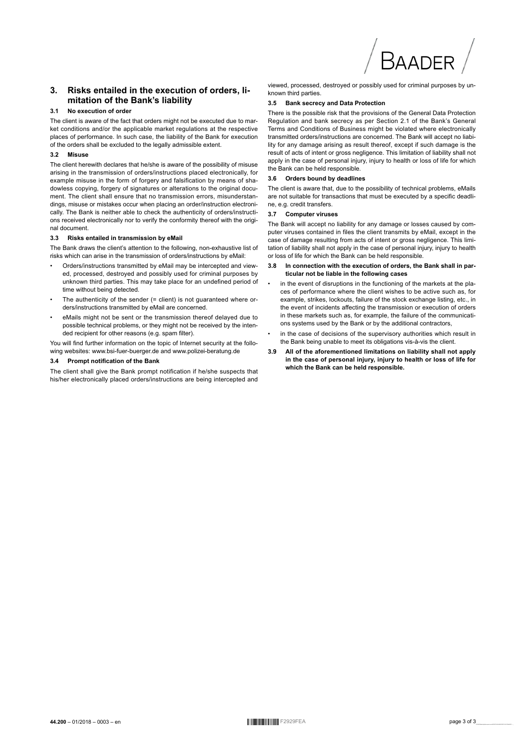

#### Risks entailed in the execution of orders, li- $3.$ mitation of the Bank's liability

#### $3.1$ No execution of order

The client is aware of the fact that orders might not be executed due to market conditions and/or the applicable market regulations at the respective places of performance. In such case, the liability of the Bank for execution of the orders shall be excluded to the legally admissible extent.

#### $32$ Misuse

The client herewith declares that he/she is aware of the possibility of misuse arising in the transmission of orders/instructions placed electronically, for example misuse in the form of forgery and falsification by means of shadowless copying, forgery of signatures or alterations to the original document. The client shall ensure that no transmission errors, misunderstandings, misuse or mistakes occur when placing an order/instruction electronically. The Bank is neither able to check the authenticity of orders/instructions received electronically nor to verify the conformity thereof with the original document.

#### Risks entailed in transmission by eMail  $3.3$

The Bank draws the client's attention to the following, non-exhaustive list of risks which can arise in the transmission of orders/instructions by eMail:

- Orders/instructions transmitted by eMail may be intercepted and viewed, processed, destroyed and possibly used for criminal purposes by unknown third parties. This may take place for an undefined period of time without being detected.
- The authenticity of the sender (= client) is not guaranteed where orders/instructions transmitted by eMail are concerned
- eMails might not be sent or the transmission thereof delayed due to possible technical problems, or they might not be received by the intended recipient for other reasons (e.g. spam filter).

You will find further information on the topic of Internet security at the following websites: www.bsi-fuer-buerger.de and www.polizei-beratung.de

#### 3.4 Prompt notification of the Bank

The client shall give the Bank prompt notification if he/she suspects that his/her electronically placed orders/instructions are being intercepted and

viewed, processed, destroyed or possibly used for criminal purposes by unknown third parties

#### 3.5 Bank secrecy and Data Protection

There is the possible risk that the provisions of the General Data Protection Regulation and bank secrecy as per Section 2.1 of the Bank's General Terms and Conditions of Business might be violated where electronically transmitted orders/instructions are concerned. The Bank will accept no liability for any damage arising as result thereof, except if such damage is the result of acts of intent or gross negligence. This limitation of liability shall not apply in the case of personal injury, injury to health or loss of life for which the Bank can be held responsible.

#### $3.6$ Orders bound by deadlines

The client is aware that, due to the possibility of technical problems, eMails are not suitable for transactions that must be executed by a specific deadline, e.g. credit transfers.

#### 37 **Computer viruses**

The Bank will accept no liability for any damage or losses caused by computer viruses contained in files the client transmits by eMail, except in the case of damage resulting from acts of intent or gross negligence. This limitation of liability shall not apply in the case of personal injury, injury to health or loss of life for which the Bank can be held responsible.

- In connection with the execution of orders, the Bank shall in par- $38$ ticular not be liable in the following cases
- in the event of disruptions in the functioning of the markets at the places of performance where the client wishes to be active such as, for example, strikes, lockouts, failure of the stock exchange listing, etc., in the event of incidents affecting the transmission or execution of orders in these markets such as, for example, the failure of the communications systems used by the Bank or by the additional contractors,
- in the case of decisions of the supervisory authorities which result in the Bank being unable to meet its obligations vis-à-vis the client.
- All of the aforementioned limitations on liability shall not apply  $3.9$ in the case of personal injury, injury to health or loss of life for which the Bank can be held responsible.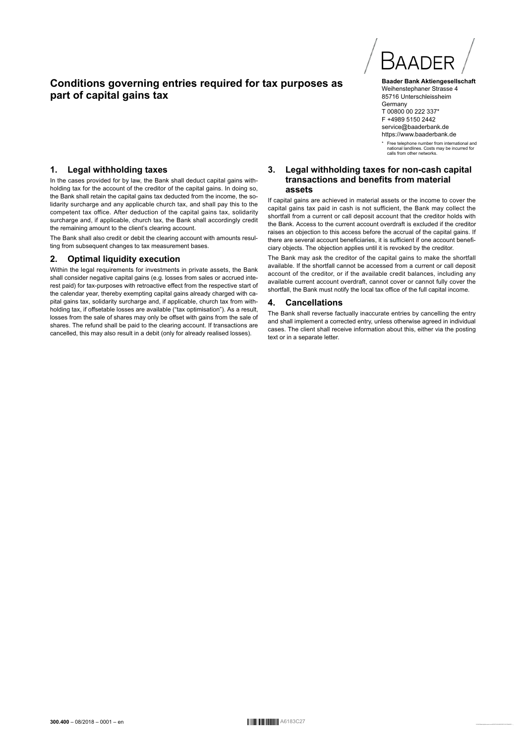# **Conditions governing entries required for tax purposes as part of capital gains tax**



**Baader Bank Aktiengesellschaft** Weihenstephaner Strasse 4 85716 Unterschleissheim **Germany** T 00800 00 222 337\* F +4989 5150 2442 service@baaderbank.de https://www.baaderbank.de

\* Free telephone number from international and national landlines. Costs may be incurred for calls from other networks.

## **1. Legal withholding taxes**

In the cases provided for by law, the Bank shall deduct capital gains withholding tax for the account of the creditor of the capital gains. In doing so, the Bank shall retain the capital gains tax deducted from the income, the solidarity surcharge and any applicable church tax, and shall pay this to the competent tax office. After deduction of the capital gains tax, solidarity surcharge and, if applicable, church tax, the Bank shall accordingly credit the remaining amount to the client's clearing account.

The Bank shall also credit or debit the clearing account with amounts resulting from subsequent changes to tax measurement bases.

#### **2. Optimal liquidity execution**

Within the legal requirements for investments in private assets, the Bank shall consider negative capital gains (e.g. losses from sales or accrued interest paid) for tax-purposes with retroactive effect from the respective start of the calendar year, thereby exempting capital gains already charged with capital gains tax, solidarity surcharge and, if applicable, church tax from withholding tax, if offsetable losses are available ("tax optimisation"). As a result, losses from the sale of shares may only be offset with gains from the sale of shares. The refund shall be paid to the clearing account. If transactions are cancelled, this may also result in a debit (only for already realised losses).

#### **3. Legal withholding taxes for non-cash capital transactions and benefits from material assets**

If capital gains are achieved in material assets or the income to cover the capital gains tax paid in cash is not sufficient, the Bank may collect the shortfall from a current or call deposit account that the creditor holds with the Bank. Access to the current account overdraft is excluded if the creditor raises an objection to this access before the accrual of the capital gains. If there are several account beneficiaries, it is sufficient if one account beneficiary objects. The objection applies until it is revoked by the creditor.

The Bank may ask the creditor of the capital gains to make the shortfall available. If the shortfall cannot be accessed from a current or call deposit account of the creditor, or if the available credit balances, including any available current account overdraft, cannot cover or cannot fully cover the shortfall, the Bank must notify the local tax office of the full capital income.

#### **4. Cancellations**

The Bank shall reverse factually inaccurate entries by cancelling the entry and shall implement a corrected entry, unless otherwise agreed in individual cases. The client shall receive information about this, either via the posting text or in a separate letter.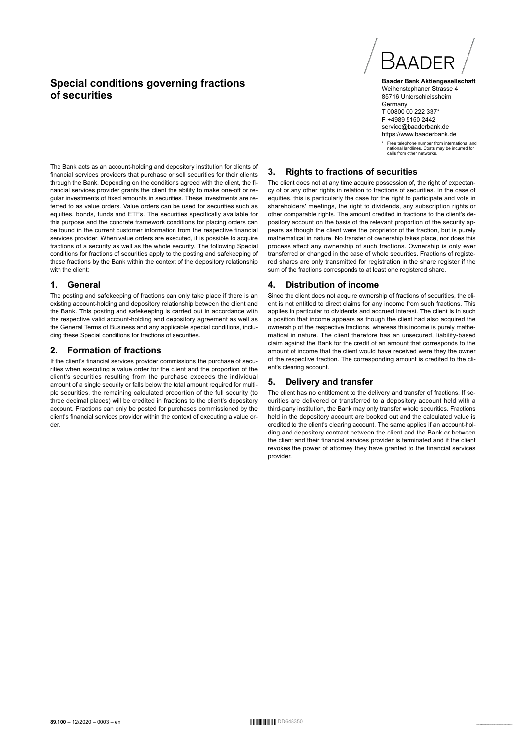# **Special conditions governing fractions of securities**

The Bank acts as an account-holding and depository institution for clients of financial services providers that purchase or sell securities for their clients through the Bank. Depending on the conditions agreed with the client, the financial services provider grants the client the ability to make one-off or regular investments of fixed amounts in securities. These investments are referred to as value orders. Value orders can be used for securities such as equities, bonds, funds and ETFs. The securities specifically available for this purpose and the concrete framework conditions for placing orders can be found in the current customer information from the respective financial services provider. When value orders are executed, it is possible to acquire fractions of a security as well as the whole security. The following Special conditions for fractions of securities apply to the posting and safekeeping of these fractions by the Bank within the context of the depository relationship with the client:

#### **1. General**

The posting and safekeeping of fractions can only take place if there is an existing account-holding and depository relationship between the client and the Bank. This posting and safekeeping is carried out in accordance with the respective valid account-holding and depository agreement as well as the General Terms of Business and any applicable special conditions, including these Special conditions for fractions of securities.

## **2. Formation of fractions**

If the client's financial services provider commissions the purchase of securities when executing a value order for the client and the proportion of the client's securities resulting from the purchase exceeds the individual amount of a single security or falls below the total amount required for multiple securities, the remaining calculated proportion of the full security (to three decimal places) will be credited in fractions to the client's depository account. Fractions can only be posted for purchases commissioned by the client's financial services provider within the context of executing a value order.



**Baader Bank Aktiengesellschaft** Weihenstephaner Strasse 4 85716 Unterschleissheim **Germany** T 00800 00 222 337\* F +4989 5150 2442 service@baaderbank.de https://www.baaderbank.de

\* Free telephone number from international and national landlines. Costs may be incurred for calls from other networks.

## **3. Rights to fractions of securities**

The client does not at any time acquire possession of, the right of expectancy of or any other rights in relation to fractions of securities. In the case of equities, this is particularly the case for the right to participate and vote in shareholders' meetings, the right to dividends, any subscription rights or other comparable rights. The amount credited in fractions to the client's depository account on the basis of the relevant proportion of the security appears as though the client were the proprietor of the fraction, but is purely mathematical in nature. No transfer of ownership takes place, nor does this process affect any ownership of such fractions. Ownership is only ever transferred or changed in the case of whole securities. Fractions of registered shares are only transmitted for registration in the share register if the sum of the fractions corresponds to at least one registered share.

#### **4. Distribution of income**

Since the client does not acquire ownership of fractions of securities, the client is not entitled to direct claims for any income from such fractions. This applies in particular to dividends and accrued interest. The client is in such a position that income appears as though the client had also acquired the ownership of the respective fractions, whereas this income is purely mathematical in nature. The client therefore has an unsecured, liability-based claim against the Bank for the credit of an amount that corresponds to the amount of income that the client would have received were they the owner of the respective fraction. The corresponding amount is credited to the client's clearing account.

## **5. Delivery and transfer**

The client has no entitlement to the delivery and transfer of fractions. If securities are delivered or transferred to a depository account held with a third-party institution, the Bank may only transfer whole securities. Fractions held in the depository account are booked out and the calculated value is credited to the client's clearing account. The same applies if an account-holding and depository contract between the client and the Bank or between the client and their financial services provider is terminated and if the client revokes the power of attorney they have granted to the financial services provider.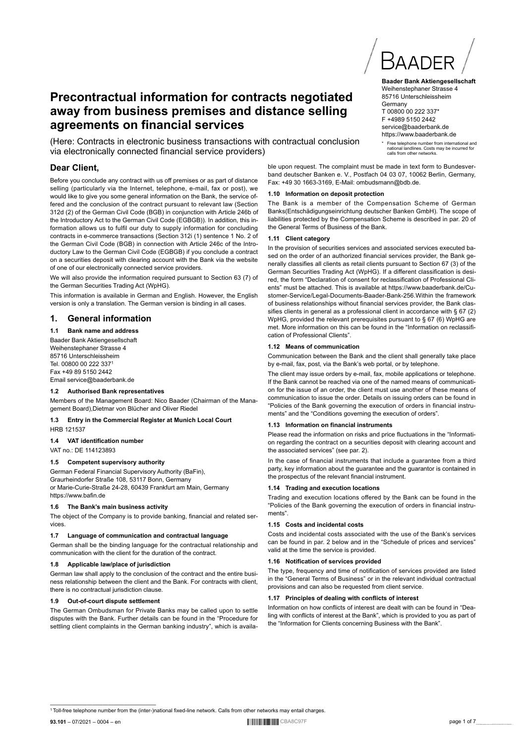# ———————————————————— <sup>1</sup>Toll-free telephone number from the (inter-)national fixed-line network. Calls from other networks may entail charges.

**93.101** – 07/2021 – 0004 – en 0123456789abcdefghijklmnopqrstuvwxyzABCDEFGHIJKLMNOPQRSTUVWXYZßäöüÄÖÜ ,.-;:\_ CBA8C97F page 1 of 7

# (Here: Contracts in electronic business transactions with contractual conclusion via electronically connected financial service providers) **Dear Client,**

**Precontractual information for contracts negotiated away from business premises and distance selling** 

Before you conclude any contract with us off premises or as part of distance selling (particularly via the Internet, telephone, e-mail, fax or post), we would like to give you some general information on the Bank, the service offered and the conclusion of the contract pursuant to relevant law (Section 312d (2) of the German Civil Code (BGB) in conjunction with Article 246b of the Introductory Act to the German Civil Code (EGBGB)). In addition, this information allows us to fulfil our duty to supply information for concluding contracts in e-commerce transactions (Section 312i (1) sentence 1 No. 2 of the German Civil Code (BGB) in connection with Article 246c of the Introductory Law to the German Civil Code (EGBGB) if you conclude a contract on a securities deposit with clearing account with the Bank via the website of one of our electronically connected service providers.

**agreements on financial services**

We will also provide the information required pursuant to Section 63 (7) of the German Securities Trading Act (WpHG).

This information is available in German and English. However, the English version is only a translation. The German version is binding in all cases.

## **1. General information**

## **1.1 Bank name and address**

Baader Bank Aktiengesellschaft Weihenstephaner Strasse 4 85716 Unterschleissheim Tel. 00800 00 222 337<sup>1</sup> Fax +49 89 5150 2442 Email service@baaderbank.de

## **1.2 Authorised Bank representatives**

Members of the Management Board: Nico Baader (Chairman of the Management Board),Dietmar von Blücher and Oliver Riedel

#### **1.3 Entry in the Commercial Register at Munich Local Court** HRB 121537

**1.4 VAT identification number**

## VAT no.: DE 114123893

## **1.5 Competent supervisory authority**

German Federal Financial Supervisory Authority (BaFin), Graurheindorfer Straße 108, 53117 Bonn, Germany or Marie-Curie-Straße 24-28, 60439 Frankfurt am Main, Germany https://www.bafin.de

## **1.6 The Bank's main business activity**

The object of the Company is to provide banking, financial and related services.

## **1.7 Language of communication and contractual language**

German shall be the binding language for the contractual relationship and communication with the client for the duration of the contract.

## **1.8 Applicable law/place of jurisdiction**

German law shall apply to the conclusion of the contract and the entire business relationship between the client and the Bank. For contracts with client, there is no contractual jurisdiction clause.

## **1.9 Out-of-court dispute settlement**

The German Ombudsman for Private Banks may be called upon to settle disputes with the Bank. Further details can be found in the "Procedure for settling client complaints in the German banking industry", which is availa-

ble upon request. The complaint must be made in text form to Bundesverband deutscher Banken e. V., Postfach 04 03 07, 10062 Berlin, Germany, Fax: +49 30 1663-3169, E-Mail: ombudsmann@bdb.de.

#### **1.10 Information on deposit protection**

The Bank is a member of the Compensation Scheme of German Banks(Entschädigungseinrichtung deutscher Banken GmbH). The scope of liabilities protected by the Compensation Scheme is described in par. 20 of the General Terms of Business of the Bank.

## **1.11 Client category**

In the provision of securities services and associated services executed based on the order of an authorized financial services provider, the Bank generally classifies all clients as retail clients pursuant to Section 67 (3) of the German Securities Trading Act (WpHG). If a different classification is desired, the form "Declaration of consent for reclassification of Professional Clients" must be attached. This is available at https://www.baaderbank.de/Customer-Service/Legal-Documents-Baader-Bank-256.Within the framework of business relationships without financial services provider, the Bank classifies clients in general as a professional client in accordance with § 67 (2) WpHG, provided the relevant prerequisites pursuant to § 67 (6) WpHG are met. More information on this can be found in the "Information on reclassification of Professional Clients".

## **1.12 Means of communication**

Communication between the Bank and the client shall generally take place by e-mail, fax, post, via the Bank's web portal, or by telephone.

The client may issue orders by e-mail, fax, mobile applications or telephone. If the Bank cannot be reached via one of the named means of communication for the issue of an order, the client must use another of these means of communication to issue the order. Details on issuing orders can be found in "Policies of the Bank governing the execution of orders in financial instruments" and the "Conditions governing the execution of orders".

## **1.13 Information on financial instruments**

Please read the information on risks and price fluctuations in the "Information regarding the contract on a securities deposit with clearing account and the associated services" (see par. 2).

In the case of financial instruments that include a guarantee from a third party, key information about the guarantee and the guarantor is contained in the prospectus of the relevant financial instrument.

## **1.14 Trading and execution locations**

Trading and execution locations offered by the Bank can be found in the "Policies of the Bank governing the execution of orders in financial instruments".

## **1.15 Costs and incidental costs**

Costs and incidental costs associated with the use of the Bank's services can be found in par. 2 below and in the "Schedule of prices and services" valid at the time the service is provided.

## **1.16 Notification of services provided**

The type, frequency and time of notification of services provided are listed in the "General Terms of Business" or in the relevant individual contractual provisions and can also be requested from client service.

## **1.17 Principles of dealing with conflicts of interest**

Information on how conflicts of interest are dealt with can be found in "Dealing with conflicts of interest at the Bank", which is provided to you as part of the "Information for Clients concerning Business with the Bank".



**Germany** T 00800 00 222 337\* F +4989 5150 2442 service@baaderbank.de https://www.baaderbank.de

\* Free telephone number from international and national landlines. Costs may be incurred for calls from other networks.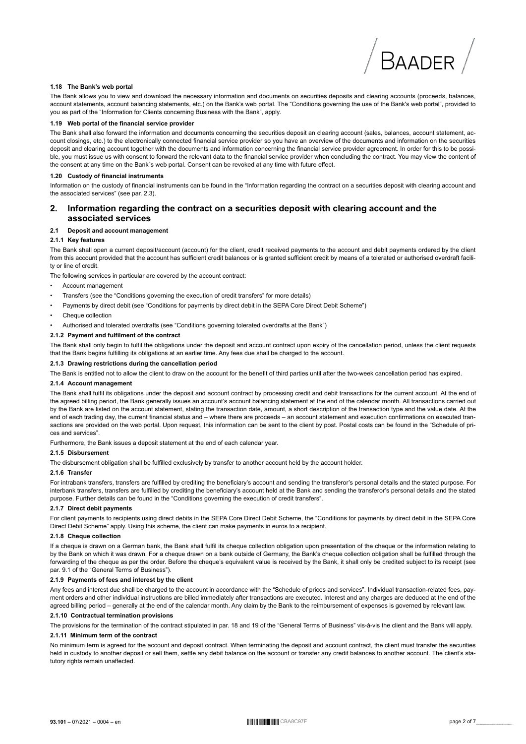#### 1.18 The Bank's web portal

The Bank allows you to view and download the necessary information and documents on securities deposits and clearing accounts (proceeds, balances, account statements, account balancing statements, etc.) on the Bank's web portal. The "Conditions governing the use of the Bank's web portal", provided to you as part of the "Information for Clients concerning Business with the Bank", apply.

#### 1.19 Web portal of the financial service provider

The Bank shall also forward the information and documents concerning the securities deposit an clearing account (sales, balances, account statement, account closings, etc.) to the electronically connected financial service provider so you have an overview of the documents and information on the securities deposit and clearing account together with the documents and information concerning the financial service provider agreement. In order for this to be possible, you must issue us with consent to forward the relevant data to the financial service provider when concluding the contract. You may view the content of the consent at any time on the Bank's web portal. Consent can be revoked at any time with future effect.

#### 1.20 Custody of financial instruments

Information on the custody of financial instruments can be found in the "Information regarding the contract on a securities deposit with clearing account and the associated services" (see par 2.3)

#### $2.$ Information regarding the contract on a securities deposit with clearing account and the associated services

#### 2.1 Deposit and account management

#### 2.1.1 Key features

The Bank shall open a current deposit/account (account) for the client, credit received payments to the account and debit payments ordered by the client from this account provided that the account has sufficient credit balances or is granted sufficient credit by means of a tolerated or authorised overdraft facility or line of credit.

The following services in particular are covered by the account contract:

- Account management
- Transfers (see the "Conditions governing the execution of credit transfers" for more details)
- Payments by direct debit (see "Conditions for payments by direct debit in the SEPA Core Direct Debit Scheme")
- Cheque collection
- Authorised and tolerated overdrafts (see "Conditions governing tolerated overdrafts at the Bank")

#### 2.1.2 Payment and fulfilment of the contract

The Bank shall only begin to fulfil the obligations under the deposit and account contract upon expiry of the cancellation period, unless the client requests that the Bank begins fulfilling its obligations at an earlier time. Any fees due shall be charged to the account.

#### 2.1.3 Drawing restrictions during the cancellation period

The Bank is entitled not to allow the client to draw on the account for the benefit of third parties until after the two-week cancellation period has expired.

#### 2.1.4 Account management

The Bank shall fulfil its obligations under the deposit and account contract by processing credit and debit transactions for the current account. At the end of the agreed billing period, the Bank generally issues an account's account balancing statement at the end of the calendar month. All transactions carried out by the Bank are listed on the account statement, stating the transaction date, amount, a short description of the transaction type and the value date. At the end of each trading day, the current financial status and – where there are proceeds – an account statement and execution confirmations on executed transactions are provided on the web portal. Upon request, this information can be sent to the client by post. Postal costs can be found in the "Schedule of prices and services".

Furthermore, the Bank issues a deposit statement at the end of each calendar year.

#### 2.1.5 Disbursement

The disbursement obligation shall be fulfilled exclusively by transfer to another account held by the account holder.

#### 216 Transfer

For intrabank transfers, transfers are fulfilled by crediting the beneficiary's account and sending the transferor's personal details and the stated purpose. For interbank transfers, transfers are fulfilled by crediting the beneficiary's account held at the Bank and sending the transferor's personal details and the stated purpose. Further details can be found in the "Conditions governing the execution of credit transfers".

#### 2.1.7 Direct debit payments

For client payments to recipients using direct debits in the SEPA Core Direct Debit Scheme, the "Conditions for payments by direct debit in the SEPA Core Direct Debit Scheme" apply. Using this scheme, the client can make payments in euros to a recipient.

#### 2.1.8 Cheque collection

If a cheque is drawn on a German bank, the Bank shall fulfil its cheque collection obligation upon presentation of the cheque or the information relating to by the Bank on which it was drawn. For a cheque drawn on a bank outside of Germany, the Bank's cheque collection obligation shall be fulfilled through the forwarding of the cheque as per the order. Before the cheque's equivalent value is received by the Bank, it shall only be credited subject to its receipt (see par. 9.1 of the "General Terms of Business").

#### 2.1.9 Payments of fees and interest by the client

Any fees and interest due shall be charged to the account in accordance with the "Schedule of prices and services". Individual transaction-related fees, payment orders and other individual instructions are billed immediately after transactions are executed. Interest and any charges are deduced at the end of the agreed billing period - generally at the end of the calendar month. Any claim by the Bank to the reimbursement of expenses is governed by relevant law.

#### 2.1.10 Contractual termination provisions

The provisions for the termination of the contract stipulated in par. 18 and 19 of the "General Terms of Business" vis-à-vis the client and the Bank will apply.

#### 2.1.11 Minimum term of the contract

No minimum term is agreed for the account and deposit contract. When terminating the deposit and account contract, the client must transfer the securities held in custody to another deposit or sell them, settle any debit balance on the account or transfer any credit balances to another account. The client's statutory rights remain unaffected.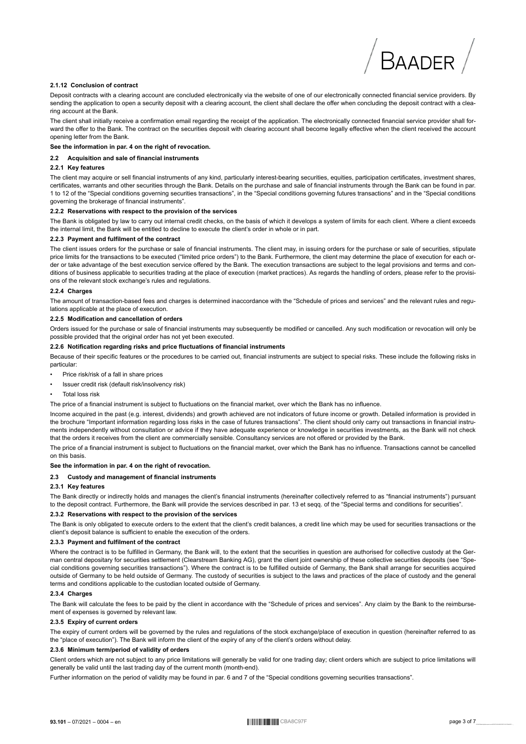#### 2.1.12 Conclusion of contract

Deposit contracts with a clearing account are concluded electronically via the website of one of our electronically connected financial service providers. By sending the application to open a security deposit with a clearing account, the client shall declare the offer when concluding the deposit contract with a clearing account at the Bank.

The client shall initially receive a confirmation email regarding the receipt of the application. The electronically connected financial service provider shall forward the offer to the Bank. The contract on the securities deposit with clearing account shall become legally effective when the client received the account opening letter from the Bank.

#### See the information in par. 4 on the right of revocation.

#### 2.2 Acquisition and sale of financial instruments

#### 2.2.1 Key features

The client may acquire or sell financial instruments of any kind, particularly interest-bearing securities, equities, participation certificates, investment shares, certificates, warrants and other securities through the Bank. Details on the purchase and sale of financial instruments through the Bank can be found in par. 1 to 12 of the "Special conditions governing securities transactions", in the "Special conditions governing futures transactions" and in the "Special conditions aoverning the brokerage of financial instruments".

#### 2.2.2 Reservations with respect to the provision of the services

The Bank is obligated by law to carry out internal credit checks, on the basis of which it develops a system of limits for each client. Where a client exceeds the internal limit, the Bank will be entitled to decline to execute the client's order in whole or in part.

#### 2.2.3 Payment and fulfilment of the contract

The client issues orders for the purchase or sale of financial instruments. The client may, in issuing orders for the purchase or sale of securities, stipulate price limits for the transactions to be executed ("limited price orders") to the Bank. Furthermore, the client may determine the place of execution for each order or take advantage of the best execution service offered by the Bank. The execution transactions are subject to the legal provisions and terms and conditions of business applicable to securities trading at the place of execution (market practices). As regards the handling of orders, please refer to the provisions of the relevant stock exchange's rules and regulations

#### 224 Charnes

The amount of transaction-based fees and charges is determined inaccordance with the "Schedule of prices and services" and the relevant rules and regulations applicable at the place of execution.

#### 2.2.5 Modification and cancellation of orders

Orders issued for the purchase or sale of financial instruments may subsequently be modified or cancelled. Any such modification or revocation will only be possible provided that the original order has not yet been executed.

#### 2.2.6 Notification regarding risks and price fluctuations of financial instruments

Because of their specific features or the procedures to be carried out, financial instruments are subject to special risks. These include the following risks in particular:

- Price risk/risk of a fall in share prices
- Issuer credit risk (default risk/insolvency risk)
- Total loss risk

The price of a financial instrument is subject to fluctuations on the financial market, over which the Bank has no influence.

Income acquired in the past (e.g. interest, dividends) and growth achieved are not indicators of future income or growth. Detailed information is provided in the brochure "Important information regarding loss risks in the case of futures transactions". The client should only carry out transactions in financial instruments independently without consultation or advice if they have adequate experience or knowledge in securities investments, as the Bank will not check that the orders it receives from the client are commercially sensible. Consultancy services are not offered or provided by the Bank.

The price of a financial instrument is subject to fluctuations on the financial market, over which the Bank has no influence. Transactions cannot be cancelled on this basis

#### See the information in par. 4 on the right of revocation.

#### 2.3 Custody and management of financial instruments

#### 2.3.1 Kev features

The Bank directly or indirectly holds and manages the client's financial instruments (hereinafter collectively referred to as "financial instruments") pursuant to the deposit contract. Furthermore, the Bank will provide the services described in par. 13 et seqq. of the "Special terms and conditions for securities".

#### 2.3.2 Reservations with respect to the provision of the services

The Bank is only obligated to execute orders to the extent that the client's credit balances, a credit line which may be used for securities transactions or the client's deposit balance is sufficient to enable the execution of the orders.

#### 2.3.3 Payment and fulfilment of the contract

Where the contract is to be fulfilled in Germany, the Bank will, to the extent that the securities in question are authorised for collective custody at the German central depositary for securities settlement (Clearstream Banking AG), grant the client joint ownership of these collective securities deposits (see "Special conditions governing securities transactions"). Where the contract is to be fulfilled outside of Germany, the Bank shall arrange for securities acquired outside of Germany to be held outside of Germany. The custody of securities is subject to the laws and practices of the place of custody and the general terms and conditions applicable to the custodian located outside of Germany.

#### 2.3.4 Charges

The Bank will calculate the fees to be paid by the client in accordance with the "Schedule of prices and services". Any claim by the Bank to the reimbursement of expenses is governed by relevant law.

#### 2.3.5 Expiry of current orders

The expiry of current orders will be governed by the rules and regulations of the stock exchange/place of execution in question (hereinafter referred to as the "place of execution"). The Bank will inform the client of the expiry of any of the client's orders without delay.

#### 2.3.6 Minimum term/period of validity of orders

Client orders which are not subject to any price limitations will generally be valid for one trading day; client orders which are subject to price limitations will generally be valid until the last trading day of the current month (month-end).

Further information on the period of validity may be found in par. 6 and 7 of the "Special conditions governing securities transactions".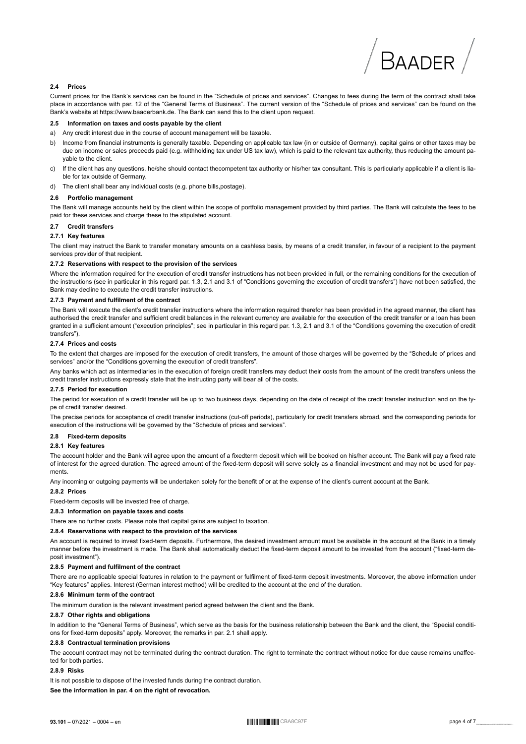#### **2.4 Prices**

Current prices for the Bank's services can be found in the "Schedule of prices and services". Changes to fees during the term of the contract shall take place in accordance with par. 12 of the "General Terms of Business". The current version of the "Schedule of prices and services" can be found on the Bank's website at https://www.baaderbank.de. The Bank can send this to the client upon request.

#### **2.5 Information on taxes and costs payable by the client**

- a) Any credit interest due in the course of account management will be taxable.
- b) Income from financial instruments is generally taxable. Depending on applicable tax law (in or outside of Germany), capital gains or other taxes may be due on income or sales proceeds paid (e.g. withholding tax under US tax law), which is paid to the relevant tax authority, thus reducing the amount payable to the client.
- c) If the client has any questions, he/she should contact thecompetent tax authority or his/her tax consultant. This is particularly applicable if a client is liable for tax outside of Germany.
- d) The client shall bear any individual costs (e.g. phone bills,postage).

#### **2.6 Portfolio management**

The Bank will manage accounts held by the client within the scope of portfolio management provided by third parties. The Bank will calculate the fees to be paid for these services and charge these to the stipulated account.

#### **2.7 Credit transfers**

#### **2.7.1 Key features**

The client may instruct the Bank to transfer monetary amounts on a cashless basis, by means of a credit transfer, in favour of a recipient to the payment services provider of that recipient.

#### **2.7.2 Reservations with respect to the provision of the services**

Where the information required for the execution of credit transfer instructions has not been provided in full, or the remaining conditions for the execution of the instructions (see in particular in this regard par. 1.3, 2.1 and 3.1 of "Conditions governing the execution of credit transfers") have not been satisfied, the Bank may decline to execute the credit transfer instructions.

#### **2.7.3 Payment and fulfilment of the contract**

The Bank will execute the client's credit transfer instructions where the information required therefor has been provided in the agreed manner, the client has authorised the credit transfer and sufficient credit balances in the relevant currency are available for the execution of the credit transfer or a loan has been granted in a sufficient amount ("execution principles"; see in particular in this regard par. 1.3, 2.1 and 3.1 of the "Conditions governing the execution of credit transfers").

#### **2.7.4 Prices and costs**

To the extent that charges are imposed for the execution of credit transfers, the amount of those charges will be governed by the "Schedule of prices and services" and/or the "Conditions governing the execution of credit transfers"

Any banks which act as intermediaries in the execution of foreign credit transfers may deduct their costs from the amount of the credit transfers unless the credit transfer instructions expressly state that the instructing party will bear all of the costs.

#### **2.7.5 Period for execution**

The period for execution of a credit transfer will be up to two business days, depending on the date of receipt of the credit transfer instruction and on the type of credit transfer desired.

The precise periods for acceptance of credit transfer instructions (cut-off periods), particularly for credit transfers abroad, and the corresponding periods for execution of the instructions will be governed by the "Schedule of prices and services".

#### **2.8 Fixed-term deposits**

#### **2.8.1 Key features**

The account holder and the Bank will agree upon the amount of a fixedterm deposit which will be booked on his/her account. The Bank will pay a fixed rate of interest for the agreed duration. The agreed amount of the fixed-term deposit will serve solely as a financial investment and may not be used for payments.

Any incoming or outgoing payments will be undertaken solely for the benefit of or at the expense of the client's current account at the Bank.

#### **2.8.2 Prices**

Fixed-term deposits will be invested free of charge.

## **2.8.3 Information on payable taxes and costs**

There are no further costs. Please note that capital gains are subject to taxation.

#### **2.8.4 Reservations with respect to the provision of the services**

An account is required to invest fixed-term deposits. Furthermore, the desired investment amount must be available in the account at the Bank in a timely manner before the investment is made. The Bank shall automatically deduct the fixed-term deposit amount to be invested from the account ("fixed-term deposit investment").

#### **2.8.5 Payment and fulfilment of the contract**

There are no applicable special features in relation to the payment or fulfilment of fixed-term deposit investments. Moreover, the above information under "Key features" applies. Interest (German interest method) will be credited to the account at the end of the duration.

#### **2.8.6 Minimum term of the contract**

The minimum duration is the relevant investment period agreed between the client and the Bank.

#### **2.8.7 Other rights and obligations**

In addition to the "General Terms of Business", which serve as the basis for the business relationship between the Bank and the client, the "Special conditions for fixed-term deposits" apply. Moreover, the remarks in par. 2.1 shall apply.

#### **2.8.8 Contractual termination provisions**

The account contract may not be terminated during the contract duration. The right to terminate the contract without notice for due cause remains unaffected for both parties.

#### **2.8.9 Risks**

It is not possible to dispose of the invested funds during the contract duration.

**See the information in par. 4 on the right of revocation.**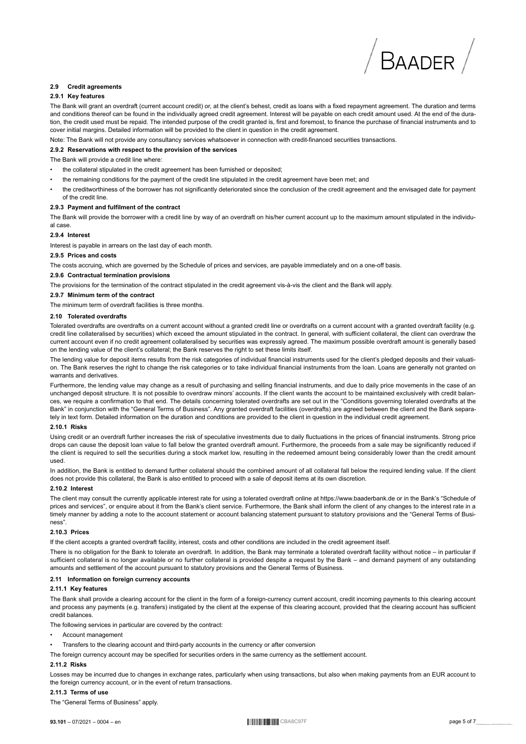#### **2.9 Credit agreements**

#### **2.9.1 Key features**

The Bank will grant an overdraft (current account credit) or, at the client's behest, credit as loans with a fixed repayment agreement. The duration and terms and conditions thereof can be found in the individually agreed credit agreement. Interest will be payable on each credit amount used. At the end of the duration, the credit used must be repaid. The intended purpose of the credit granted is, first and foremost, to finance the purchase of financial instruments and to cover initial margins. Detailed information will be provided to the client in question in the credit agreement.

Note: The Bank will not provide any consultancy services whatsoever in connection with credit-financed securities transactions.

#### **2.9.2 Reservations with respect to the provision of the services**

The Bank will provide a credit line where:

- the collateral stipulated in the credit agreement has been furnished or deposited;
- the remaining conditions for the payment of the credit line stipulated in the credit agreement have been met; and
- the creditworthiness of the borrower has not significantly deteriorated since the conclusion of the credit agreement and the envisaged date for payment of the credit line.

#### **2.9.3 Payment and fulfilment of the contract**

The Bank will provide the borrower with a credit line by way of an overdraft on his/her current account up to the maximum amount stipulated in the individual case.

#### **2.9.4 Interest**

Interest is payable in arrears on the last day of each month.

#### **2.9.5 Prices and costs**

The costs accruing, which are governed by the Schedule of prices and services, are payable immediately and on a one-off basis.

#### **2.9.6 Contractual termination provisions**

The provisions for the termination of the contract stipulated in the credit agreement vis-à-vis the client and the Bank will apply.

#### **2.9.7 Minimum term of the contract**

The minimum term of overdraft facilities is three months.

#### **2.10 Tolerated overdrafts**

Tolerated overdrafts are overdrafts on a current account without a granted credit line or overdrafts on a current account with a granted overdraft facility (e.g. credit line collateralised by securities) which exceed the amount stipulated in the contract. In general, with sufficient collateral, the client can overdraw the current account even if no credit agreement collateralised by securities was expressly agreed. The maximum possible overdraft amount is generally based on the lending value of the client's collateral; the Bank reserves the right to set these limits itself.

The lending value for deposit items results from the risk categories of individual financial instruments used for the client's pledged deposits and their valuation. The Bank reserves the right to change the risk categories or to take individual financial instruments from the loan. Loans are generally not granted on warrants and derivatives.

Furthermore, the lending value may change as a result of purchasing and selling financial instruments, and due to daily price movements in the case of an unchanged deposit structure. It is not possible to overdraw minors' accounts. If the client wants the account to be maintained exclusively with credit balances, we require a confirmation to that end. The details concerning tolerated overdrafts are set out in the "Conditions governing tolerated overdrafts at the Bank" in conjunction with the "General Terms of Business". Any granted overdraft facilities (overdrafts) are agreed between the client and the Bank separately in text form. Detailed information on the duration and conditions are provided to the client in question in the individual credit agreement.

#### **2.10.1 Risks**

Using credit or an overdraft further increases the risk of speculative investments due to daily fluctuations in the prices of financial instruments. Strong price drops can cause the deposit loan value to fall below the granted overdraft amount. Furthermore, the proceeds from a sale may be significantly reduced if the client is required to sell the securities during a stock market low, resulting in the redeemed amount being considerably lower than the credit amount used.

In addition, the Bank is entitled to demand further collateral should the combined amount of all collateral fall below the required lending value. If the client does not provide this collateral, the Bank is also entitled to proceed with a sale of deposit items at its own discretion.

#### **2.10.2 Interest**

The client may consult the currently applicable interest rate for using a tolerated overdraft online at https://www.baaderbank.de or in the Bank's "Schedule of prices and services", or enquire about it from the Bank's client service. Furthermore, the Bank shall inform the client of any changes to the interest rate in a timely manner by adding a note to the account statement or account balancing statement pursuant to statutory provisions and the "General Terms of Business".

#### **2.10.3 Prices**

If the client accepts a granted overdraft facility, interest, costs and other conditions are included in the credit agreement itself.

There is no obligation for the Bank to tolerate an overdraft. In addition, the Bank may terminate a tolerated overdraft facility without notice – in particular if sufficient collateral is no longer available or no further collateral is provided despite a request by the Bank – and demand payment of any outstanding amounts and settlement of the account pursuant to statutory provisions and the General Terms of Business.

#### **2.11 Information on foreign currency accounts**

#### **2.11.1 Key features**

The Bank shall provide a clearing account for the client in the form of a foreign-currency current account, credit incoming payments to this clearing account and process any payments (e.g. transfers) instigated by the client at the expense of this clearing account, provided that the clearing account has sufficient credit balances.

The following services in particular are covered by the contract:

- Account management
- Transfers to the clearing account and third-party accounts in the currency or after conversion
- The foreign currency account may be specified for securities orders in the same currency as the settlement account.

#### **2.11.2 Risks**

Losses may be incurred due to changes in exchange rates, particularly when using transactions, but also when making payments from an EUR account to the foreign currency account, or in the event of return transactions.

#### **2.11.3 Terms of use**

The "General Terms of Business" apply.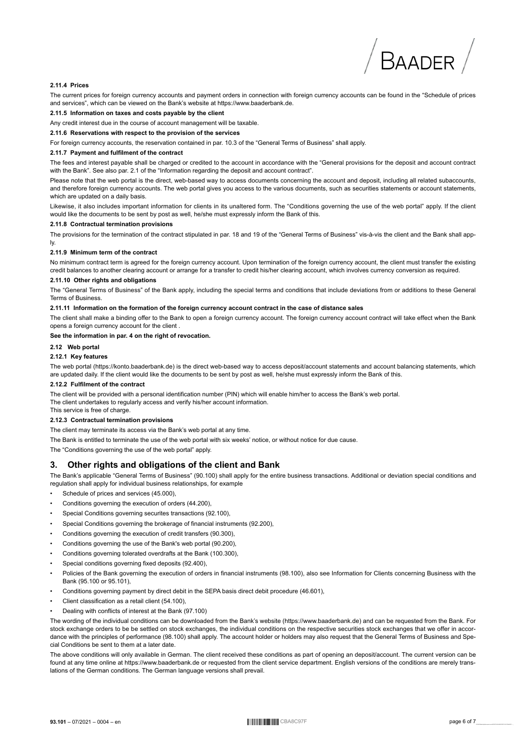#### 2.11.4 Prices

The current prices for foreign currency accounts and payment orders in connection with foreign currency accounts can be found in the "Schedule of prices and services", which can be viewed on the Bank's website at https://www.baaderbank.de.

#### 2.11.5 Information on taxes and costs payable by the client

Any credit interest due in the course of account management will be taxable.

#### 2.11.6 Reservations with respect to the provision of the services

For foreign currency accounts, the reservation contained in par. 10.3 of the "General Terms of Business" shall apply.

#### 2.11.7 Payment and fulfilment of the contract

The fees and interest payable shall be charged or credited to the account in accordance with the "General provisions for the deposit and account contract with the Bank". See also par. 2.1 of the "Information regarding the deposit and account contract".

Please note that the web portal is the direct, web-based way to access documents concerning the account and deposit, including all related subaccounts, and therefore foreign currency accounts. The web portal gives you access to the various documents, such as securities statements or account statements, which are updated on a daily basis.

Likewise, it also includes important information for clients in its unaltered form. The "Conditions governing the use of the web portal" apply. If the client would like the documents to be sent by post as well, he/she must expressly inform the Bank of this.

#### 2.11.8 Contractual termination provisions

The provisions for the termination of the contract stipulated in par. 18 and 19 of the "General Terms of Business" vis-à-vis the client and the Bank shall app-Iv.

#### 2.11.9 Minimum term of the contract

No minimum contract term is agreed for the foreign currency account. Upon termination of the foreign currency account, the client must transfer the existing credit balances to another clearing account or arrange for a transfer to credit his/her clearing account, which involves currency conversion as required.

#### 2.11.10 Other rights and obligations

The "General Terms of Business" of the Bank apply, including the special terms and conditions that include deviations from or additions to these General Terms of Business

#### 2.11.11 Information on the formation of the foreign currency account contract in the case of distance sales

The client shall make a binding offer to the Bank to open a foreign currency account. The foreign currency account contract will take effect when the Bank opens a foreign currency account for the client

#### See the information in par. 4 on the right of revocation.

2.12 Web portal

#### 2.12.1 Kev features

The web portal (https://konto.baaderbank.de) is the direct web-based way to access deposit/account statements and account balancing statements, which are updated daily. If the client would like the documents to be sent by post as well, he/she must expressly inform the Bank of this.

#### 2.12.2 Fulfilment of the contract

The client will be provided with a personal identification number (PIN) which will enable him/her to access the Bank's web portal. The client undertakes to regularly access and verify his/her account information. This service is free of charge

#### 2.12.3 Contractual termination provisions

The client may terminate its access via the Bank's web portal at any time.

The Bank is entitled to terminate the use of the web portal with six weeks' notice, or without notice for due cause.

The "Conditions governing the use of the web portal" apply.

#### Other rights and obligations of the client and Bank 3.

The Bank's applicable "General Terms of Business" (90.100) shall apply for the entire business transactions. Additional or deviation special conditions and regulation shall apply for individual business relationships, for example

- Schedule of prices and services (45.000),
- Conditions governing the execution of orders (44.200),
- Special Conditions governing securites transactions (92.100),
- Special Conditions governing the brokerage of financial instruments (92.200),
- Conditions governing the execution of credit transfers (90.300),
- Conditions governing the use of the Bank's web portal (90.200).
- Conditions governing tolerated overdrafts at the Bank (100.300).
- Special conditions governing fixed deposits (92.400).
- Policies of the Bank governing the execution of orders in financial instruments (98.100), also see Information for Clients concerning Business with the Bank (95.100 or 95.101).
- Conditions governing payment by direct debit in the SEPA basis direct debit procedure (46.601),
- Client classification as a retail client (54.100),
- Dealing with conflicts of interest at the Bank (97.100)

The wording of the individual conditions can be downloaded from the Bank's website (https://www.baaderbank.de) and can be requested from the Bank. For stock exchange orders to be be settled on stock exchanges, the individual conditions on the respective securities stock exchanges that we offer in accordance with the principles of performance (98.100) shall apply. The account holder or holders may also request that the General Terms of Business and Special Conditions be sent to them at a later date.

The above conditions will only available in German. The client received these conditions as part of opening an deposit/account. The current version can be found at any time online at https://www.baaderbank.de or requested from the client service department. English versions of the conditions are merely translations of the German conditions. The German language versions shall prevail.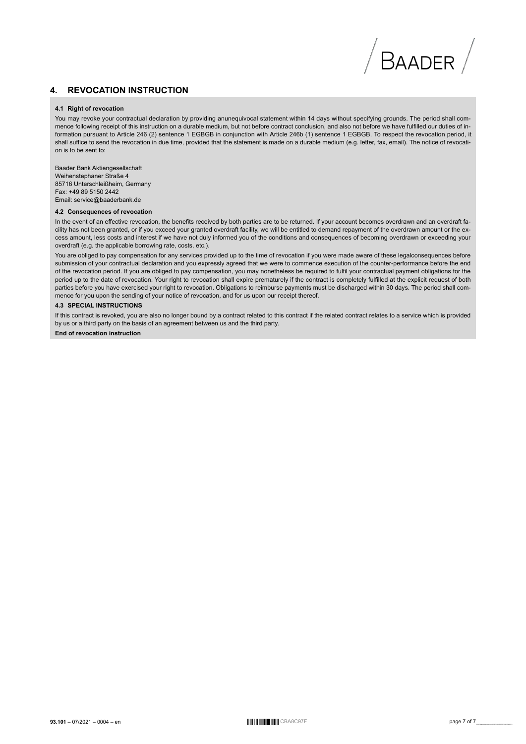## **4. REVOCATION INSTRUCTION**

#### **4.1 Right of revocation**

You may revoke your contractual declaration by providing anunequivocal statement within 14 days without specifying grounds. The period shall commence following receipt of this instruction on a durable medium, but not before contract conclusion, and also not before we have fulfilled our duties of information pursuant to Article 246 (2) sentence 1 EGBGB in conjunction with Article 246b (1) sentence 1 EGBGB. To respect the revocation period, it shall suffice to send the revocation in due time, provided that the statement is made on a durable medium (e.g. letter, fax, email). The notice of revocation is to be sent to:

BAADER

Baader Bank Aktiengesellschaft Weihenstephaner Straße 4 85716 Unterschleißheim, Germany Fax: +49 89 5150 2442 Email: service@baaderbank.de

#### **4.2 Consequences of revocation**

In the event of an effective revocation, the benefits received by both parties are to be returned. If your account becomes overdrawn and an overdraft facility has not been granted, or if you exceed your granted overdraft facility, we will be entitled to demand repayment of the overdrawn amount or the excess amount, less costs and interest if we have not duly informed you of the conditions and consequences of becoming overdrawn or exceeding your overdraft (e.g. the applicable borrowing rate, costs, etc.).

You are obliged to pay compensation for any services provided up to the time of revocation if you were made aware of these legalconsequences before submission of your contractual declaration and you expressly agreed that we were to commence execution of the counter-performance before the end of the revocation period. If you are obliged to pay compensation, you may nonetheless be required to fulfil your contractual payment obligations for the period up to the date of revocation. Your right to revocation shall expire prematurely if the contract is completely fulfilled at the explicit request of both parties before you have exercised your right to revocation. Obligations to reimburse payments must be discharged within 30 days. The period shall commence for you upon the sending of your notice of revocation, and for us upon our receipt thereof.

#### **4.3 SPECIAL INSTRUCTIONS**

If this contract is revoked, you are also no longer bound by a contract related to this contract if the related contract relates to a service which is provided by us or a third party on the basis of an agreement between us and the third party.

**End of revocation instruction**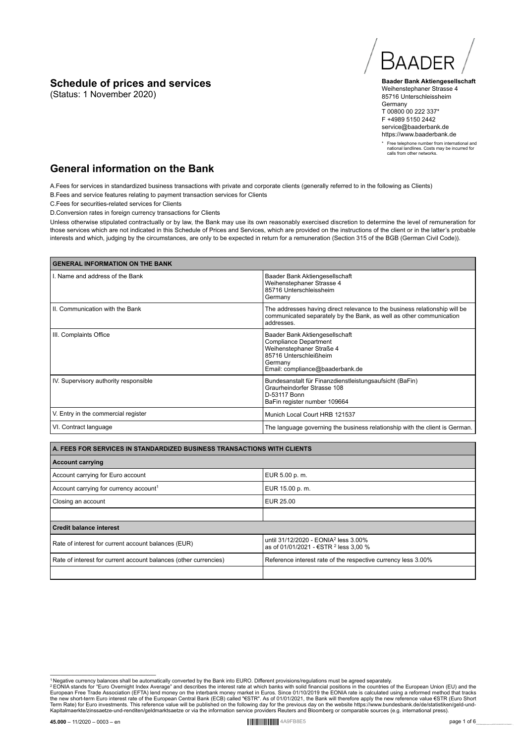## **Schedule of prices and services**

(Status: 1 November 2020)

**BAADER** 

**Baader Bank Aktiengesellschaft** Weihenstephaner Strasse 4 85716 Unterschleissheim Germany T 00800 00 222 337\* F +4989 5150 2442 service@baaderbank.de https://www.baaderbank.de

\* Free telephone number from international and national landlines. Costs may be incurred for calls from other networks.

# **General information on the Bank**

A.Fees for services in standardized business transactions with private and corporate clients (generally referred to in the following as Clients) B.Fees and service features relating to payment transaction services for Clients

C.Fees for securities-related services for Clients

D.Conversion rates in foreign currency transactions for Clients

Unless otherwise stipulated contractually or by law, the Bank may use its own reasonably exercised discretion to determine the level of remuneration for those services which are not indicated in this Schedule of Prices and Services, which are provided on the instructions of the client or in the latter's probable interests and which, judging by the circumstances, are only to be expected in return for a remuneration (Section 315 of the BGB (German Civil Code)).

| <b>GENERAL INFORMATION ON THE BANK</b> |                                                                                                                                                                    |  |
|----------------------------------------|--------------------------------------------------------------------------------------------------------------------------------------------------------------------|--|
| I. Name and address of the Bank        | Baader Bank Aktiengesellschaft<br>Weihenstephaner Strasse 4<br>85716 Unterschleissheim<br>Germany                                                                  |  |
| II. Communication with the Bank        | The addresses having direct relevance to the business relationship will be<br>communicated separately by the Bank, as well as other communication<br>addresses.    |  |
| III. Complaints Office                 | Baader Bank Aktiengesellschaft<br><b>Compliance Department</b><br>Weihenstephaner Straße 4<br>85716 Unterschleißheim<br>Germany<br>Email: compliance@baaderbank.de |  |
| IV. Supervisory authority responsible  | Bundesanstalt für Finanzdienstleistungsaufsicht (BaFin)<br>Graurheindorfer Strasse 108<br>D-53117 Bonn<br>BaFin register number 109664                             |  |
| V. Entry in the commercial register    | Munich Local Court HRB 121537                                                                                                                                      |  |
| VI. Contract language                  | The language governing the business relationship with the client is German.                                                                                        |  |

| A. FEES FOR SERVICES IN STANDARDIZED BUSINESS TRANSACTIONS WITH CLIENTS                                                                                     |  |  |
|-------------------------------------------------------------------------------------------------------------------------------------------------------------|--|--|
| <b>Account carrying</b>                                                                                                                                     |  |  |
| Account carrying for Euro account<br>EUR 5.00 p.m.                                                                                                          |  |  |
| Account carrying for currency account <sup>1</sup><br>EUR 15.00 p.m.                                                                                        |  |  |
| EUR 25.00<br>Closing an account                                                                                                                             |  |  |
|                                                                                                                                                             |  |  |
| <b>Credit balance interest</b>                                                                                                                              |  |  |
| until 31/12/2020 - EONIA <sup>2</sup> less 3.00%<br>Rate of interest for current account balances (EUR)<br>as of 01/01/2021 - €STR <sup>2</sup> less 3,00 % |  |  |
| Rate of interest for current account balances (other currencies)<br>Reference interest rate of the respective currency less 3.00%                           |  |  |
|                                                                                                                                                             |  |  |

<sup>&</sup>lt;sup>1</sup> Negative currency balances shall be automatically converted by the Bank into EURO. Different provisions/regulations must be agreed separately.<br><sup>2</sup> EONIA stands for "Euro Overnight Index Average" and describes the inter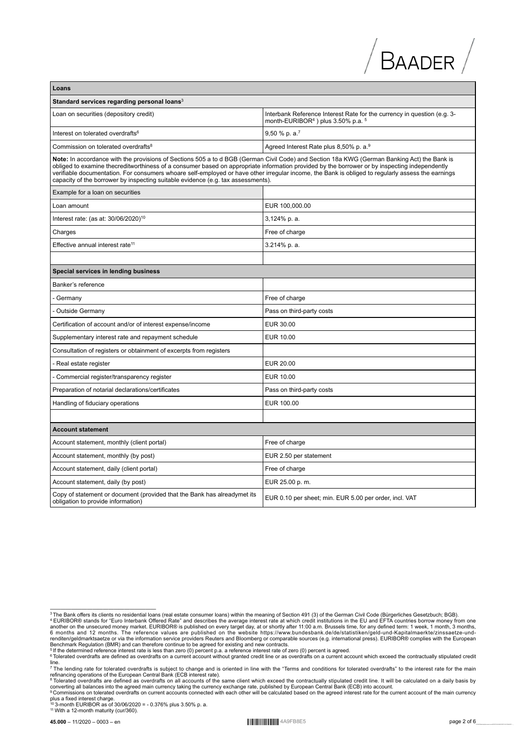| Loans                                                                                                                                                                                                                                                                                                                                                                                                                                                                                                                                 |                                                                                                                                |  |
|---------------------------------------------------------------------------------------------------------------------------------------------------------------------------------------------------------------------------------------------------------------------------------------------------------------------------------------------------------------------------------------------------------------------------------------------------------------------------------------------------------------------------------------|--------------------------------------------------------------------------------------------------------------------------------|--|
| Standard services regarding personal loans <sup>3</sup>                                                                                                                                                                                                                                                                                                                                                                                                                                                                               |                                                                                                                                |  |
| Loan on securities (depository credit)                                                                                                                                                                                                                                                                                                                                                                                                                                                                                                | Interbank Reference Interest Rate for the currency in question (e.g. 3-<br>month-EURIBOR <sup>4</sup> ) plus $3.50\%$ p.a. $5$ |  |
| Interest on tolerated overdrafts <sup>6</sup>                                                                                                                                                                                                                                                                                                                                                                                                                                                                                         | $9,50%$ p. a. <sup>7</sup>                                                                                                     |  |
| Commission on tolerated overdrafts <sup>8</sup>                                                                                                                                                                                                                                                                                                                                                                                                                                                                                       | Agreed Interest Rate plus 8,50% p. a. <sup>9</sup>                                                                             |  |
| Note: In accordance with the provisions of Sections 505 a to d BGB (German Civil Code) and Section 18a KWG (German Banking Act) the Bank is<br>obliged to examine thecreditworthiness of a consumer based on appropriate information provided by the borrower or by inspecting independently<br>verifiable documentation. For consumers whoare self-employed or have other irregular income, the Bank is obliged to regularly assess the earnings<br>capacity of the borrower by inspecting suitable evidence (e.g. tax assessments). |                                                                                                                                |  |
| Example for a loan on securities                                                                                                                                                                                                                                                                                                                                                                                                                                                                                                      |                                                                                                                                |  |
| Loan amount                                                                                                                                                                                                                                                                                                                                                                                                                                                                                                                           | EUR 100,000.00                                                                                                                 |  |
| Interest rate: (as at: 30/06/2020) <sup>10</sup>                                                                                                                                                                                                                                                                                                                                                                                                                                                                                      | 3,124% p. a.                                                                                                                   |  |
| Charges                                                                                                                                                                                                                                                                                                                                                                                                                                                                                                                               | Free of charge                                                                                                                 |  |
| Effective annual interest rate <sup>11</sup>                                                                                                                                                                                                                                                                                                                                                                                                                                                                                          | 3.214% p. a.                                                                                                                   |  |
|                                                                                                                                                                                                                                                                                                                                                                                                                                                                                                                                       |                                                                                                                                |  |
| Special services in lending business                                                                                                                                                                                                                                                                                                                                                                                                                                                                                                  |                                                                                                                                |  |
| Banker's reference                                                                                                                                                                                                                                                                                                                                                                                                                                                                                                                    |                                                                                                                                |  |
| Germany                                                                                                                                                                                                                                                                                                                                                                                                                                                                                                                               | Free of charge                                                                                                                 |  |
| <b>Outside Germany</b>                                                                                                                                                                                                                                                                                                                                                                                                                                                                                                                | Pass on third-party costs                                                                                                      |  |
| Certification of account and/or of interest expense/income                                                                                                                                                                                                                                                                                                                                                                                                                                                                            | EUR 30.00                                                                                                                      |  |
| Supplementary interest rate and repayment schedule                                                                                                                                                                                                                                                                                                                                                                                                                                                                                    | EUR 10.00                                                                                                                      |  |
| Consultation of registers or obtainment of excerpts from registers                                                                                                                                                                                                                                                                                                                                                                                                                                                                    |                                                                                                                                |  |
| - Real estate register                                                                                                                                                                                                                                                                                                                                                                                                                                                                                                                | EUR 20.00                                                                                                                      |  |
| Commercial register/transparency register                                                                                                                                                                                                                                                                                                                                                                                                                                                                                             | EUR 10.00                                                                                                                      |  |
| Preparation of notarial declarations/certificates                                                                                                                                                                                                                                                                                                                                                                                                                                                                                     | Pass on third-party costs                                                                                                      |  |
| Handling of fiduciary operations                                                                                                                                                                                                                                                                                                                                                                                                                                                                                                      | EUR 100.00                                                                                                                     |  |
|                                                                                                                                                                                                                                                                                                                                                                                                                                                                                                                                       |                                                                                                                                |  |
| <b>Account statement</b>                                                                                                                                                                                                                                                                                                                                                                                                                                                                                                              |                                                                                                                                |  |
| Account statement, monthly (client portal)                                                                                                                                                                                                                                                                                                                                                                                                                                                                                            | Free of charge                                                                                                                 |  |
| Account statement, monthly (by post)                                                                                                                                                                                                                                                                                                                                                                                                                                                                                                  | EUR 2.50 per statement                                                                                                         |  |
| Account statement, daily (client portal)                                                                                                                                                                                                                                                                                                                                                                                                                                                                                              | Free of charge                                                                                                                 |  |
| Account statement, daily (by post)                                                                                                                                                                                                                                                                                                                                                                                                                                                                                                    | EUR 25.00 p.m.                                                                                                                 |  |
| Copy of statement or document (provided that the Bank has alreadymet its<br>obligation to provide information)                                                                                                                                                                                                                                                                                                                                                                                                                        | EUR 0.10 per sheet; min. EUR 5.00 per order, incl. VAT                                                                         |  |

 $/$  Baader  $/$ 

<sup>&</sup>lt;sup>3</sup>The Bank offers its clients no residential loans (real estate consumer loans) within the meaning of Section 491 (3) of the German Civil Code (Bürgerliches Gesetzbuch; BGB).<br><sup>4</sup> EURIBOR® stands for "Euro Interbank Offere

<sup>&</sup>lt;sup>5</sup> If the determined reference interest rate is less than zero (0) percent p.a. a reference interest rate of zero (0) percent is agreed.<br><sup>6</sup> Tolerated overdrafts are defined as overdrafts on a current account without gran

line.<br><sup>7</sup> The lending rate for tolerated overdrafts is subject to change and is oriented in line with the "Terms and conditions for tolerated overdrafts" to the interest rate for the main<br>refinancing operations of the Euro

<sup>&</sup>lt;sup>s</sup> Tolerated overdrafts are defined as overdrafts on all accounts of the same client which exceed the contractually stipulated credit line. It will be calculated on a daily basis by<br>converting all balances into the agree

plus a fixed interest charge. <sup>10</sup>3-month EURIBOR as of 30/06/2020 = - 0.376% plus 3.50% p. a. <sup>11</sup> With a 12-month maturity (cur/360).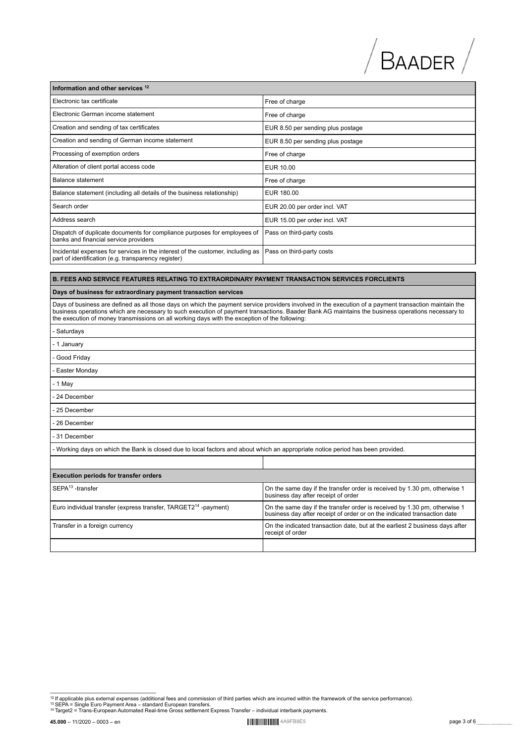# $\sqrt{B}$ AADER $\sqrt{B}$

| Information and other services 12                                                                                                     |                                   |  |
|---------------------------------------------------------------------------------------------------------------------------------------|-----------------------------------|--|
| Electronic tax certificate                                                                                                            | Free of charge                    |  |
| Electronic German income statement                                                                                                    | Free of charge                    |  |
| Creation and sending of tax certificates                                                                                              | EUR 8.50 per sending plus postage |  |
| Creation and sending of German income statement                                                                                       | EUR 8.50 per sending plus postage |  |
| Processing of exemption orders                                                                                                        | Free of charge                    |  |
| Alteration of client portal access code                                                                                               | EUR 10.00                         |  |
| Balance statement                                                                                                                     | Free of charge                    |  |
| Balance statement (including all details of the business relationship)                                                                | EUR 180.00                        |  |
| Search order                                                                                                                          | EUR 20.00 per order incl. VAT     |  |
| Address search                                                                                                                        | EUR 15.00 per order incl. VAT     |  |
| Dispatch of duplicate documents for compliance purposes for employees of<br>banks and financial service providers                     | Pass on third-party costs         |  |
| Incidental expenses for services in the interest of the customer, including as<br>part of identification (e.g. transparency register) | Pass on third-party costs         |  |

#### **B. FEES AND SERVICE FEATURES RELATING TO EXTRAORDINARY PAYMENT TRANSACTION SERVICES FORCLIENTS**

#### **Days of business for extraordinary payment transaction services**

Days of business are defined as all those days on which the payment service providers involved in the execution of a payment transaction maintain the business operations which are necessary to such execution of payment transactions. Baader Bank AG maintains the business operations necessary to<br>the execution of money transmissions on all working days with the exception o

| - Saturdays                                                                                                                                      |                                                                                                                                                       |  |  |
|--------------------------------------------------------------------------------------------------------------------------------------------------|-------------------------------------------------------------------------------------------------------------------------------------------------------|--|--|
| - 1 January                                                                                                                                      |                                                                                                                                                       |  |  |
| - Good Friday                                                                                                                                    |                                                                                                                                                       |  |  |
| - Easter Monday                                                                                                                                  |                                                                                                                                                       |  |  |
| $-1$ May                                                                                                                                         |                                                                                                                                                       |  |  |
| - 24 December                                                                                                                                    |                                                                                                                                                       |  |  |
| 25 December                                                                                                                                      |                                                                                                                                                       |  |  |
| - 26 December                                                                                                                                    |                                                                                                                                                       |  |  |
| - 31 December                                                                                                                                    |                                                                                                                                                       |  |  |
| - Working days on which the Bank is closed due to local factors and about which an appropriate notice period has been provided.                  |                                                                                                                                                       |  |  |
|                                                                                                                                                  |                                                                                                                                                       |  |  |
| <b>Execution periods for transfer orders</b>                                                                                                     |                                                                                                                                                       |  |  |
| SEPA <sup>13</sup> -transfer<br>On the same day if the transfer order is received by 1.30 pm, otherwise 1<br>business day after receipt of order |                                                                                                                                                       |  |  |
| Euro individual transfer (express transfer, TARGET2 <sup>14</sup> -payment)                                                                      | On the same day if the transfer order is received by 1.30 pm, otherwise 1<br>business day after receipt of order or on the indicated transaction date |  |  |
| Transfer in a foreign currency                                                                                                                   | On the indicated transaction date, but at the earliest 2 business days after<br>receipt of order                                                      |  |  |
|                                                                                                                                                  |                                                                                                                                                       |  |  |

<sup>-&</sup>lt;br><sup>12</sup> If applicable plus external expenses (additional fees and commission of third parties which are incurred within the framework of the service performance).<br><sup>13</sup> SEPA = Single Euro Payment Area – standard European tra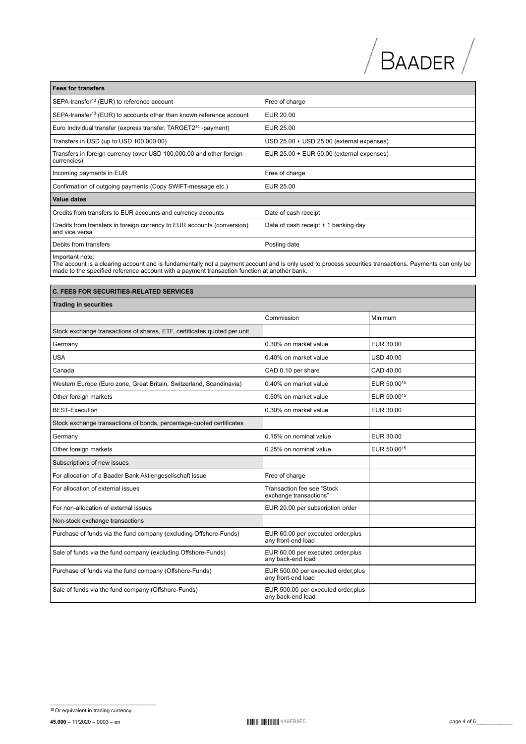| <b>Fees for transfers</b>                                                                 |                                           |  |
|-------------------------------------------------------------------------------------------|-------------------------------------------|--|
| SEPA-transfer <sup>13</sup> (EUR) to reference account                                    | Free of charge                            |  |
| SEPA-transfer <sup>13</sup> (EUR) to accounts other than known reference account          | EUR 20.00                                 |  |
| Euro Individual transfer (express transfer, TARGET2 <sup>14</sup> -payment)               | EUR 25.00                                 |  |
| Transfers in USD (up to USD 100,000.00)                                                   | USD 25.00 + USD 25.00 (external expenses) |  |
| Transfers in foreign currency (over USD 100,000.00 and other foreign<br>currencies)       | EUR 25.00 + EUR 50.00 (external expenses) |  |
| Incoming payments in EUR                                                                  | Free of charge                            |  |
| Confirmation of outgoing payments (Copy SWIFT-message etc.)                               | EUR 25.00                                 |  |
| Value dates                                                                               |                                           |  |
| Credits from transfers to EUR accounts and currency accounts                              | Date of cash receipt                      |  |
| Credits from transfers in foreign currency to EUR accounts (conversion)<br>and vice versa | Date of cash receipt + 1 banking day      |  |
| Debits from transfers                                                                     | Posting date                              |  |
|                                                                                           |                                           |  |

 $\Box$ 

Important note:<br>The account is a clearing account and is fundamentally not a payment account and is only used to process securities transactions. Payments can only be<br>made to the specified reference account with a payment

| <b>C. FEES FOR SECURITIES-RELATED SERVICES</b>                           |                                                           |                         |  |
|--------------------------------------------------------------------------|-----------------------------------------------------------|-------------------------|--|
| <b>Trading in securities</b>                                             |                                                           |                         |  |
|                                                                          | Commission                                                | Minimum                 |  |
| Stock exchange transactions of shares, ETF, certificates quoted per unit |                                                           |                         |  |
| Germany                                                                  | 0.30% on market value                                     | EUR 30.00               |  |
| <b>USA</b>                                                               | 0.40% on market value                                     | <b>USD 40.00</b>        |  |
| Canada                                                                   | CAD 0.10 per share                                        | CAD 40.00               |  |
| Western Europe (Euro zone, Great Britain, Switzerland, Scandinavia)      | 0.40% on market value                                     | EUR 50.00 <sup>15</sup> |  |
| Other foreign markets                                                    | 0.50% on market value                                     | EUR 50.00 <sup>15</sup> |  |
| <b>BEST-Execution</b>                                                    | 0.30% on market value                                     | EUR 30.00               |  |
| Stock exchange transactions of bonds, percentage-quoted certificates     |                                                           |                         |  |
| Germany                                                                  | 0.15% on nominal value                                    | EUR 30.00               |  |
| Other foreign markets                                                    | 0.25% on nominal value                                    | EUR 50.0015             |  |
| Subscriptions of new issues                                              |                                                           |                         |  |
| For allocation of a Baader Bank Aktiengesellschaft issue                 | Free of charge                                            |                         |  |
| For allocation of external issues                                        | Transaction fee see "Stock<br>exchange transactions"      |                         |  |
| For non-allocation of external issues                                    | EUR 20.00 per subscription order                          |                         |  |
| Non-stock exchange transactions                                          |                                                           |                         |  |
| Purchase of funds via the fund company (excluding Offshore-Funds)        | EUR 60.00 per executed order, plus<br>any front-end load  |                         |  |
| Sale of funds via the fund company (excluding Offshore-Funds)            | EUR 60.00 per executed order, plus<br>any back-end load   |                         |  |
| Purchase of funds via the fund company (Offshore-Funds)                  | EUR 500.00 per executed order, plus<br>any front-end load |                         |  |
| Sale of funds via the fund company (Offshore-Funds)                      | EUR 500.00 per executed order, plus<br>any back-end load  |                         |  |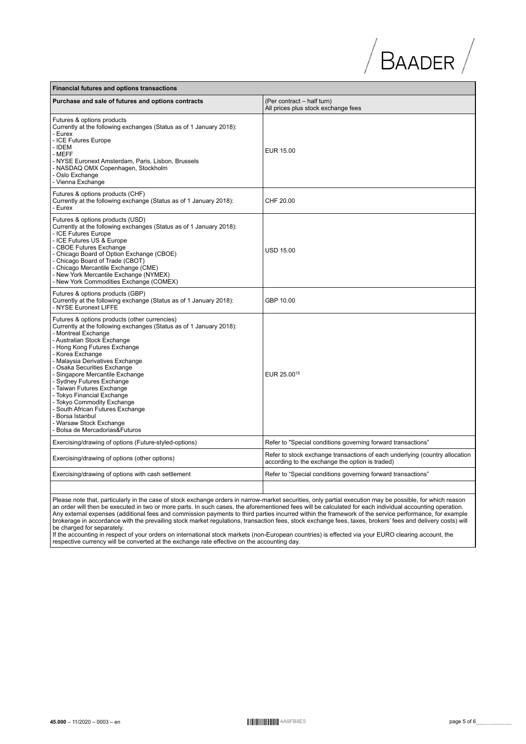# $\sqrt{B}$ AADER $\sqrt{B}$

| <b>Financial futures and options transactions</b>                                                                                                                                                                                                                                                                                                                                                                                                                                                                                                                              |                                                                                                                                |  |
|--------------------------------------------------------------------------------------------------------------------------------------------------------------------------------------------------------------------------------------------------------------------------------------------------------------------------------------------------------------------------------------------------------------------------------------------------------------------------------------------------------------------------------------------------------------------------------|--------------------------------------------------------------------------------------------------------------------------------|--|
| Purchase and sale of futures and options contracts                                                                                                                                                                                                                                                                                                                                                                                                                                                                                                                             | (Per contract - half turn)<br>All prices plus stock exchange fees                                                              |  |
| Futures & options products<br>Currently at the following exchanges (Status as of 1 January 2018):<br>- Eurex<br>- ICE Futures Europe<br>- IDEM<br>- MEFF<br>- NYSE Euronext Amsterdam, Paris, Lisbon, Brussels<br>- NASDAQ OMX Copenhagen, Stockholm<br>- Oslo Exchange<br>- Vienna Exchange                                                                                                                                                                                                                                                                                   | EUR 15.00                                                                                                                      |  |
| Futures & options products (CHF)<br>Currently at the following exchange (Status as of 1 January 2018):<br>- Eurex                                                                                                                                                                                                                                                                                                                                                                                                                                                              | CHF 20.00                                                                                                                      |  |
| Futures & options products (USD)<br>Currently at the following exchanges (Status as of 1 January 2018):<br>- ICE Futures Europe<br>- ICE Futures US & Europe<br>- CBOE Futures Exchange<br>- Chicago Board of Option Exchange (CBOE)<br>- Chicago Board of Trade (CBOT)<br>- Chicago Mercantile Exchange (CME)<br>- New York Mercantile Exchange (NYMEX)<br>- New York Commodities Exchange (COMEX)                                                                                                                                                                            | <b>USD 15.00</b>                                                                                                               |  |
| Futures & options products (GBP)<br>Currently at the following exchange (Status as of 1 January 2018):<br>- NYSE Euronext LIFFE                                                                                                                                                                                                                                                                                                                                                                                                                                                | GBP 10.00                                                                                                                      |  |
| Futures & options products (other currencies)<br>Currently at the following exchanges (Status as of 1 January 2018):<br>- Montreal Exchange<br>- Australian Stock Exchange<br>- Hong Kong Futures Exchange<br>- Korea Exchange<br>- Malaysia Derivatives Exchange<br>- Osaka Securities Exchange<br>- Singapore Mercantile Exchange<br>- Sydney Futures Exchange<br>- Taiwan Futures Exchange<br>- Tokyo Financial Exchange<br>- Tokyo Commodity Exchange<br>- South African Futures Exchange<br>- Borsa Istanbul<br>- Warsaw Stock Exchange<br>- Bolsa de Mercadorias&Futuros | EUR 25.00 <sup>15</sup>                                                                                                        |  |
| Exercising/drawing of options (Future-styled-options)                                                                                                                                                                                                                                                                                                                                                                                                                                                                                                                          | Refer to "Special conditions governing forward transactions"                                                                   |  |
| Exercising/drawing of options (other options)                                                                                                                                                                                                                                                                                                                                                                                                                                                                                                                                  | Refer to stock exchange transactions of each underlying (country allocation<br>according to the exchange the option is traded) |  |
| Exercising/drawing of options with cash settlement                                                                                                                                                                                                                                                                                                                                                                                                                                                                                                                             | Refer to "Special conditions governing forward transactions"                                                                   |  |
|                                                                                                                                                                                                                                                                                                                                                                                                                                                                                                                                                                                |                                                                                                                                |  |

Please note that, particularly in the case of stock exchange orders in narrow-market securities, only partial execution may be possible, for which reason<br>an order will then be executed in two or more parts. In such cases,

be charged for separately.<br>If the accounting in respect of your orders on international stock markets (non-European countries) is effected via your EURO clearing account, the respective currency will be converted at the ex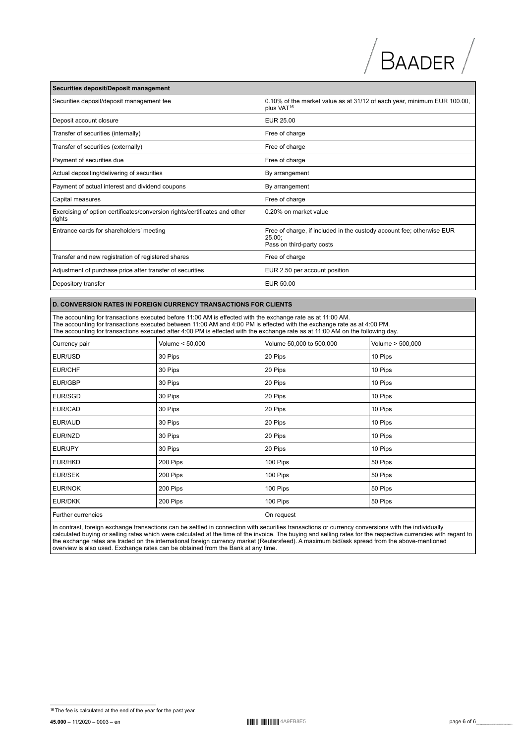# $\sqrt{B}$ AADER $\sqrt{B}$

| Securities deposit/Deposit management                                                |                                                                                                                 |  |
|--------------------------------------------------------------------------------------|-----------------------------------------------------------------------------------------------------------------|--|
| Securities deposit/deposit management fee                                            | 0.10% of the market value as at 31/12 of each year, minimum EUR 100.00,<br>plus VAT <sup>16</sup>               |  |
| Deposit account closure                                                              | EUR 25.00                                                                                                       |  |
| Transfer of securities (internally)                                                  | Free of charge                                                                                                  |  |
| Transfer of securities (externally)                                                  | Free of charge                                                                                                  |  |
| Payment of securities due                                                            | Free of charge                                                                                                  |  |
| Actual depositing/delivering of securities                                           | By arrangement                                                                                                  |  |
| Payment of actual interest and dividend coupons                                      | By arrangement                                                                                                  |  |
| Capital measures                                                                     | Free of charge                                                                                                  |  |
| Exercising of option certificates/conversion rights/certificates and other<br>rights | 0.20% on market value                                                                                           |  |
| Entrance cards for shareholders' meeting                                             | Free of charge, if included in the custody account fee; otherwise EUR<br>$25.00$ ;<br>Pass on third-party costs |  |
| Transfer and new registration of registered shares                                   | Free of charge                                                                                                  |  |
| Adjustment of purchase price after transfer of securities                            | EUR 2.50 per account position                                                                                   |  |
| Depository transfer                                                                  | EUR 50.00                                                                                                       |  |

## **D. CONVERSION RATES IN FOREIGN CURRENCY TRANSACTIONS FOR CLIENTS**

**Securities deposit/Deposit management**

The accounting for transactions executed before 11:00 AM is effected with the exchange rate as at 11:00 AM. The accounting for transactions executed between 11:00 AM and 4:00 PM is effected with the exchange rate as at 4:00 PM.<br>The accounting for transactions executed after 4:00 PM is effected with the exchange rate as at 11:00

| Currency pair      | Volume < 50,000 | Volume 50,000 to 500,000 | Volume > 500,000 |
|--------------------|-----------------|--------------------------|------------------|
| EUR/USD            | 30 Pips         | 20 Pips                  | 10 Pips          |
| EUR/CHF            | 30 Pips         | 20 Pips                  | 10 Pips          |
| EUR/GBP            | 30 Pips         | 20 Pips                  | 10 Pips          |
| EUR/SGD            | 30 Pips         | 20 Pips                  | 10 Pips          |
| EUR/CAD            | 30 Pips         | 20 Pips                  | 10 Pips          |
| EUR/AUD            | 30 Pips         | 20 Pips                  | 10 Pips          |
| EUR/NZD            | 30 Pips         | 20 Pips                  | 10 Pips          |
| EUR/JPY            | 30 Pips         | 20 Pips                  | 10 Pips          |
| EUR/HKD            | 200 Pips        | 100 Pips                 | 50 Pips          |
| <b>EUR/SEK</b>     | 200 Pips        | 100 Pips                 | 50 Pips          |
| EUR/NOK            | 200 Pips        | 100 Pips                 | 50 Pips          |
| EUR/DKK            | 200 Pips        | 100 Pips                 | 50 Pips          |
| Further currencies |                 | On request               |                  |

In contrast, foreign exchange transactions can be settled in connection with securities transactions or currency conversions with the individually<br>calculated buying or selling rates which were calculated at the time of the

**<sup>45.000 – 11/2020 – 0003 –</sup> en 0123456789** abcdef generalismus ABCDEffect (film nope 11/2020 – 0003 – en 0125656  $\frac{16}{16}$ The fee is calculated at the end of the year for the past year.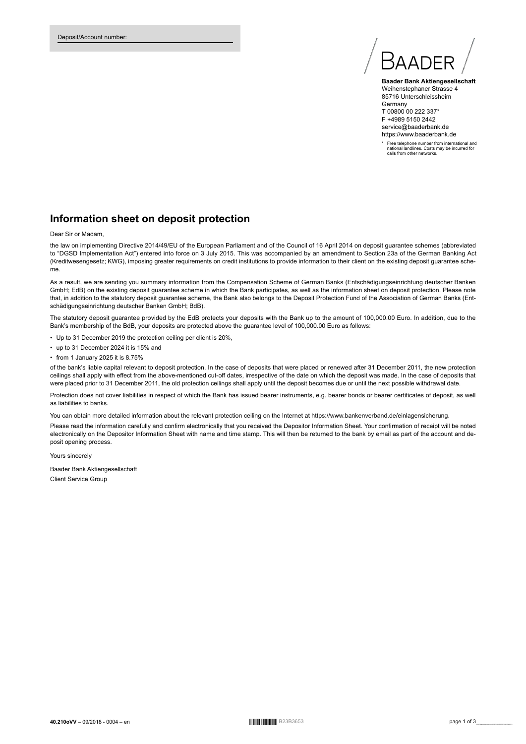

**Baader Bank Aktiengesellschaft** Weihenstephaner Strasse 4 85716 Unterschleissheim **Germany** T 00800 00 222 337\* F +4989 5150 2442 service@baaderbank.de https://www.baaderbank.de

\* Free telephone number from international and national landlines. Costs may be incurred for calls from other networks.

# **Information sheet on deposit protection**

Dear Sir or Madam,

the law on implementing Directive 2014/49/EU of the European Parliament and of the Council of 16 April 2014 on deposit guarantee schemes (abbreviated to "DGSD Implementation Act") entered into force on 3 July 2015. This was accompanied by an amendment to Section 23a of the German Banking Act (Kreditwesengesetz; KWG), imposing greater requirements on credit institutions to provide information to their client on the existing deposit guarantee scheme.

As a result, we are sending you summary information from the Compensation Scheme of German Banks (Entschädigungseinrichtung deutscher Banken GmbH; EdB) on the existing deposit guarantee scheme in which the Bank participates, as well as the information sheet on deposit protection. Please note that, in addition to the statutory deposit guarantee scheme, the Bank also belongs to the Deposit Protection Fund of the Association of German Banks (Entschädigungseinrichtung deutscher Banken GmbH; BdB).

The statutory deposit guarantee provided by the EdB protects your deposits with the Bank up to the amount of 100,000.00 Euro. In addition, due to the Bank's membership of the BdB, your deposits are protected above the guarantee level of 100,000.00 Euro as follows:

- Up to 31 December 2019 the protection ceiling per client is 20%,
- up to 31 December 2024 it is 15% and
- from 1 January 2025 it is 8.75%

of the bank's liable capital relevant to deposit protection. In the case of deposits that were placed or renewed after 31 December 2011, the new protection ceilings shall apply with effect from the above-mentioned cut-off dates, irrespective of the date on which the deposit was made. In the case of deposits that were placed prior to 31 December 2011, the old protection ceilings shall apply until the deposit becomes due or until the next possible withdrawal date.

Protection does not cover liabilities in respect of which the Bank has issued bearer instruments, e.g. bearer bonds or bearer certificates of deposit, as well as liabilities to banks.

You can obtain more detailed information about the relevant protection ceiling on the Internet at https://www.bankenverband.de/einlagensicherung. Please read the information carefully and confirm electronically that you received the Depositor Information Sheet. Your confirmation of receipt will be noted electronically on the Depositor Information Sheet with name and time stamp. This will then be returned to the bank by email as part of the account and deposit opening process.

Yours sincerely

Baader Bank Aktiengesellschaft Client Service Group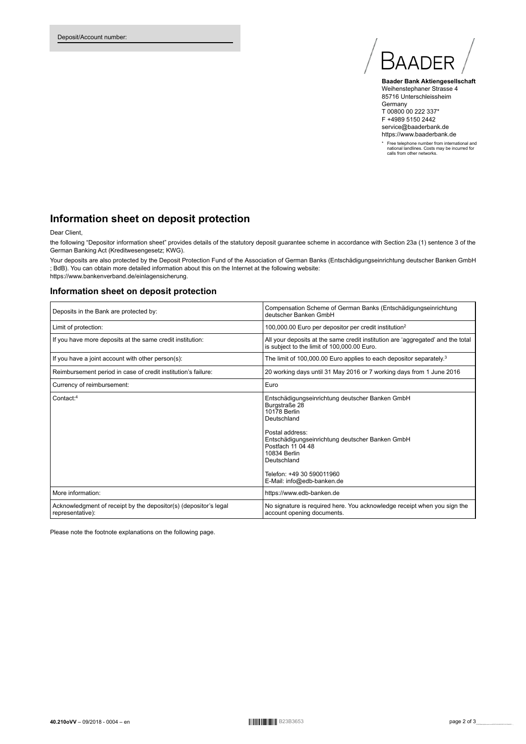

**Baader Bank Aktiengesellschaft** Weihenstephaner Strasse 4 85716 Unterschleissheim Germany T 00800 00 222 337\* F +4989 5150 2442 service@baaderbank.de https://www.baaderbank.de

\* Free telephone number from international and national landlines. Costs may be incurred for calls from other networks.

# **Information sheet on deposit protection**

#### Dear Client,

the following "Depositor information sheet" provides details of the statutory deposit guarantee scheme in accordance with Section 23a (1) sentence 3 of the German Banking Act (Kreditwesengesetz; KWG).

Your deposits are also protected by the Deposit Protection Fund of the Association of German Banks (Entschädigungseinrichtung deutscher Banken GmbH ; BdB). You can obtain more detailed information about this on the Internet at the following website:

https://www.bankenverband.de/einlagensicherung.

## **Information sheet on deposit protection**

| Deposits in the Bank are protected by:                                               | Compensation Scheme of German Banks (Entschädigungseinrichtung<br>deutscher Banken GmbH                                                                                                                                                                                              |
|--------------------------------------------------------------------------------------|--------------------------------------------------------------------------------------------------------------------------------------------------------------------------------------------------------------------------------------------------------------------------------------|
| Limit of protection:                                                                 | 100,000.00 Euro per depositor per credit institution <sup>2</sup>                                                                                                                                                                                                                    |
| If you have more deposits at the same credit institution:                            | All your deposits at the same credit institution are 'aggregated' and the total<br>is subject to the limit of 100,000.00 Euro.                                                                                                                                                       |
| If you have a joint account with other person(s):                                    | The limit of 100,000.00 Euro applies to each depositor separately. <sup>3</sup>                                                                                                                                                                                                      |
| Reimbursement period in case of credit institution's failure:                        | 20 working days until 31 May 2016 or 7 working days from 1 June 2016                                                                                                                                                                                                                 |
| Currency of reimbursement:                                                           | Euro                                                                                                                                                                                                                                                                                 |
| Contact: <sup>4</sup>                                                                | Entschädigungseinrichtung deutscher Banken GmbH<br>Burgstraße 28<br>10178 Berlin<br>Deutschland<br>Postal address:<br>Entschädigungseinrichtung deutscher Banken GmbH<br>Postfach 11 04 48<br>10834 Berlin<br>Deutschland<br>Telefon: +49 30 590011960<br>E-Mail: info@edb-banken.de |
| More information:                                                                    | https://www.edb-banken.de                                                                                                                                                                                                                                                            |
| Acknowledgment of receipt by the depositor(s) (depositor's legal<br>representative): | No signature is required here. You acknowledge receipt when you sign the<br>account opening documents.                                                                                                                                                                               |

Please note the footnote explanations on the following page.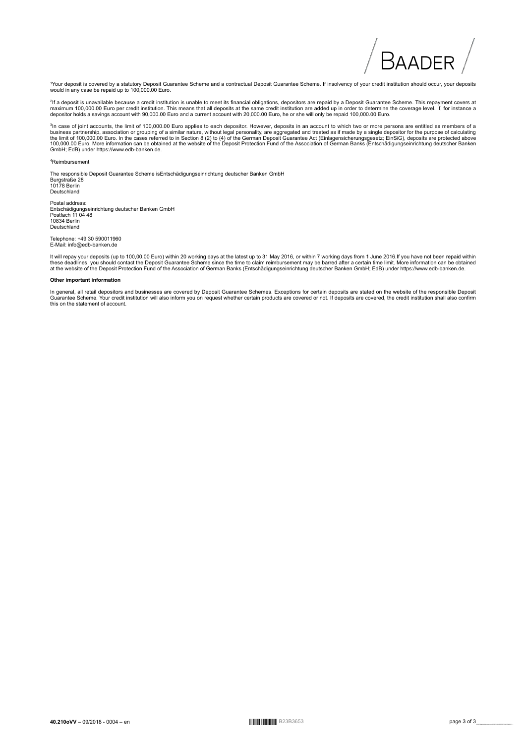# Baadfr

<sup>1</sup>Your deposit is covered by a statutory Deposit Guarantee Scheme and a contractual Deposit Guarantee Scheme. If insolvency of your credit institution should occur, your deposits would in any case be repaid up to 100,000.00 Euro.

<sup>2</sup>if a deposit is unavailable because a credit institution is unable to meet its financial obligations, depositors are repaid by a Deposit Guarantee Scheme. This repayment covers at<br>maximum 100,000.00 Euro per credit ins

<sup>3</sup>In case of joint accounts, the limit of 100,000.00 Euro applies to each depositor. However, deposits in an account to which two or more persons are entitled as members of a<br>business partnership, association or grouping GmbH; EdB) under https://www.edb-banken.de.

#### <sup>4</sup>Reimbursement

The responsible Deposit Guarantee Scheme isEntschädigungseinrichtung deutscher Banken GmbH Burgstraße 28 10178 Berlin Deutschland

Postal address: Entschädigungseinrichtung deutscher Banken GmbH Postfach 11 04 48 10834 Berlin Deutschland

Telephone: +49 30 590011960 E-Mail: info@edb-banken.de

lt will repay your deposits (up to 100,00.00 Euro) within 20 working days at the latest up to 31 May 2016, or within 7 working days from 1 June 2016.If you have not been repaid within<br>these deadlines, you should contact th

#### **Other important information**

In general, all retail depositors and businesses are covered by Deposit Guarantee Schemes. Exceptions for certain deposits are stated on the website of the responsible Deposit<br>Guarantee Scheme. Your credit institution will this on the statement of account.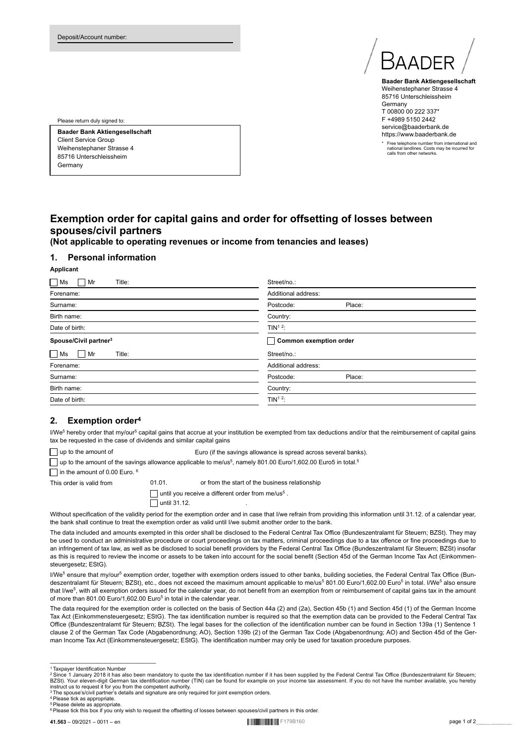

**Baader Bank Aktiengesellschaft** Weihenstephaner Strasse 4 85716 Unterschleissheim Germany T 00800 00 222 337\* F +4989 5150 2442 service@baaderbank.de https://www.baaderbank.de

\* Free telephone number from international and national landlines. Costs may be incurred for calls from other networks.

Please return duly signed to:

**Baader Bank Aktiengesellschaft** Client Service Group Weihenstephaner Strasse 4 85716 Unterschleissheim Germany

# **Exemption order for capital gains and order for offsetting of losses between spouses/civil partners**

**(Not applicable to operating revenues or income from tenancies and leases)**

## **1. Personal information**

#### **Applicant**

| $\Box$ Ms<br>Title:<br>Mr         | Street/no.:            |
|-----------------------------------|------------------------|
| Forename:                         | Additional address:    |
| Surname:                          | Place:<br>Postcode:    |
| Birth name:                       | Country:               |
| Date of birth:                    | TIN <sup>12</sup> :    |
| Spouse/Civil partner <sup>3</sup> | Common exemption order |
| $\Box$ Ms<br>Title:<br>Mr         | Street/no.:            |
| Forename:                         | Additional address:    |
| Surname:                          | Postcode:<br>Place:    |
| Birth name:                       | Country:               |
| Date of birth:                    | TIN <sup>12</sup> :    |

## **2. Exemption order<sup>4</sup>**

l/We<sup>5</sup> hereby order that my/our<sup>5</sup> capital gains that accrue at your institution be exempted from tax deductions and/or that the reimbursement of capital gains tax be requested in the case of dividends and similar capital gains

up to the amount of Euro (if the savings allowance is spread across several banks).

up to the amount of the savings allowance applicable to me/us<sup>5</sup>, namely 801.00 Euro/1,602.00 Euro5 in total.<sup>5</sup>

 $\Box$  in the amount of 0.00 Euro. 6

This order is valid from 01.01. or from the start of the business relationship

until you receive a different order from me/us<sup>5</sup>.  $\Box$  until 31.12.

Without specification of the validity period for the exemption order and in case that I/we refrain from providing this information until 31.12. of a calendar year, the bank shall continue to treat the exemption order as valid until I/we submit another order to the bank.

The data included and amounts exempted in this order shall be disclosed to the Federal Central Tax Office (Bundeszentralamt für Steuern; BZSt). They may be used to conduct an administrative procedure or court proceedings on tax matters, criminal proceedings due to a tax offence or fine proceedings due to an infringement of tax law, as well as be disclosed to social benefit providers by the Federal Central Tax Office (Bundeszentralamt für Steuern; BZSt) insofar as this is required to review the income or assets to be taken into account for the social benefit (Section 45d of the German Income Tax Act (Einkommensteuergesetz; EStG).

l/We<sup>5</sup> ensure that my/our<sup>5</sup> exemption order, together with exemption orders issued to other banks, building societies, the Federal Central Tax Office (Bundeszentralamt für Steuern; BZSt), etc., does not exceed the maximum amount applicable to me/us<sup>5</sup> 801.00 Euro/1,602.00 Euro<sup>5</sup> in total. I/We<sup>5</sup> also ensure that I/we<sup>5</sup>, with all exemption orders issued for the calendar year, do not benefit from an exemption from or reimbursement of capital gains tax in the amount of more than 801.00 Euro/1,602.00 Euro<sup>5</sup> in total in the calendar year.

The data required for the exemption order is collected on the basis of Section 44a (2) and (2a), Section 45b (1) and Section 45d (1) of the German Income Tax Act (Einkommensteuergesetz; EStG). The tax identification number is required so that the exemption data can be provided to the Federal Central Tax Office (Bundeszentralamt für Steuern; BZSt). The legal bases for the collection of the identification number can be found in Section 139a (1) Sentence 1 clause 2 of the German Tax Code (Abgabenordnung; AO), Section 139b (2) of the German Tax Code (Abgabenordnung; AO) and Section 45d of the German Income Tax Act (Einkommensteuergesetz; EStG). The identification number may only be used for taxation procedure purposes.

———————————————————— <sup>1</sup> Taxpayer Identification Numbe

<sup>2</sup>Since 1 January 2018 it has also been mandatory to quote the tax identification number if it has been supplied by the Federal Central Tax Office (Bundeszentralamt für Steuern; BZSt). Your eleven-digit German tax identification number (TIN) can be found for example on your income tax assessment. If you do not have the number available, you hereby<br>instruct us to request it for you from the compete

<sup>4</sup>Please tick as appropriate. Please delete as appropriate.

<sup>&</sup>lt;sup>6</sup> Please tick this box if you only wish to request the offsetting of losses between spouses/civil partners in this order.